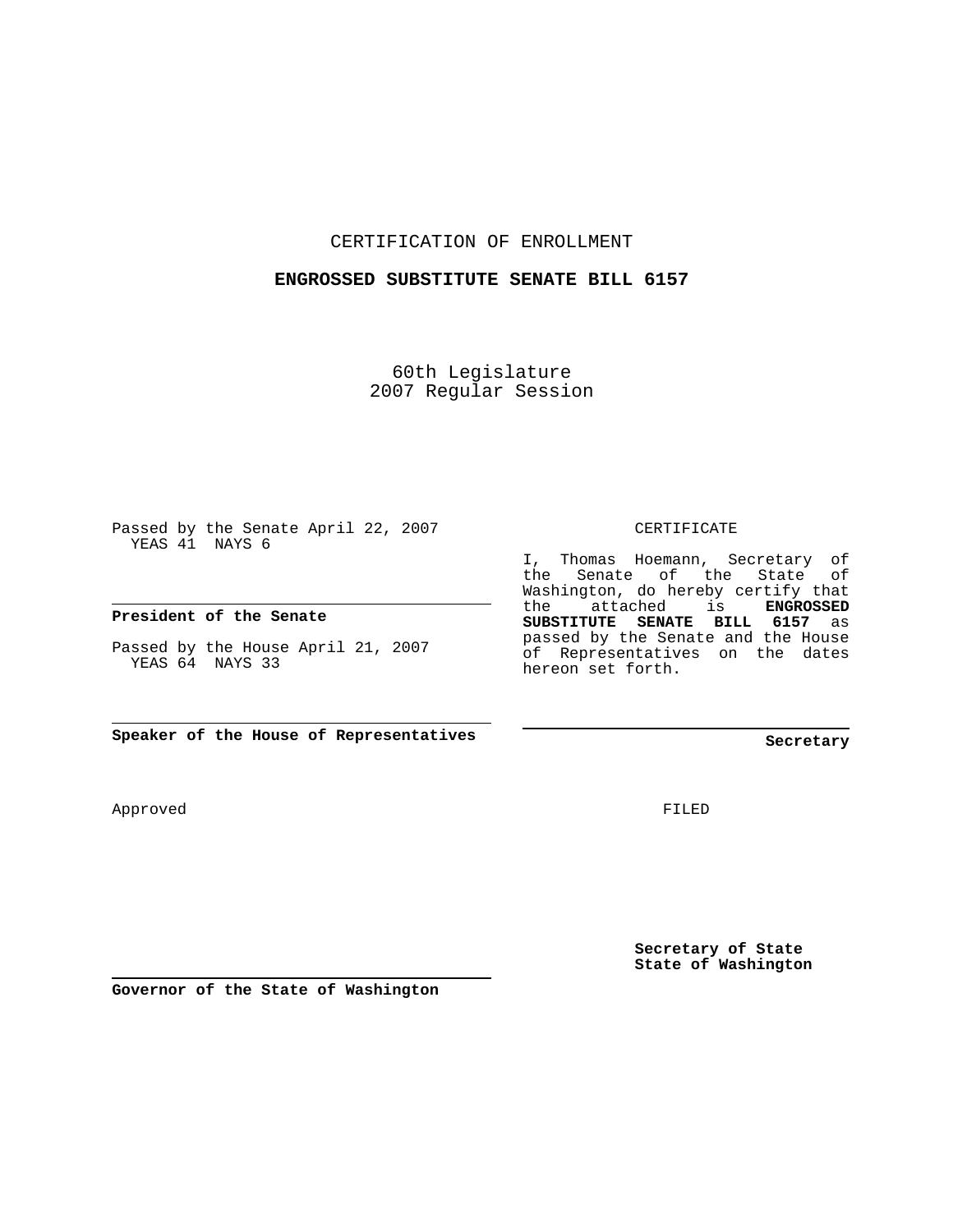#### CERTIFICATION OF ENROLLMENT

#### **ENGROSSED SUBSTITUTE SENATE BILL 6157**

60th Legislature 2007 Regular Session

Passed by the Senate April 22, 2007 YEAS 41 NAYS 6

#### **President of the Senate**

Passed by the House April 21, 2007 YEAS 64 NAYS 33

**Speaker of the House of Representatives**

Approved

the Senate of the State of Washington, do hereby certify that the attached is **ENGROSSED SUBSTITUTE SENATE BILL 6157** as passed by the Senate and the House of Representatives on the dates hereon set forth.

CERTIFICATE

I, Thomas Hoemann, Secretary of

**Secretary**

FILED

**Secretary of State State of Washington**

**Governor of the State of Washington**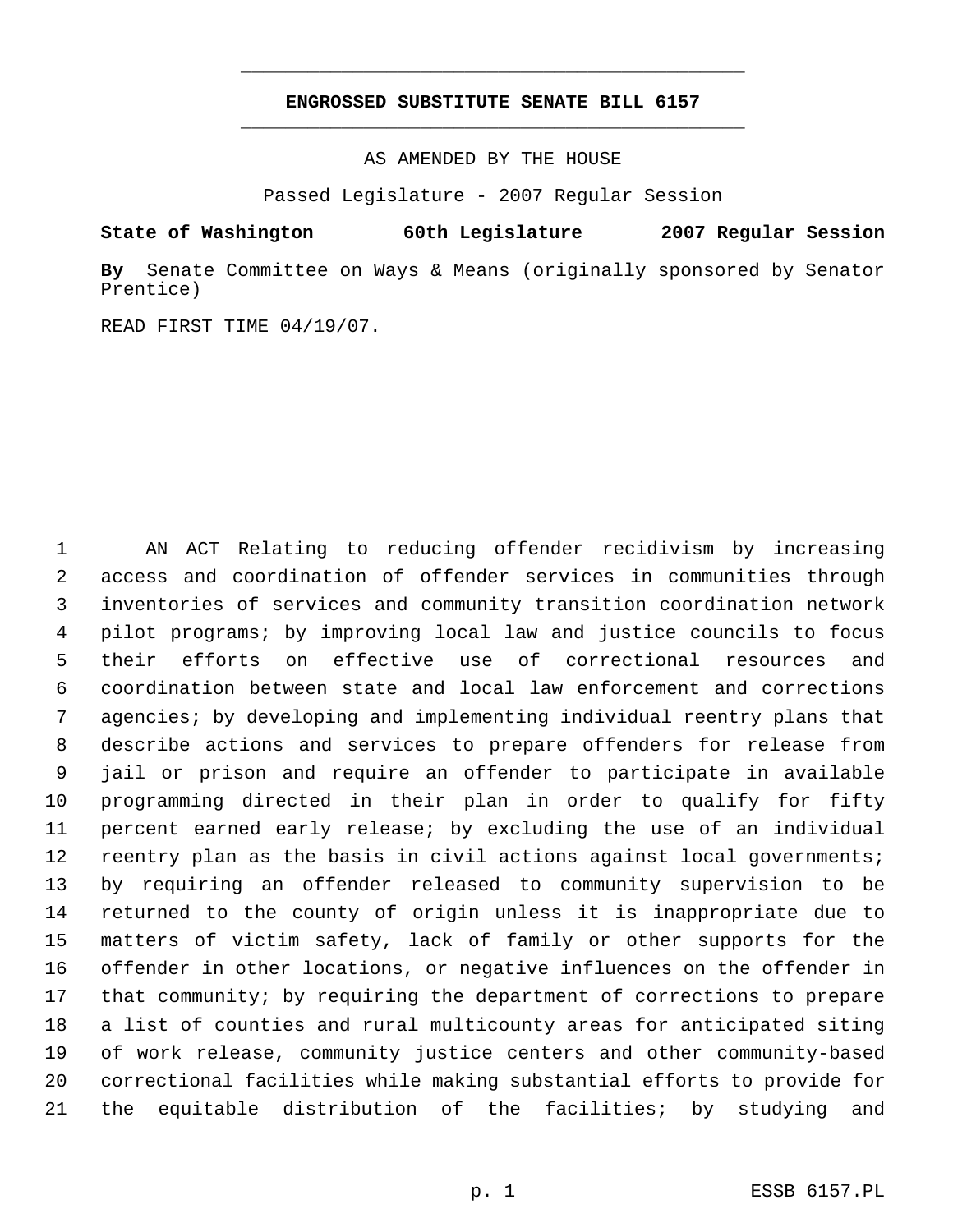# **ENGROSSED SUBSTITUTE SENATE BILL 6157** \_\_\_\_\_\_\_\_\_\_\_\_\_\_\_\_\_\_\_\_\_\_\_\_\_\_\_\_\_\_\_\_\_\_\_\_\_\_\_\_\_\_\_\_\_

\_\_\_\_\_\_\_\_\_\_\_\_\_\_\_\_\_\_\_\_\_\_\_\_\_\_\_\_\_\_\_\_\_\_\_\_\_\_\_\_\_\_\_\_\_

AS AMENDED BY THE HOUSE

Passed Legislature - 2007 Regular Session

### **State of Washington 60th Legislature 2007 Regular Session**

**By** Senate Committee on Ways & Means (originally sponsored by Senator Prentice)

READ FIRST TIME 04/19/07.

 AN ACT Relating to reducing offender recidivism by increasing access and coordination of offender services in communities through inventories of services and community transition coordination network pilot programs; by improving local law and justice councils to focus their efforts on effective use of correctional resources and coordination between state and local law enforcement and corrections agencies; by developing and implementing individual reentry plans that describe actions and services to prepare offenders for release from jail or prison and require an offender to participate in available programming directed in their plan in order to qualify for fifty percent earned early release; by excluding the use of an individual reentry plan as the basis in civil actions against local governments; by requiring an offender released to community supervision to be returned to the county of origin unless it is inappropriate due to matters of victim safety, lack of family or other supports for the offender in other locations, or negative influences on the offender in that community; by requiring the department of corrections to prepare a list of counties and rural multicounty areas for anticipated siting of work release, community justice centers and other community-based correctional facilities while making substantial efforts to provide for the equitable distribution of the facilities; by studying and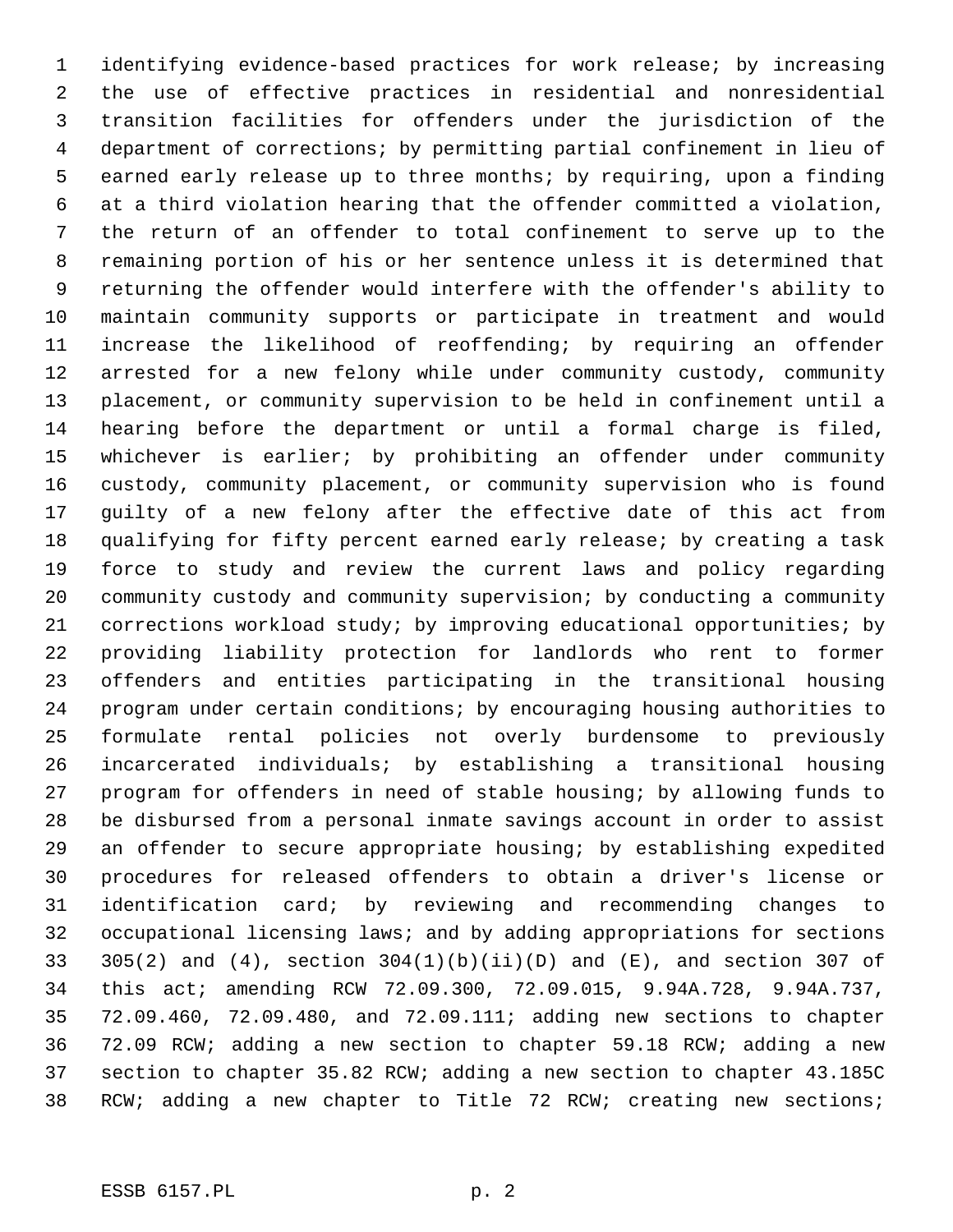identifying evidence-based practices for work release; by increasing the use of effective practices in residential and nonresidential transition facilities for offenders under the jurisdiction of the department of corrections; by permitting partial confinement in lieu of earned early release up to three months; by requiring, upon a finding at a third violation hearing that the offender committed a violation, the return of an offender to total confinement to serve up to the remaining portion of his or her sentence unless it is determined that returning the offender would interfere with the offender's ability to maintain community supports or participate in treatment and would increase the likelihood of reoffending; by requiring an offender arrested for a new felony while under community custody, community placement, or community supervision to be held in confinement until a hearing before the department or until a formal charge is filed, whichever is earlier; by prohibiting an offender under community custody, community placement, or community supervision who is found guilty of a new felony after the effective date of this act from qualifying for fifty percent earned early release; by creating a task force to study and review the current laws and policy regarding community custody and community supervision; by conducting a community corrections workload study; by improving educational opportunities; by providing liability protection for landlords who rent to former offenders and entities participating in the transitional housing program under certain conditions; by encouraging housing authorities to formulate rental policies not overly burdensome to previously incarcerated individuals; by establishing a transitional housing program for offenders in need of stable housing; by allowing funds to be disbursed from a personal inmate savings account in order to assist an offender to secure appropriate housing; by establishing expedited procedures for released offenders to obtain a driver's license or identification card; by reviewing and recommending changes to occupational licensing laws; and by adding appropriations for sections 305(2) and (4), section 304(1)(b)(ii)(D) and (E), and section 307 of this act; amending RCW 72.09.300, 72.09.015, 9.94A.728, 9.94A.737, 72.09.460, 72.09.480, and 72.09.111; adding new sections to chapter 72.09 RCW; adding a new section to chapter 59.18 RCW; adding a new section to chapter 35.82 RCW; adding a new section to chapter 43.185C RCW; adding a new chapter to Title 72 RCW; creating new sections;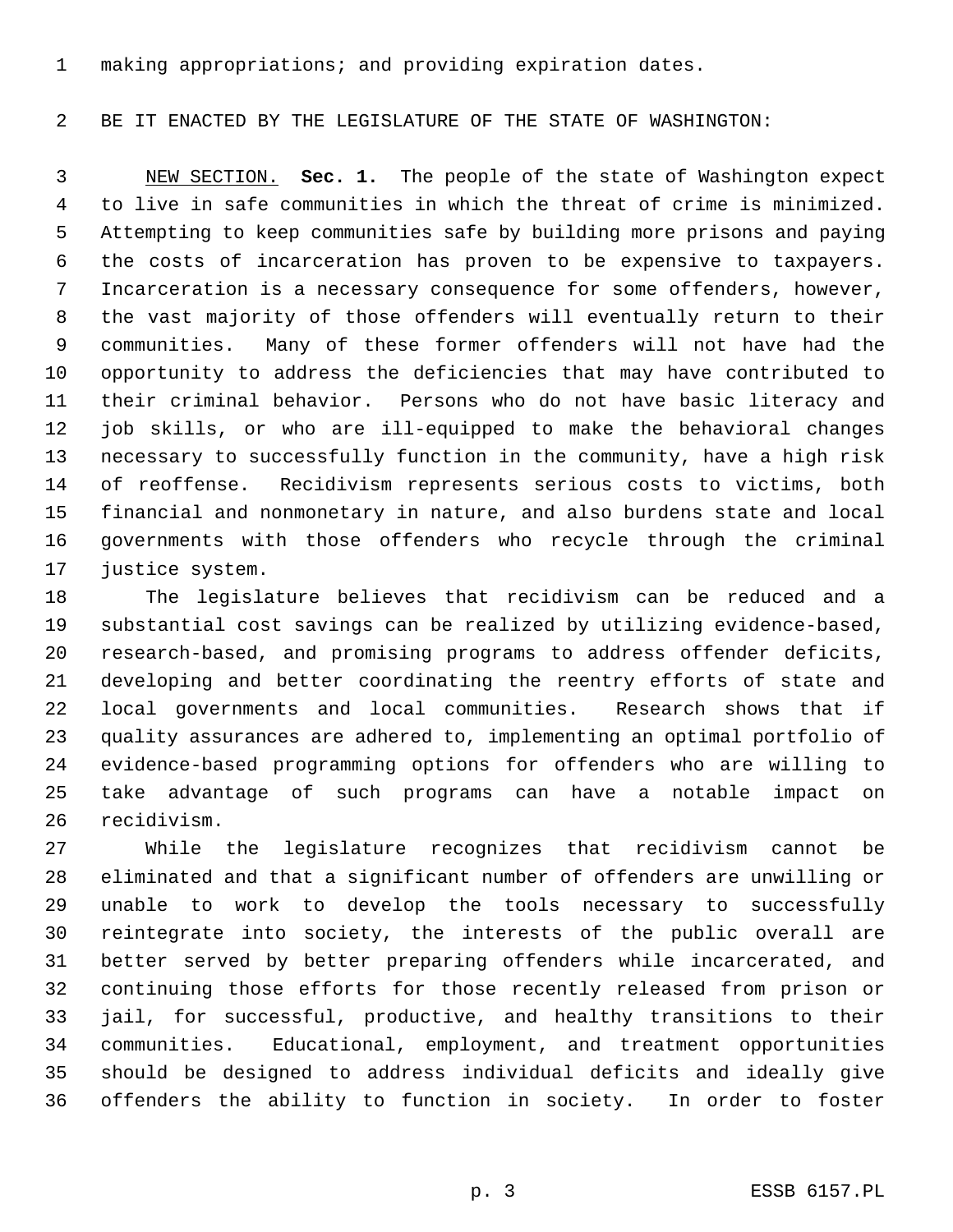making appropriations; and providing expiration dates.

# BE IT ENACTED BY THE LEGISLATURE OF THE STATE OF WASHINGTON:

 NEW SECTION. **Sec. 1.** The people of the state of Washington expect to live in safe communities in which the threat of crime is minimized. Attempting to keep communities safe by building more prisons and paying the costs of incarceration has proven to be expensive to taxpayers. Incarceration is a necessary consequence for some offenders, however, the vast majority of those offenders will eventually return to their communities. Many of these former offenders will not have had the opportunity to address the deficiencies that may have contributed to their criminal behavior. Persons who do not have basic literacy and job skills, or who are ill-equipped to make the behavioral changes necessary to successfully function in the community, have a high risk of reoffense. Recidivism represents serious costs to victims, both financial and nonmonetary in nature, and also burdens state and local governments with those offenders who recycle through the criminal justice system.

 The legislature believes that recidivism can be reduced and a substantial cost savings can be realized by utilizing evidence-based, research-based, and promising programs to address offender deficits, developing and better coordinating the reentry efforts of state and local governments and local communities. Research shows that if quality assurances are adhered to, implementing an optimal portfolio of evidence-based programming options for offenders who are willing to take advantage of such programs can have a notable impact on recidivism.

 While the legislature recognizes that recidivism cannot be eliminated and that a significant number of offenders are unwilling or unable to work to develop the tools necessary to successfully reintegrate into society, the interests of the public overall are better served by better preparing offenders while incarcerated, and continuing those efforts for those recently released from prison or jail, for successful, productive, and healthy transitions to their communities. Educational, employment, and treatment opportunities should be designed to address individual deficits and ideally give offenders the ability to function in society. In order to foster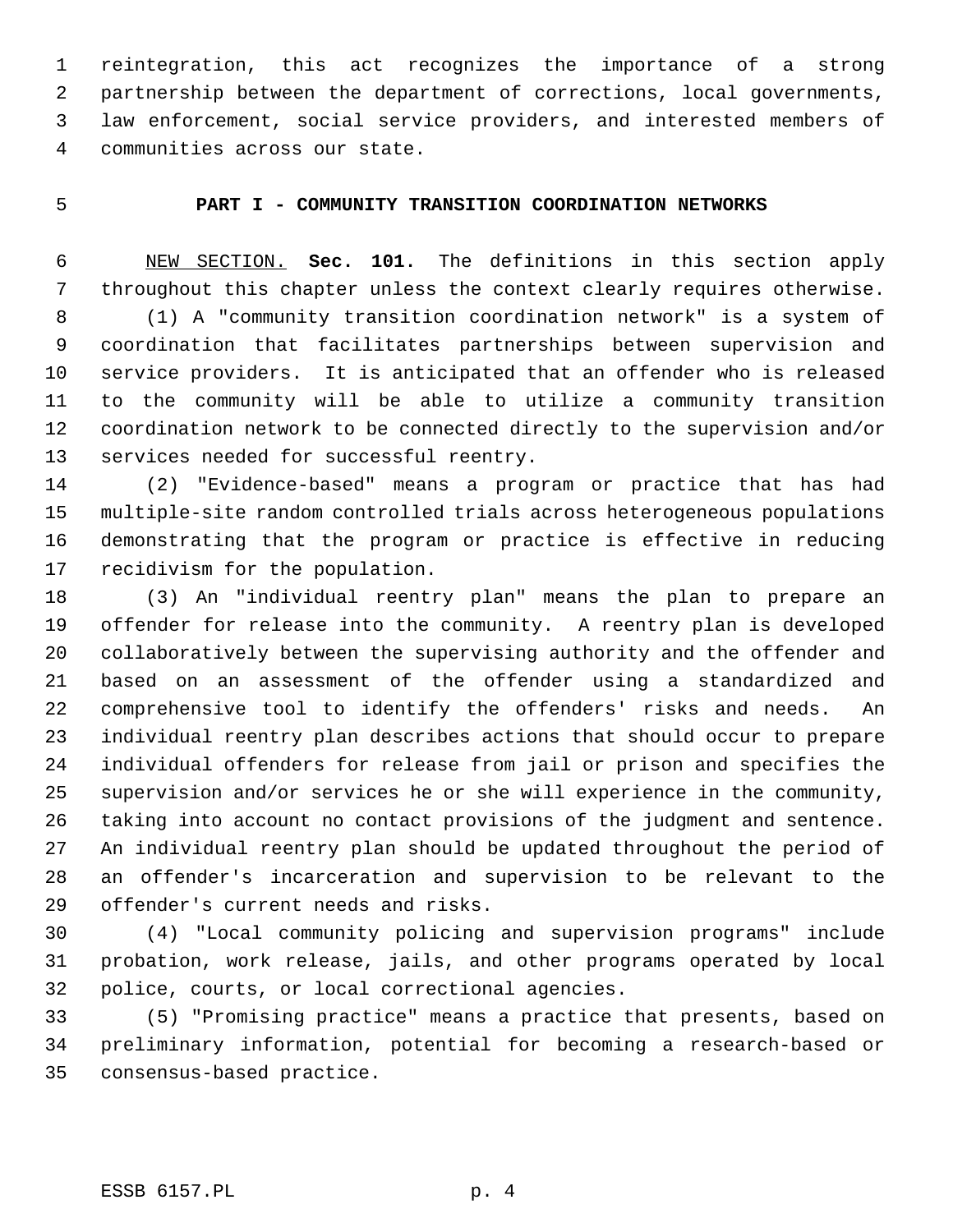reintegration, this act recognizes the importance of a strong partnership between the department of corrections, local governments, law enforcement, social service providers, and interested members of communities across our state.

## **PART I - COMMUNITY TRANSITION COORDINATION NETWORKS**

 NEW SECTION. **Sec. 101.** The definitions in this section apply throughout this chapter unless the context clearly requires otherwise. (1) A "community transition coordination network" is a system of coordination that facilitates partnerships between supervision and service providers. It is anticipated that an offender who is released to the community will be able to utilize a community transition coordination network to be connected directly to the supervision and/or services needed for successful reentry.

 (2) "Evidence-based" means a program or practice that has had multiple-site random controlled trials across heterogeneous populations demonstrating that the program or practice is effective in reducing recidivism for the population.

 (3) An "individual reentry plan" means the plan to prepare an offender for release into the community. A reentry plan is developed collaboratively between the supervising authority and the offender and based on an assessment of the offender using a standardized and comprehensive tool to identify the offenders' risks and needs. An individual reentry plan describes actions that should occur to prepare individual offenders for release from jail or prison and specifies the supervision and/or services he or she will experience in the community, taking into account no contact provisions of the judgment and sentence. An individual reentry plan should be updated throughout the period of an offender's incarceration and supervision to be relevant to the offender's current needs and risks.

 (4) "Local community policing and supervision programs" include probation, work release, jails, and other programs operated by local police, courts, or local correctional agencies.

 (5) "Promising practice" means a practice that presents, based on preliminary information, potential for becoming a research-based or consensus-based practice.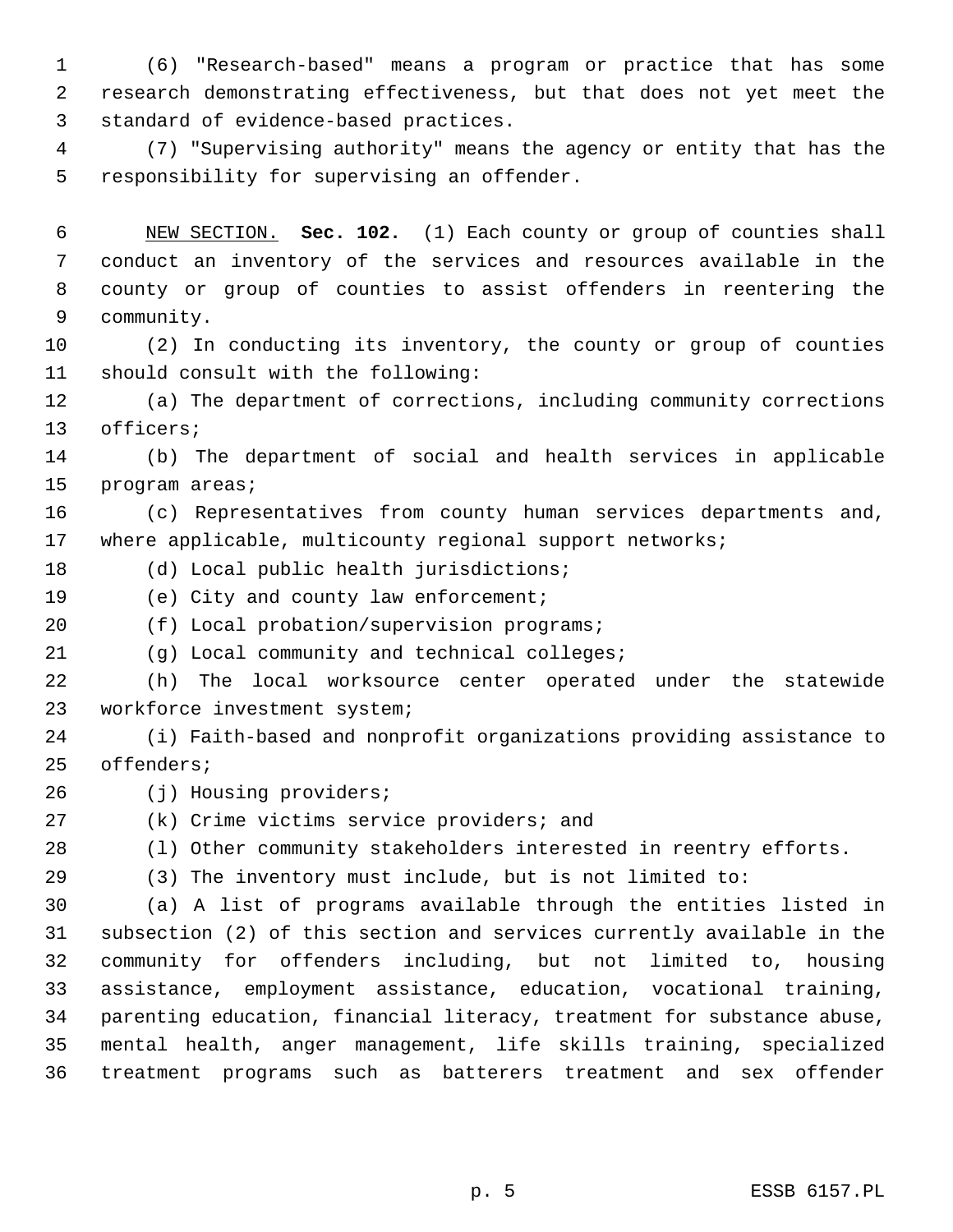(6) "Research-based" means a program or practice that has some research demonstrating effectiveness, but that does not yet meet the standard of evidence-based practices.

 (7) "Supervising authority" means the agency or entity that has the responsibility for supervising an offender.

 NEW SECTION. **Sec. 102.** (1) Each county or group of counties shall conduct an inventory of the services and resources available in the county or group of counties to assist offenders in reentering the community.

 (2) In conducting its inventory, the county or group of counties should consult with the following:

 (a) The department of corrections, including community corrections officers;

 (b) The department of social and health services in applicable program areas;

 (c) Representatives from county human services departments and, where applicable, multicounty regional support networks;

(d) Local public health jurisdictions;

(e) City and county law enforcement;

(f) Local probation/supervision programs;

(g) Local community and technical colleges;

 (h) The local worksource center operated under the statewide workforce investment system;

 (i) Faith-based and nonprofit organizations providing assistance to offenders;

(j) Housing providers;

(k) Crime victims service providers; and

(l) Other community stakeholders interested in reentry efforts.

(3) The inventory must include, but is not limited to:

 (a) A list of programs available through the entities listed in subsection (2) of this section and services currently available in the community for offenders including, but not limited to, housing assistance, employment assistance, education, vocational training, parenting education, financial literacy, treatment for substance abuse, mental health, anger management, life skills training, specialized treatment programs such as batterers treatment and sex offender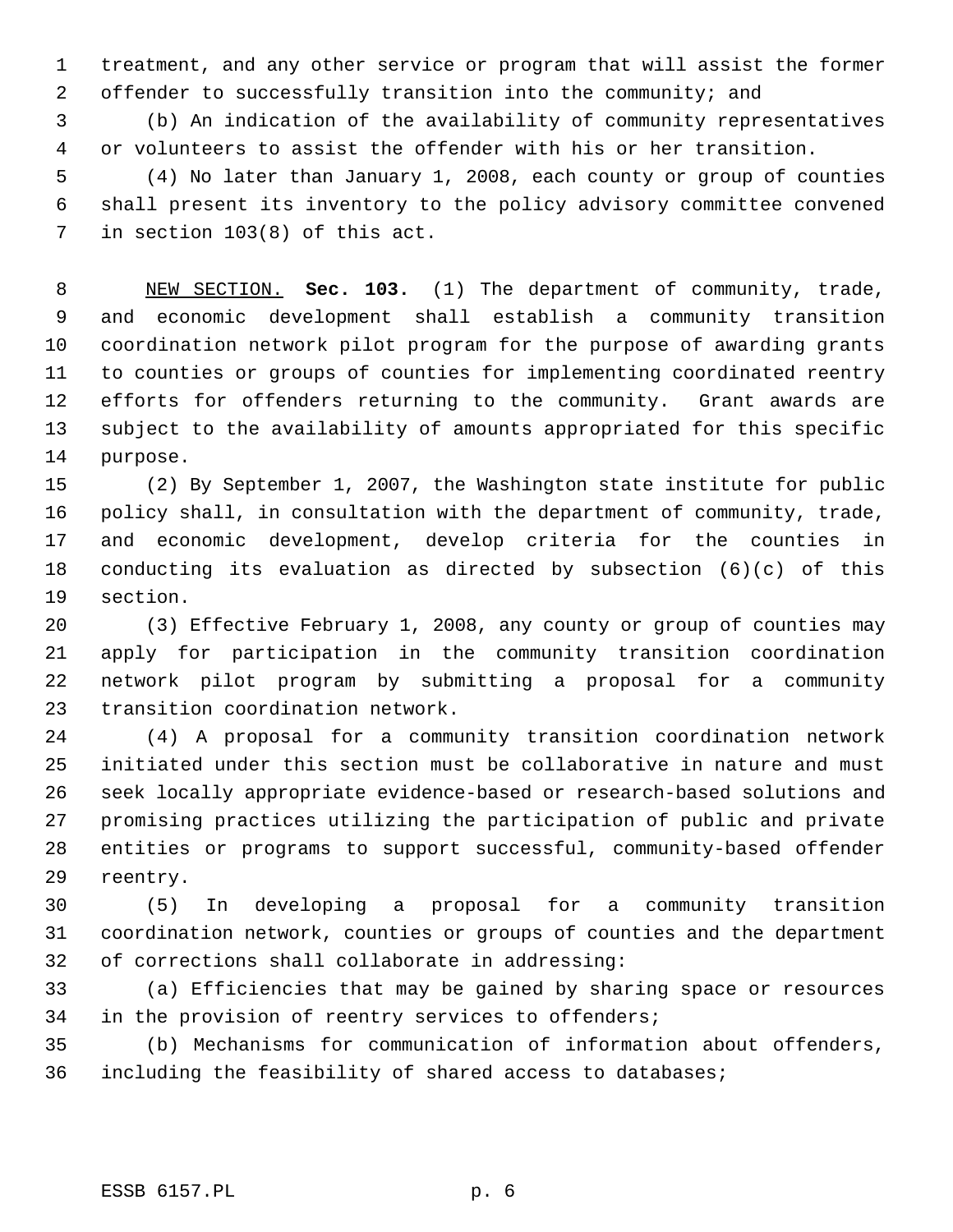treatment, and any other service or program that will assist the former offender to successfully transition into the community; and

 (b) An indication of the availability of community representatives or volunteers to assist the offender with his or her transition.

 (4) No later than January 1, 2008, each county or group of counties shall present its inventory to the policy advisory committee convened in section 103(8) of this act.

 NEW SECTION. **Sec. 103.** (1) The department of community, trade, and economic development shall establish a community transition coordination network pilot program for the purpose of awarding grants to counties or groups of counties for implementing coordinated reentry efforts for offenders returning to the community. Grant awards are subject to the availability of amounts appropriated for this specific purpose.

 (2) By September 1, 2007, the Washington state institute for public policy shall, in consultation with the department of community, trade, and economic development, develop criteria for the counties in conducting its evaluation as directed by subsection (6)(c) of this section.

 (3) Effective February 1, 2008, any county or group of counties may apply for participation in the community transition coordination network pilot program by submitting a proposal for a community transition coordination network.

 (4) A proposal for a community transition coordination network initiated under this section must be collaborative in nature and must seek locally appropriate evidence-based or research-based solutions and promising practices utilizing the participation of public and private entities or programs to support successful, community-based offender reentry.

 (5) In developing a proposal for a community transition coordination network, counties or groups of counties and the department of corrections shall collaborate in addressing:

 (a) Efficiencies that may be gained by sharing space or resources in the provision of reentry services to offenders;

 (b) Mechanisms for communication of information about offenders, including the feasibility of shared access to databases;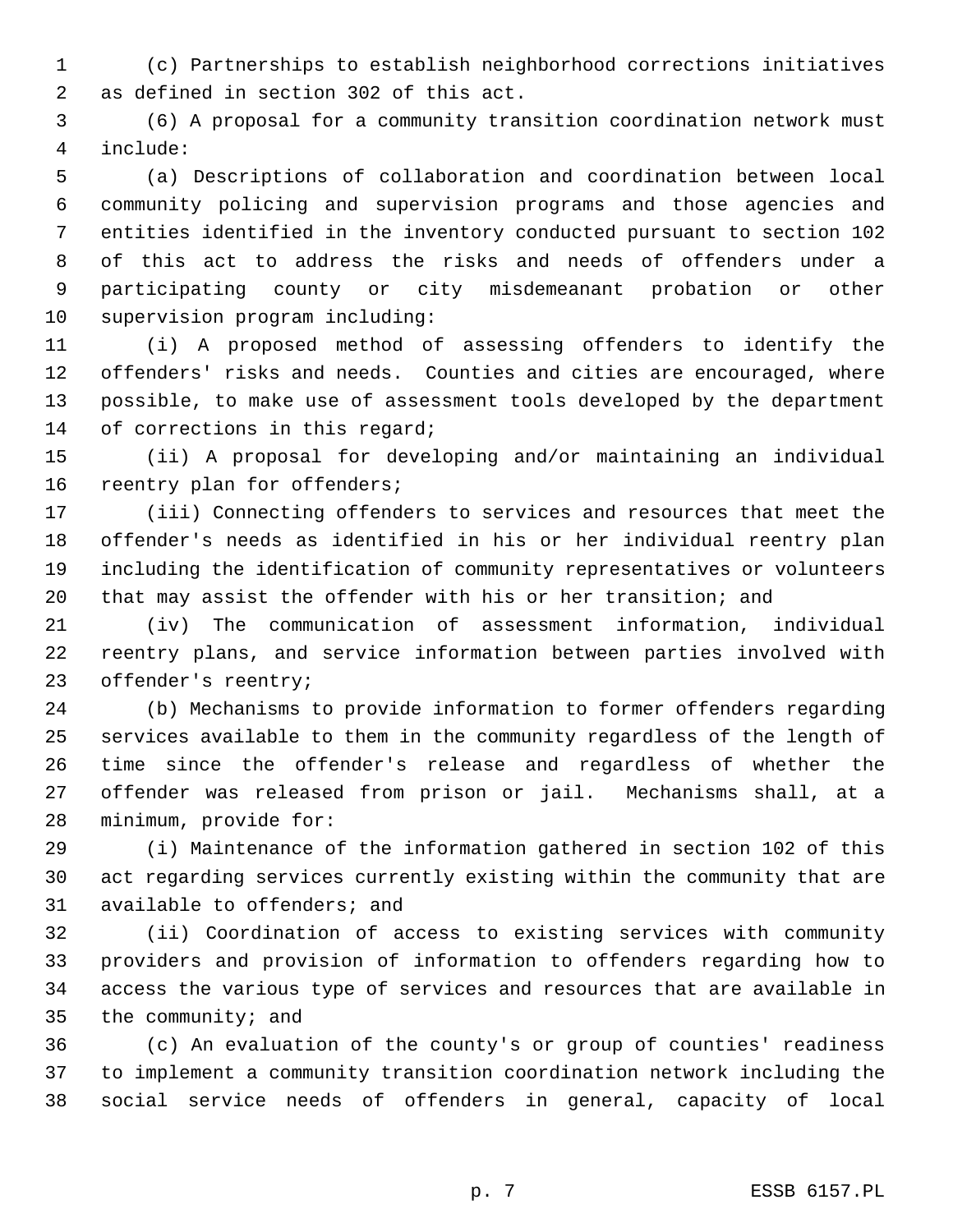(c) Partnerships to establish neighborhood corrections initiatives as defined in section 302 of this act.

 (6) A proposal for a community transition coordination network must include:

 (a) Descriptions of collaboration and coordination between local community policing and supervision programs and those agencies and entities identified in the inventory conducted pursuant to section 102 of this act to address the risks and needs of offenders under a participating county or city misdemeanant probation or other supervision program including:

 (i) A proposed method of assessing offenders to identify the offenders' risks and needs. Counties and cities are encouraged, where possible, to make use of assessment tools developed by the department 14 of corrections in this regard;

 (ii) A proposal for developing and/or maintaining an individual reentry plan for offenders;

 (iii) Connecting offenders to services and resources that meet the offender's needs as identified in his or her individual reentry plan including the identification of community representatives or volunteers that may assist the offender with his or her transition; and

 (iv) The communication of assessment information, individual reentry plans, and service information between parties involved with offender's reentry;

 (b) Mechanisms to provide information to former offenders regarding services available to them in the community regardless of the length of time since the offender's release and regardless of whether the offender was released from prison or jail. Mechanisms shall, at a minimum, provide for:

 (i) Maintenance of the information gathered in section 102 of this act regarding services currently existing within the community that are available to offenders; and

 (ii) Coordination of access to existing services with community providers and provision of information to offenders regarding how to access the various type of services and resources that are available in the community; and

 (c) An evaluation of the county's or group of counties' readiness to implement a community transition coordination network including the social service needs of offenders in general, capacity of local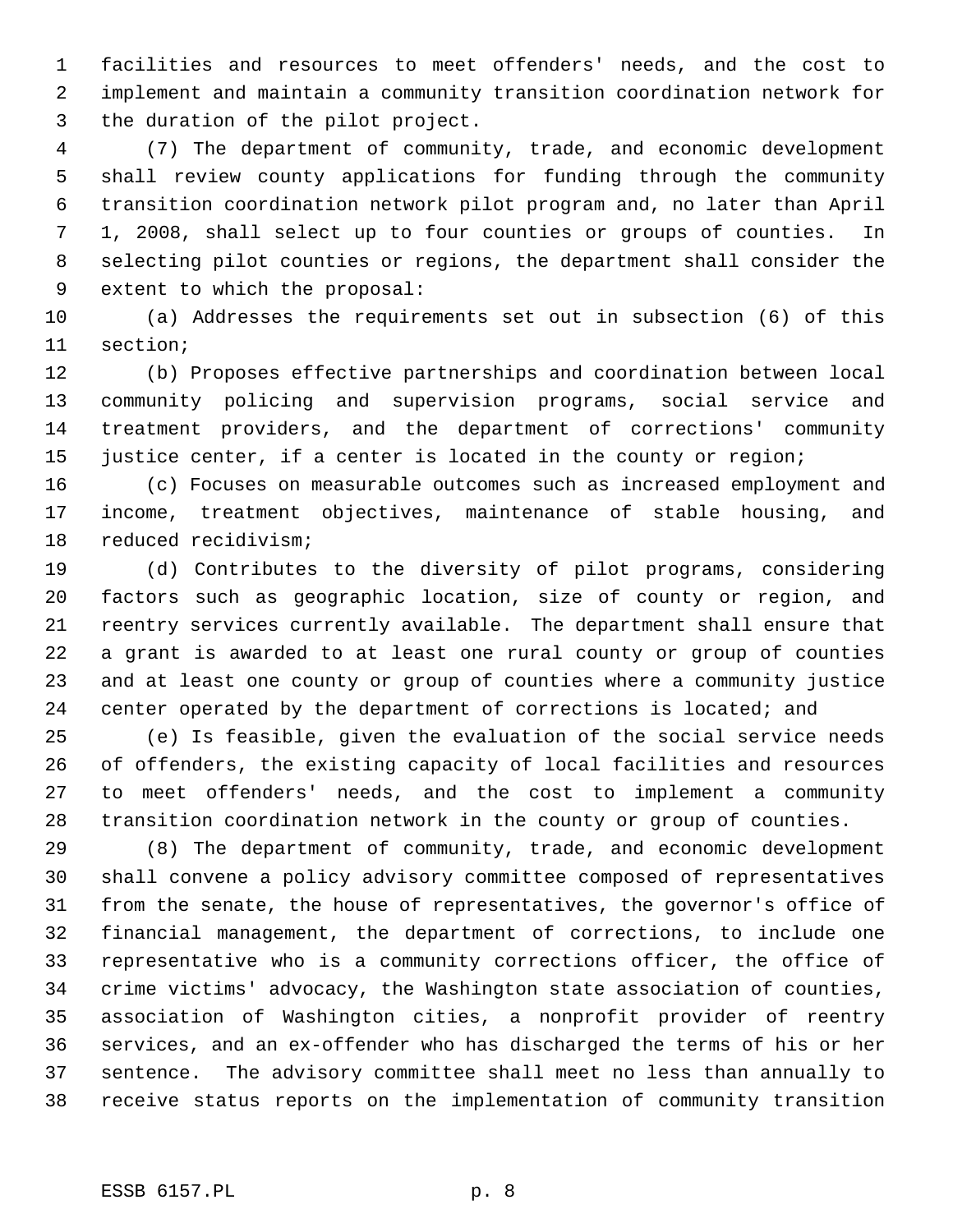facilities and resources to meet offenders' needs, and the cost to implement and maintain a community transition coordination network for the duration of the pilot project.

 (7) The department of community, trade, and economic development shall review county applications for funding through the community transition coordination network pilot program and, no later than April 1, 2008, shall select up to four counties or groups of counties. In selecting pilot counties or regions, the department shall consider the extent to which the proposal:

 (a) Addresses the requirements set out in subsection (6) of this section;

 (b) Proposes effective partnerships and coordination between local community policing and supervision programs, social service and treatment providers, and the department of corrections' community justice center, if a center is located in the county or region;

 (c) Focuses on measurable outcomes such as increased employment and income, treatment objectives, maintenance of stable housing, and reduced recidivism;

 (d) Contributes to the diversity of pilot programs, considering factors such as geographic location, size of county or region, and reentry services currently available. The department shall ensure that a grant is awarded to at least one rural county or group of counties and at least one county or group of counties where a community justice 24 center operated by the department of corrections is located; and

 (e) Is feasible, given the evaluation of the social service needs of offenders, the existing capacity of local facilities and resources to meet offenders' needs, and the cost to implement a community transition coordination network in the county or group of counties.

 (8) The department of community, trade, and economic development shall convene a policy advisory committee composed of representatives from the senate, the house of representatives, the governor's office of financial management, the department of corrections, to include one representative who is a community corrections officer, the office of crime victims' advocacy, the Washington state association of counties, association of Washington cities, a nonprofit provider of reentry services, and an ex-offender who has discharged the terms of his or her sentence. The advisory committee shall meet no less than annually to receive status reports on the implementation of community transition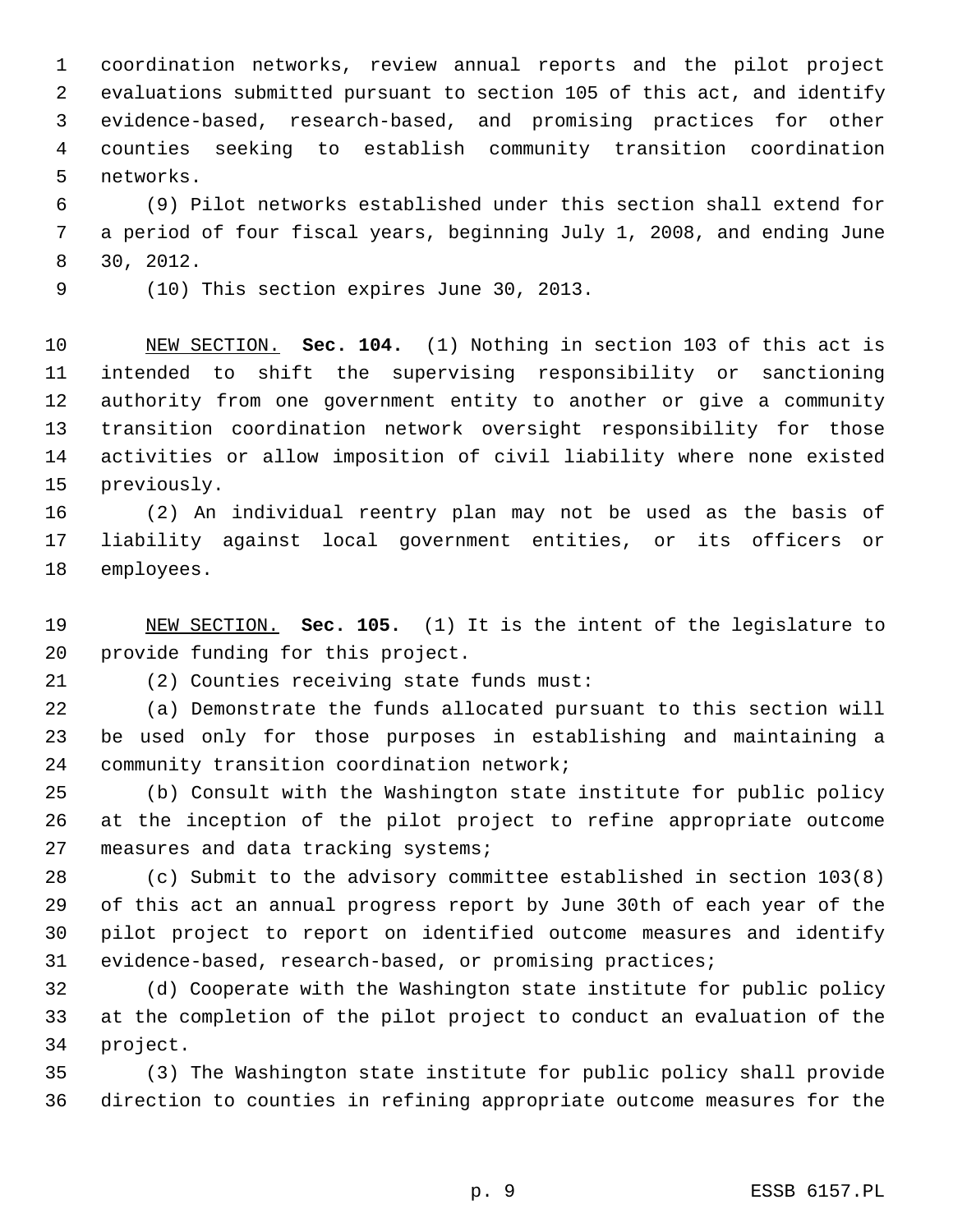coordination networks, review annual reports and the pilot project evaluations submitted pursuant to section 105 of this act, and identify evidence-based, research-based, and promising practices for other counties seeking to establish community transition coordination networks.

 (9) Pilot networks established under this section shall extend for a period of four fiscal years, beginning July 1, 2008, and ending June 30, 2012.

(10) This section expires June 30, 2013.

 NEW SECTION. **Sec. 104.** (1) Nothing in section 103 of this act is intended to shift the supervising responsibility or sanctioning authority from one government entity to another or give a community transition coordination network oversight responsibility for those activities or allow imposition of civil liability where none existed previously.

 (2) An individual reentry plan may not be used as the basis of liability against local government entities, or its officers or employees.

 NEW SECTION. **Sec. 105.** (1) It is the intent of the legislature to provide funding for this project.

(2) Counties receiving state funds must:

 (a) Demonstrate the funds allocated pursuant to this section will be used only for those purposes in establishing and maintaining a community transition coordination network;

 (b) Consult with the Washington state institute for public policy at the inception of the pilot project to refine appropriate outcome 27 measures and data tracking systems;

 (c) Submit to the advisory committee established in section 103(8) of this act an annual progress report by June 30th of each year of the pilot project to report on identified outcome measures and identify evidence-based, research-based, or promising practices;

 (d) Cooperate with the Washington state institute for public policy at the completion of the pilot project to conduct an evaluation of the project.

 (3) The Washington state institute for public policy shall provide direction to counties in refining appropriate outcome measures for the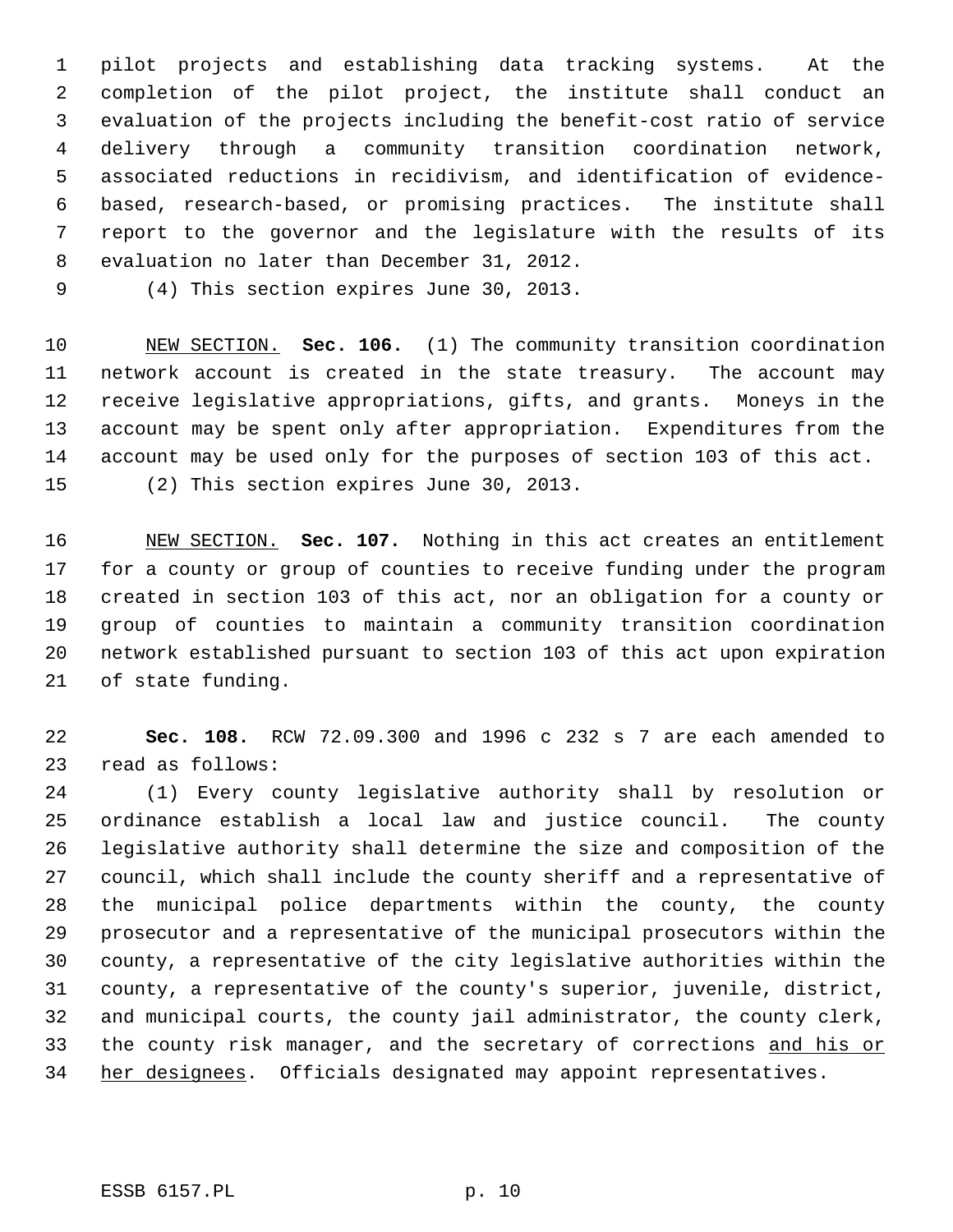pilot projects and establishing data tracking systems. At the completion of the pilot project, the institute shall conduct an evaluation of the projects including the benefit-cost ratio of service delivery through a community transition coordination network, associated reductions in recidivism, and identification of evidence- based, research-based, or promising practices. The institute shall report to the governor and the legislature with the results of its evaluation no later than December 31, 2012.

(4) This section expires June 30, 2013.

 NEW SECTION. **Sec. 106.** (1) The community transition coordination network account is created in the state treasury. The account may receive legislative appropriations, gifts, and grants. Moneys in the account may be spent only after appropriation. Expenditures from the account may be used only for the purposes of section 103 of this act. (2) This section expires June 30, 2013.

 NEW SECTION. **Sec. 107.** Nothing in this act creates an entitlement for a county or group of counties to receive funding under the program created in section 103 of this act, nor an obligation for a county or group of counties to maintain a community transition coordination network established pursuant to section 103 of this act upon expiration of state funding.

 **Sec. 108.** RCW 72.09.300 and 1996 c 232 s 7 are each amended to read as follows:

 (1) Every county legislative authority shall by resolution or ordinance establish a local law and justice council. The county legislative authority shall determine the size and composition of the council, which shall include the county sheriff and a representative of the municipal police departments within the county, the county prosecutor and a representative of the municipal prosecutors within the county, a representative of the city legislative authorities within the county, a representative of the county's superior, juvenile, district, and municipal courts, the county jail administrator, the county clerk, 33 the county risk manager, and the secretary of corrections and his or 34 her designees. Officials designated may appoint representatives.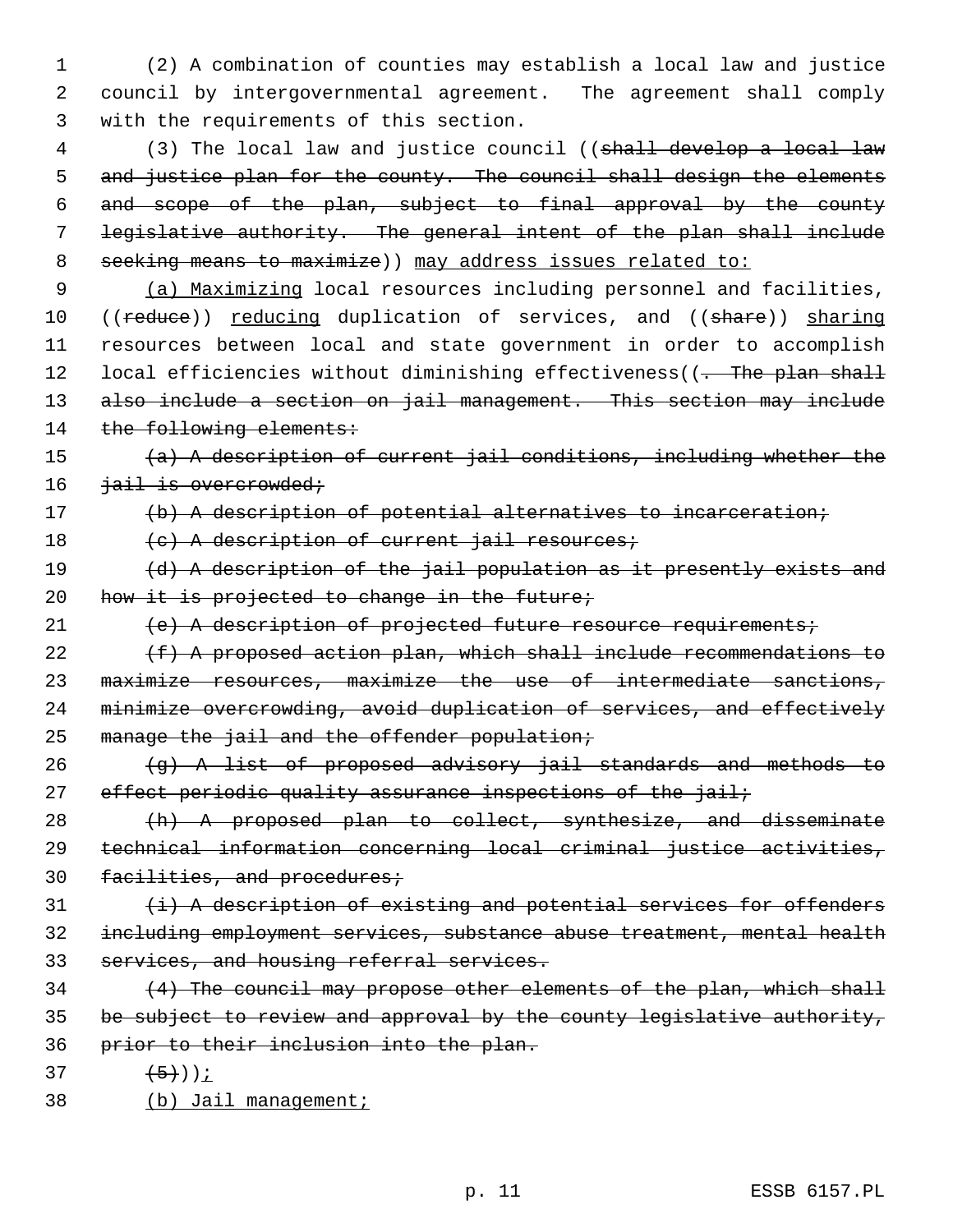1 (2) A combination of counties may establish a local law and justice 2 council by intergovernmental agreement. The agreement shall comply 3 with the requirements of this section.

4 (3) The local law and justice council ((shall develop a local law 5 and justice plan for the county. The council shall design the elements 6 and scope of the plan, subject to final approval by the county 7 legislative authority. The general intent of the plan shall include 8 seeking means to maximize) may address issues related to:

 9 (a) Maximizing local resources including personnel and facilities, 10 ((reduce)) reducing duplication of services, and ((share)) sharing 11 resources between local and state government in order to accomplish 12 local efficiencies without diminishing effectiveness((<del>. The plan shall</del> 13 also include a section on jail management. This section may include 14 the following elements:

15 (a) A description of current jail conditions, including whether the 16 <del>jail is overcrowded;</del>

17 (b) A description of potential alternatives to incarceration;

18 (c) A description of current jail resources;

19 (d) A description of the jail population as it presently exists and 20 how it is projected to change in the future;

21 (e) A description of projected future resource requirements;

 (f) A proposed action plan, which shall include recommendations to maximize resources, maximize the use of intermediate sanctions, minimize overcrowding, avoid duplication of services, and effectively 25 manage the jail and the offender population;

 $26$  (g) A list of proposed advisory jail standards and methods to 27 effect periodic quality assurance inspections of the jail;

28 (h) A proposed plan to collect, synthesize, and disseminate 29 technical information concerning local criminal justice activities, 30 facilities, and procedures;

 $31$   $\leftrightarrow$   $\leftrightarrow$  A description of existing and potential services for offenders 32 including employment services, substance abuse treatment, mental health 33 services, and housing referral services.

34 (4) The council may propose other elements of the plan, which shall 35 be subject to review and approval by the county legislative authority, 36 prior to their inclusion into the plan.

37  $(5)$ )<u>;</u>

38 (b) Jail management;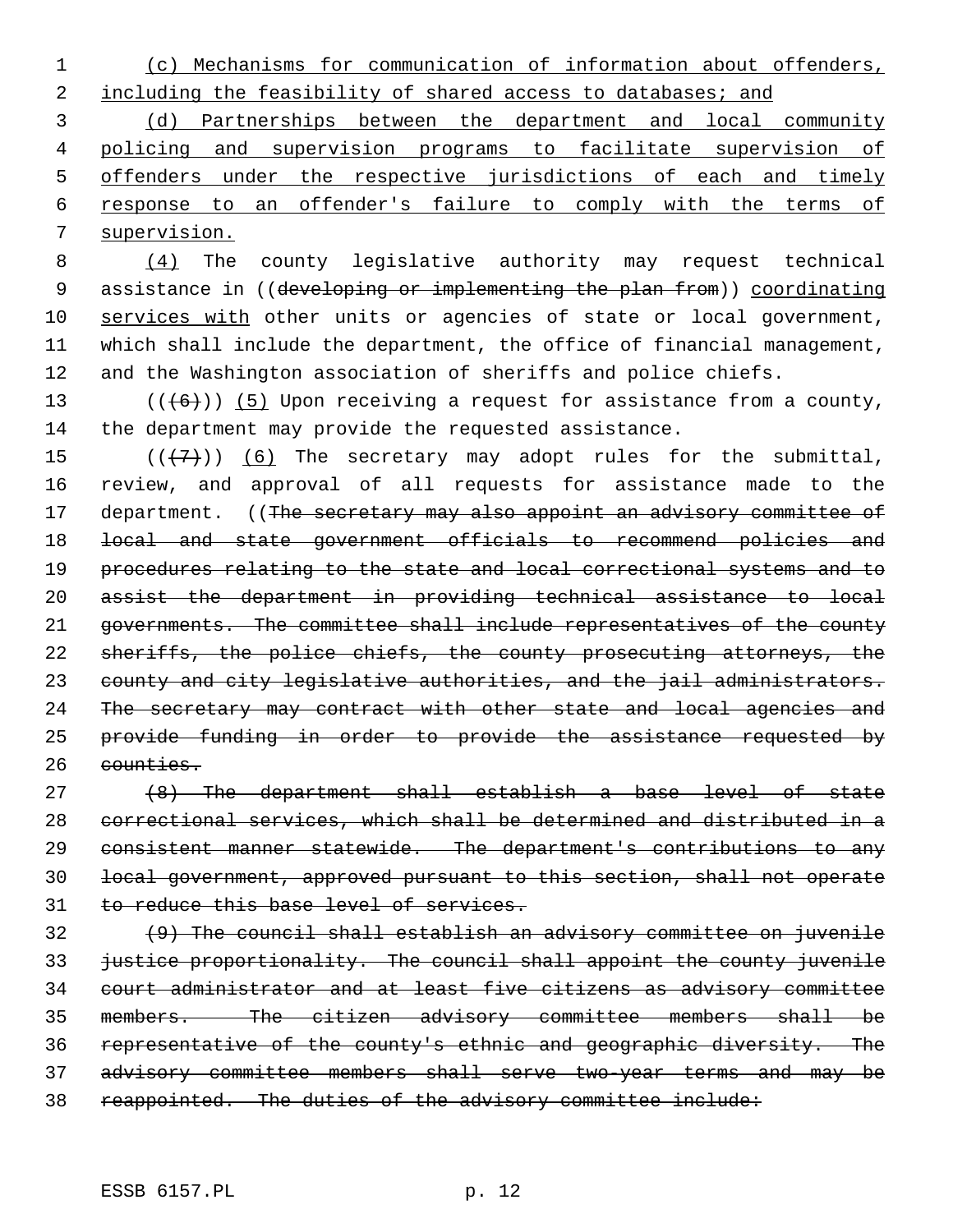(c) Mechanisms for communication of information about offenders,

2 including the feasibility of shared access to databases; and

 (d) Partnerships between the department and local community policing and supervision programs to facilitate supervision of 5 offenders under the respective jurisdictions of each and timely response to an offender's failure to comply with the terms of supervision.

 (4) The county legislative authority may request technical 9 assistance in ((developing or implementing the plan from)) coordinating services with other units or agencies of state or local government, which shall include the department, the office of financial management, and the Washington association of sheriffs and police chiefs.

13  $((+6))$  (5) Upon receiving a request for assistance from a county, the department may provide the requested assistance.

 $((+7)^{n})$  (6) The secretary may adopt rules for the submittal, review, and approval of all requests for assistance made to the 17 department. ((The secretary may also appoint an advisory committee of local and state government officials to recommend policies and procedures relating to the state and local correctional systems and to assist the department in providing technical assistance to local governments. The committee shall include representatives of the county 22 sheriffs, the police chiefs, the county prosecuting attorneys, the county and city legislative authorities, and the jail administrators. 24 The secretary may contract with other state and local agencies and provide funding in order to provide the assistance requested by counties.

 (8) The department shall establish a base level of state correctional services, which shall be determined and distributed in a consistent manner statewide. The department's contributions to any local government, approved pursuant to this section, shall not operate 31 to reduce this base level of services.

 (9) The council shall establish an advisory committee on juvenile 33 justice proportionality. The council shall appoint the county juvenile court administrator and at least five citizens as advisory committee members. The citizen advisory committee members shall be representative of the county's ethnic and geographic diversity. The advisory committee members shall serve two-year terms and may be 38 reappointed. The duties of the advisory committee include: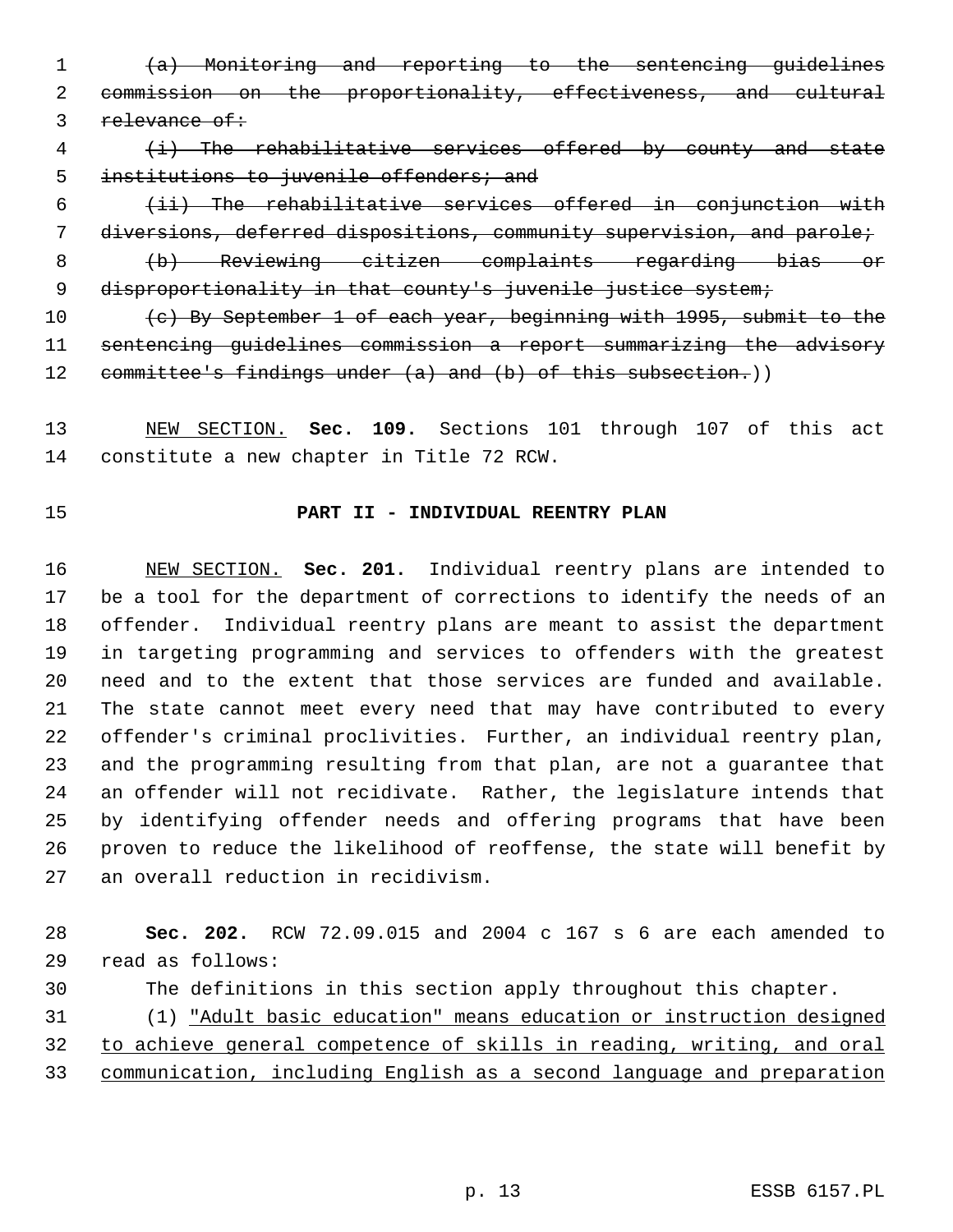(a) Monitoring and reporting to the sentencing guidelines commission on the proportionality, effectiveness, and cultural 3 relevance of:

 (i) The rehabilitative services offered by county and state 5 institutions to juvenile offenders; and

 (ii) The rehabilitative services offered in conjunction with diversions, deferred dispositions, community supervision, and parole; (b) Reviewing citizen complaints regarding bias or

9 disproportionality in that county's juvenile justice system;

10 (c) By September 1 of each year, beginning with 1995, submit to the sentencing guidelines commission a report summarizing the advisory 12 committee's findings under (a) and (b) of this subsection.)

 NEW SECTION. **Sec. 109.** Sections 101 through 107 of this act constitute a new chapter in Title 72 RCW.

# **PART II - INDIVIDUAL REENTRY PLAN**

 NEW SECTION. **Sec. 201.** Individual reentry plans are intended to be a tool for the department of corrections to identify the needs of an offender. Individual reentry plans are meant to assist the department in targeting programming and services to offenders with the greatest need and to the extent that those services are funded and available. The state cannot meet every need that may have contributed to every offender's criminal proclivities. Further, an individual reentry plan, and the programming resulting from that plan, are not a guarantee that an offender will not recidivate. Rather, the legislature intends that by identifying offender needs and offering programs that have been proven to reduce the likelihood of reoffense, the state will benefit by an overall reduction in recidivism.

 **Sec. 202.** RCW 72.09.015 and 2004 c 167 s 6 are each amended to read as follows:

The definitions in this section apply throughout this chapter.

 (1) "Adult basic education" means education or instruction designed to achieve general competence of skills in reading, writing, and oral communication, including English as a second language and preparation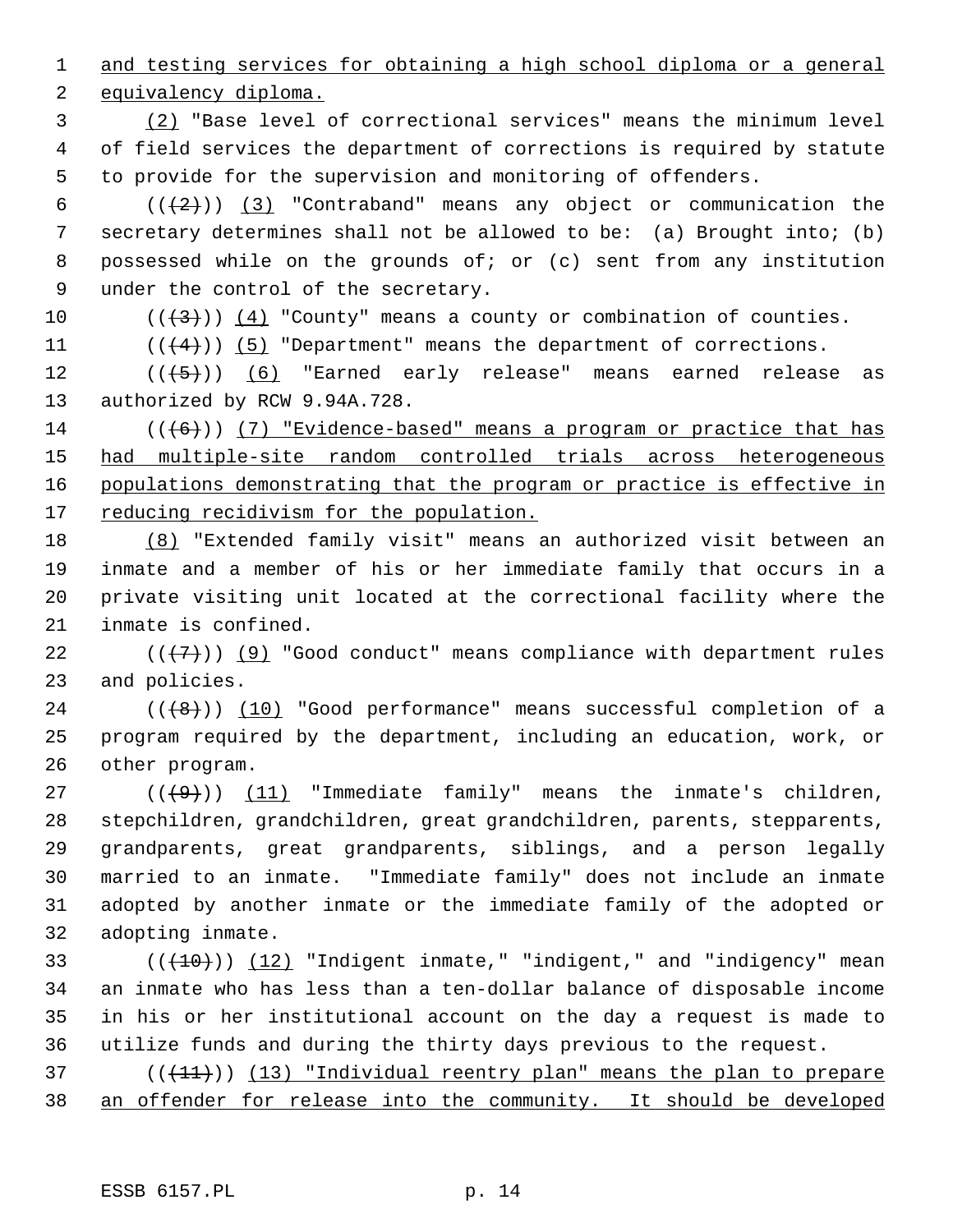and testing services for obtaining a high school diploma or a general

equivalency diploma.

 (2) "Base level of correctional services" means the minimum level of field services the department of corrections is required by statute to provide for the supervision and monitoring of offenders.

 $((+2))$   $(3)$  "Contraband" means any object or communication the secretary determines shall not be allowed to be: (a) Brought into; (b) possessed while on the grounds of; or (c) sent from any institution under the control of the secretary.

10  $((\langle 3 \rangle)(4)$  "County" means a county or combination of counties.

11  $((4+))$  (5) "Department" means the department of corrections.

 $((\langle 5 \rangle)(6)$  "Earned early release" means earned release as authorized by RCW 9.94A.728.

14 ( $((+6))$  (7) "Evidence-based" means a program or practice that has had multiple-site random controlled trials across heterogeneous 16 populations demonstrating that the program or practice is effective in 17 reducing recidivism for the population.

 (8) "Extended family visit" means an authorized visit between an inmate and a member of his or her immediate family that occurs in a private visiting unit located at the correctional facility where the inmate is confined.

22  $((+7))$  (9) "Good conduct" means compliance with department rules and policies.

 ( $(\overline{(+8)})$ ) (10) "Good performance" means successful completion of a program required by the department, including an education, work, or other program.

 $((\langle 9 \rangle)(11)^{\circ})$  "Immediate family" means the inmate's children, stepchildren, grandchildren, great grandchildren, parents, stepparents, grandparents, great grandparents, siblings, and a person legally married to an inmate. "Immediate family" does not include an inmate adopted by another inmate or the immediate family of the adopted or adopting inmate.

 $((+10))$   $(12)$  "Indigent inmate," "indigent," and "indigency" mean an inmate who has less than a ten-dollar balance of disposable income in his or her institutional account on the day a request is made to utilize funds and during the thirty days previous to the request.

 (( $(11)$ )) (13) "Individual reentry plan" means the plan to prepare an offender for release into the community. It should be developed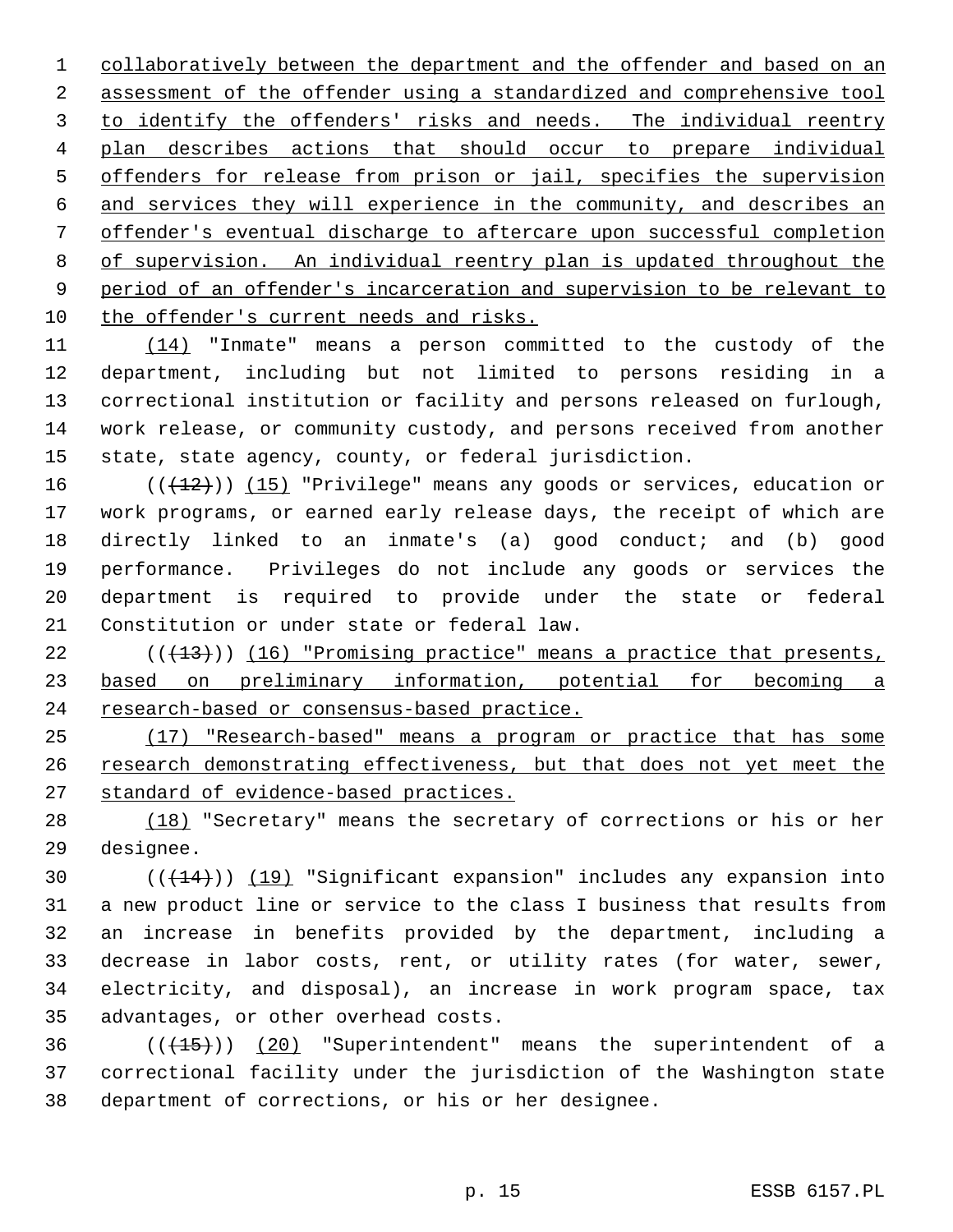collaboratively between the department and the offender and based on an assessment of the offender using a standardized and comprehensive tool 3 to identify the offenders' risks and needs. The individual reentry plan describes actions that should occur to prepare individual offenders for release from prison or jail, specifies the supervision and services they will experience in the community, and describes an offender's eventual discharge to aftercare upon successful completion of supervision. An individual reentry plan is updated throughout the period of an offender's incarceration and supervision to be relevant to the offender's current needs and risks.

 (14) "Inmate" means a person committed to the custody of the department, including but not limited to persons residing in a correctional institution or facility and persons released on furlough, work release, or community custody, and persons received from another state, state agency, county, or federal jurisdiction.

16 ( $(\frac{12}{12})$ ) (15) "Privilege" means any goods or services, education or work programs, or earned early release days, the receipt of which are directly linked to an inmate's (a) good conduct; and (b) good performance. Privileges do not include any goods or services the department is required to provide under the state or federal Constitution or under state or federal law.

 $(1, 13)$  (( $1, 14$ ))) (16) "Promising practice" means a practice that presents, based on preliminary information, potential for becoming a 24 research-based or consensus-based practice.

 (17) "Research-based" means a program or practice that has some 26 research demonstrating effectiveness, but that does not yet meet the standard of evidence-based practices.

28 (18) "Secretary" means the secretary of corrections or his or her designee.

 $((+14))$   $(19)$  "Significant expansion" includes any expansion into a new product line or service to the class I business that results from an increase in benefits provided by the department, including a decrease in labor costs, rent, or utility rates (for water, sewer, electricity, and disposal), an increase in work program space, tax advantages, or other overhead costs.

36  $((+15))$  (20) "Superintendent" means the superintendent of a correctional facility under the jurisdiction of the Washington state department of corrections, or his or her designee.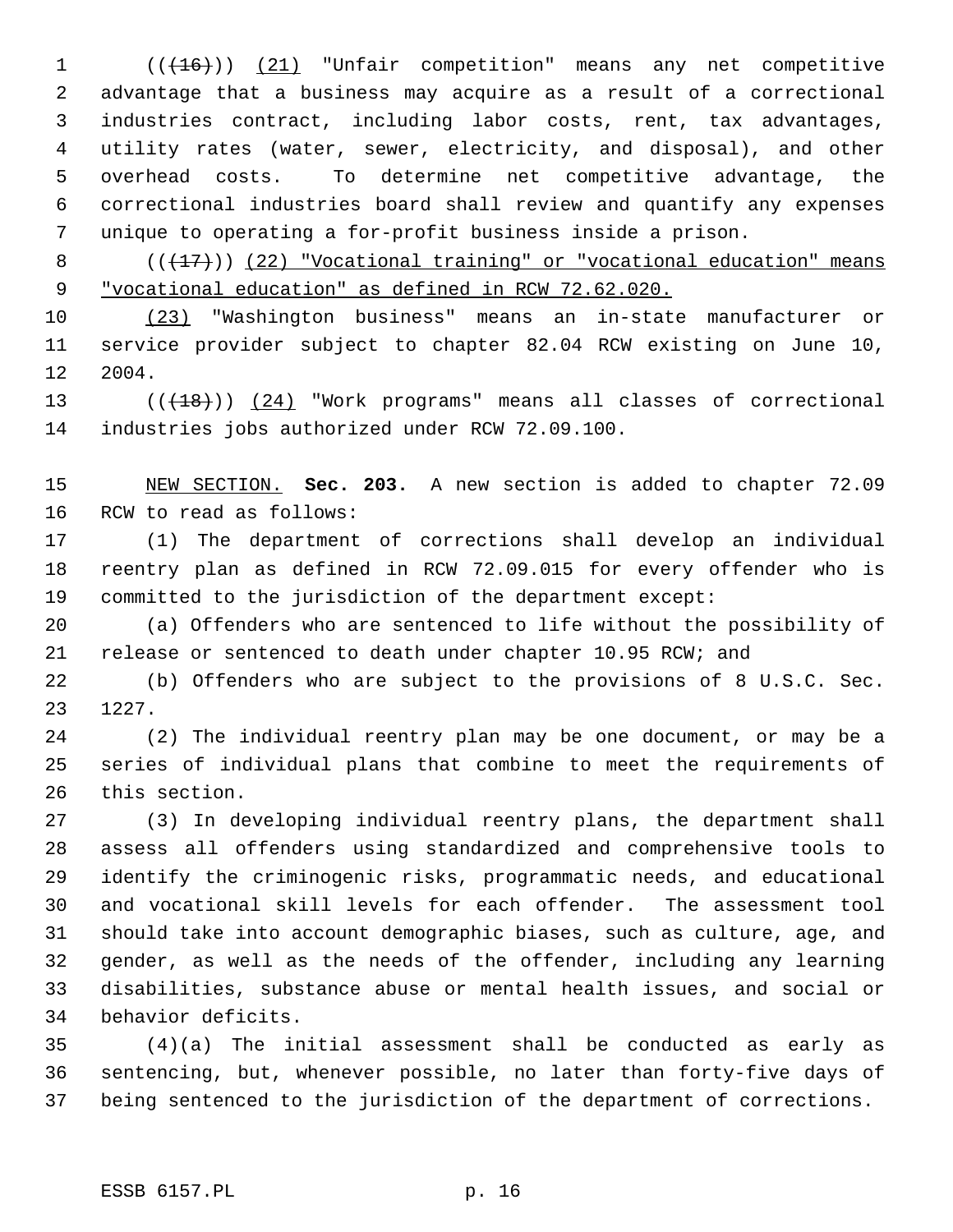1 (( $(16)$ )) (21) "Unfair competition" means any net competitive advantage that a business may acquire as a result of a correctional industries contract, including labor costs, rent, tax advantages, utility rates (water, sewer, electricity, and disposal), and other overhead costs. To determine net competitive advantage, the correctional industries board shall review and quantify any expenses unique to operating a for-profit business inside a prison.

8  $((+17))$  (22) "Vocational training" or "vocational education" means "vocational education" as defined in RCW 72.62.020.

 (23) "Washington business" means an in-state manufacturer or service provider subject to chapter 82.04 RCW existing on June 10, 2004.

13 (( $(18)$ )) (24) "Work programs" means all classes of correctional industries jobs authorized under RCW 72.09.100.

 NEW SECTION. **Sec. 203.** A new section is added to chapter 72.09 RCW to read as follows:

 (1) The department of corrections shall develop an individual reentry plan as defined in RCW 72.09.015 for every offender who is committed to the jurisdiction of the department except:

 (a) Offenders who are sentenced to life without the possibility of release or sentenced to death under chapter 10.95 RCW; and

 (b) Offenders who are subject to the provisions of 8 U.S.C. Sec. 1227.

 (2) The individual reentry plan may be one document, or may be a series of individual plans that combine to meet the requirements of this section.

 (3) In developing individual reentry plans, the department shall assess all offenders using standardized and comprehensive tools to identify the criminogenic risks, programmatic needs, and educational and vocational skill levels for each offender. The assessment tool should take into account demographic biases, such as culture, age, and gender, as well as the needs of the offender, including any learning disabilities, substance abuse or mental health issues, and social or behavior deficits.

 (4)(a) The initial assessment shall be conducted as early as sentencing, but, whenever possible, no later than forty-five days of being sentenced to the jurisdiction of the department of corrections.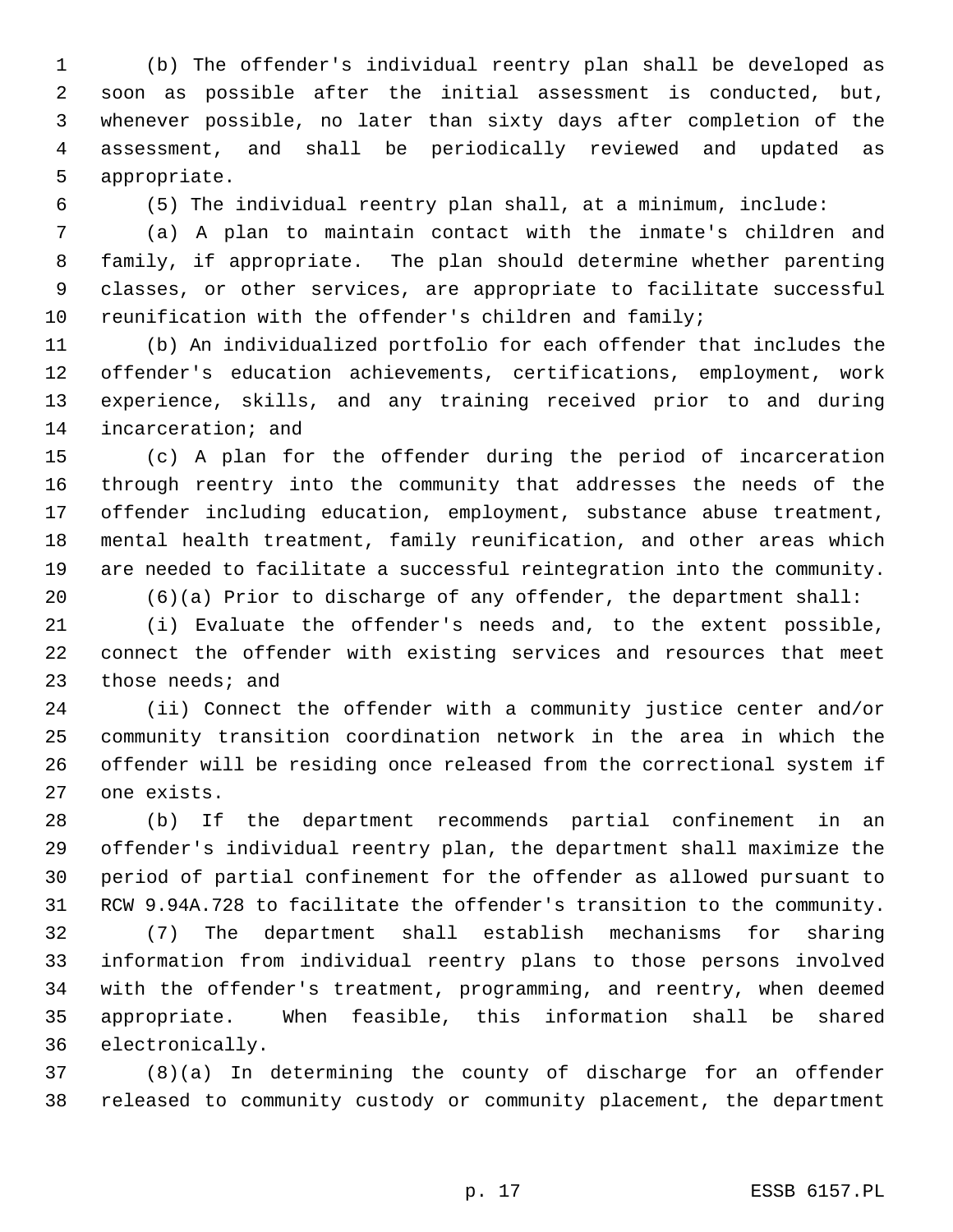(b) The offender's individual reentry plan shall be developed as soon as possible after the initial assessment is conducted, but, whenever possible, no later than sixty days after completion of the assessment, and shall be periodically reviewed and updated as appropriate.

(5) The individual reentry plan shall, at a minimum, include:

 (a) A plan to maintain contact with the inmate's children and family, if appropriate. The plan should determine whether parenting classes, or other services, are appropriate to facilitate successful reunification with the offender's children and family;

 (b) An individualized portfolio for each offender that includes the offender's education achievements, certifications, employment, work experience, skills, and any training received prior to and during incarceration; and

 (c) A plan for the offender during the period of incarceration through reentry into the community that addresses the needs of the offender including education, employment, substance abuse treatment, mental health treatment, family reunification, and other areas which are needed to facilitate a successful reintegration into the community.

(6)(a) Prior to discharge of any offender, the department shall:

 (i) Evaluate the offender's needs and, to the extent possible, connect the offender with existing services and resources that meet those needs; and

 (ii) Connect the offender with a community justice center and/or community transition coordination network in the area in which the offender will be residing once released from the correctional system if one exists.

 (b) If the department recommends partial confinement in an offender's individual reentry plan, the department shall maximize the period of partial confinement for the offender as allowed pursuant to RCW 9.94A.728 to facilitate the offender's transition to the community.

 (7) The department shall establish mechanisms for sharing information from individual reentry plans to those persons involved with the offender's treatment, programming, and reentry, when deemed appropriate. When feasible, this information shall be shared electronically.

 (8)(a) In determining the county of discharge for an offender released to community custody or community placement, the department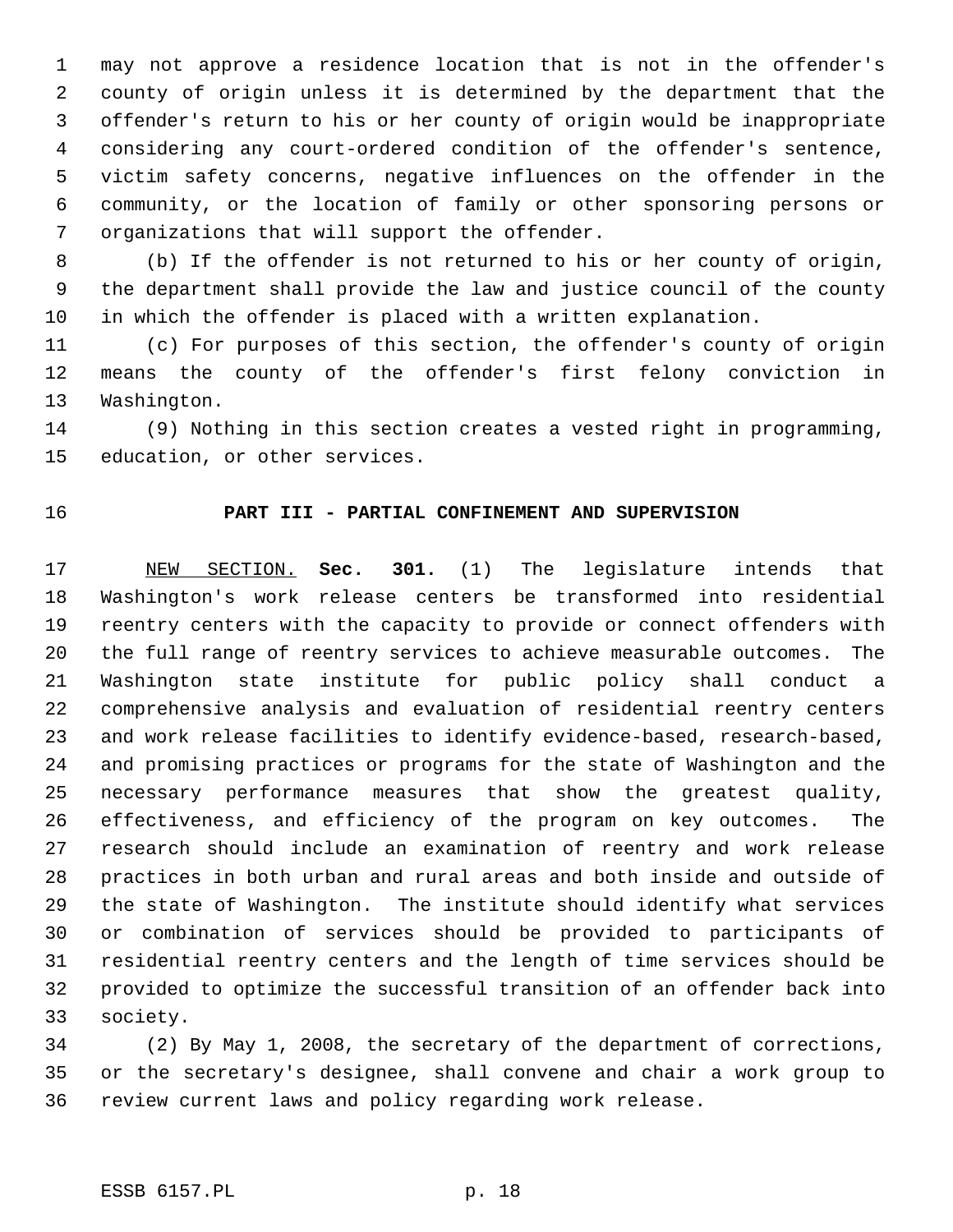may not approve a residence location that is not in the offender's county of origin unless it is determined by the department that the offender's return to his or her county of origin would be inappropriate considering any court-ordered condition of the offender's sentence, victim safety concerns, negative influences on the offender in the community, or the location of family or other sponsoring persons or organizations that will support the offender.

 (b) If the offender is not returned to his or her county of origin, the department shall provide the law and justice council of the county in which the offender is placed with a written explanation.

 (c) For purposes of this section, the offender's county of origin means the county of the offender's first felony conviction in Washington.

 (9) Nothing in this section creates a vested right in programming, education, or other services.

### **PART III - PARTIAL CONFINEMENT AND SUPERVISION**

 NEW SECTION. **Sec. 301.** (1) The legislature intends that Washington's work release centers be transformed into residential reentry centers with the capacity to provide or connect offenders with the full range of reentry services to achieve measurable outcomes. The Washington state institute for public policy shall conduct a comprehensive analysis and evaluation of residential reentry centers and work release facilities to identify evidence-based, research-based, and promising practices or programs for the state of Washington and the necessary performance measures that show the greatest quality, effectiveness, and efficiency of the program on key outcomes. The research should include an examination of reentry and work release practices in both urban and rural areas and both inside and outside of the state of Washington. The institute should identify what services or combination of services should be provided to participants of residential reentry centers and the length of time services should be provided to optimize the successful transition of an offender back into society.

 (2) By May 1, 2008, the secretary of the department of corrections, or the secretary's designee, shall convene and chair a work group to review current laws and policy regarding work release.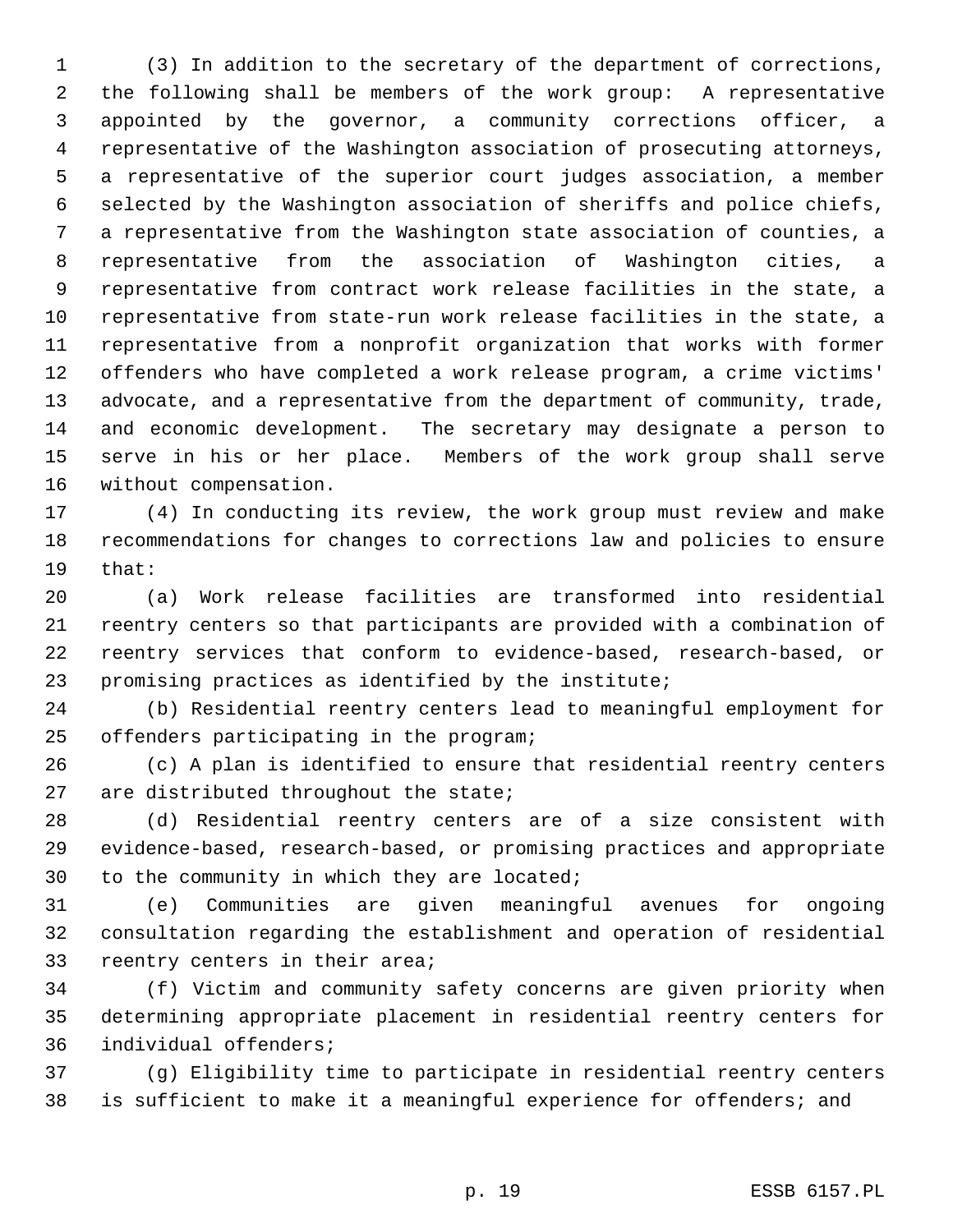(3) In addition to the secretary of the department of corrections, the following shall be members of the work group: A representative appointed by the governor, a community corrections officer, a representative of the Washington association of prosecuting attorneys, a representative of the superior court judges association, a member selected by the Washington association of sheriffs and police chiefs, a representative from the Washington state association of counties, a representative from the association of Washington cities, a representative from contract work release facilities in the state, a representative from state-run work release facilities in the state, a representative from a nonprofit organization that works with former offenders who have completed a work release program, a crime victims' advocate, and a representative from the department of community, trade, and economic development. The secretary may designate a person to serve in his or her place. Members of the work group shall serve without compensation.

 (4) In conducting its review, the work group must review and make recommendations for changes to corrections law and policies to ensure that:

 (a) Work release facilities are transformed into residential reentry centers so that participants are provided with a combination of reentry services that conform to evidence-based, research-based, or promising practices as identified by the institute;

 (b) Residential reentry centers lead to meaningful employment for offenders participating in the program;

 (c) A plan is identified to ensure that residential reentry centers are distributed throughout the state;

 (d) Residential reentry centers are of a size consistent with evidence-based, research-based, or promising practices and appropriate to the community in which they are located;

 (e) Communities are given meaningful avenues for ongoing consultation regarding the establishment and operation of residential reentry centers in their area;

 (f) Victim and community safety concerns are given priority when determining appropriate placement in residential reentry centers for individual offenders;

 (g) Eligibility time to participate in residential reentry centers is sufficient to make it a meaningful experience for offenders; and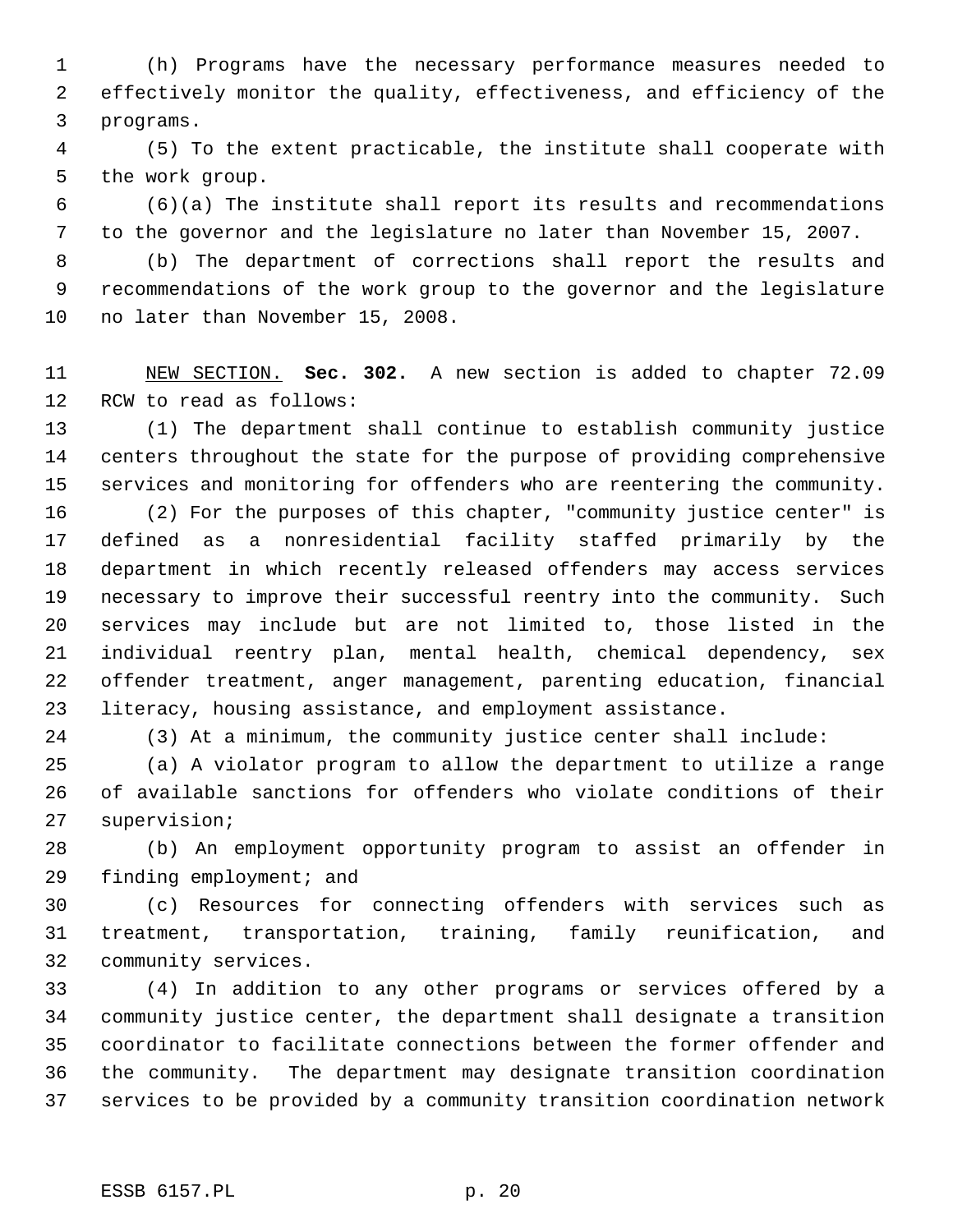(h) Programs have the necessary performance measures needed to effectively monitor the quality, effectiveness, and efficiency of the programs.

 (5) To the extent practicable, the institute shall cooperate with the work group.

 (6)(a) The institute shall report its results and recommendations to the governor and the legislature no later than November 15, 2007.

 (b) The department of corrections shall report the results and recommendations of the work group to the governor and the legislature no later than November 15, 2008.

 NEW SECTION. **Sec. 302.** A new section is added to chapter 72.09 RCW to read as follows:

 (1) The department shall continue to establish community justice centers throughout the state for the purpose of providing comprehensive services and monitoring for offenders who are reentering the community.

 (2) For the purposes of this chapter, "community justice center" is defined as a nonresidential facility staffed primarily by the department in which recently released offenders may access services necessary to improve their successful reentry into the community. Such services may include but are not limited to, those listed in the individual reentry plan, mental health, chemical dependency, sex offender treatment, anger management, parenting education, financial literacy, housing assistance, and employment assistance.

(3) At a minimum, the community justice center shall include:

 (a) A violator program to allow the department to utilize a range of available sanctions for offenders who violate conditions of their supervision;

 (b) An employment opportunity program to assist an offender in finding employment; and

 (c) Resources for connecting offenders with services such as treatment, transportation, training, family reunification, and community services.

 (4) In addition to any other programs or services offered by a community justice center, the department shall designate a transition coordinator to facilitate connections between the former offender and the community. The department may designate transition coordination services to be provided by a community transition coordination network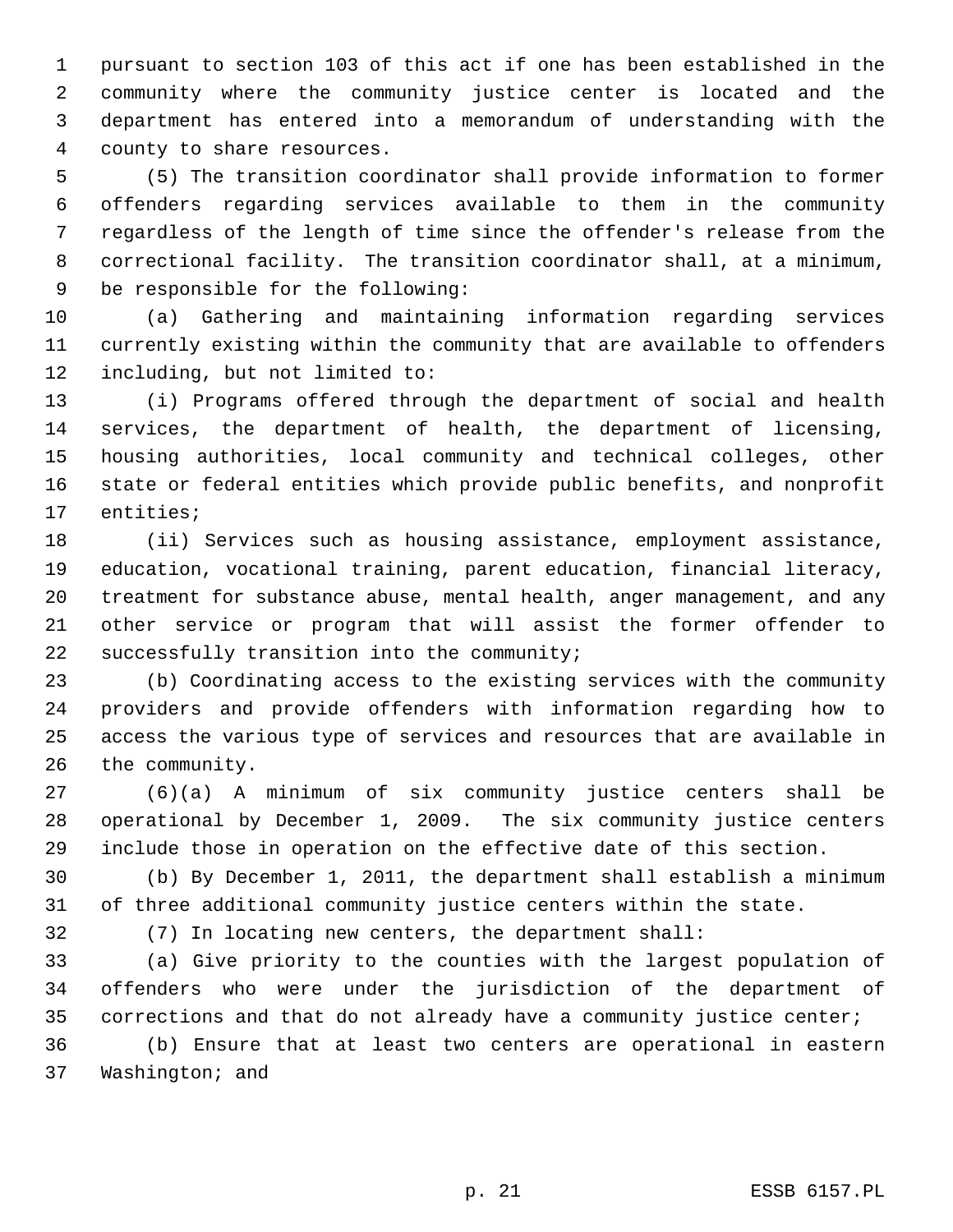pursuant to section 103 of this act if one has been established in the community where the community justice center is located and the department has entered into a memorandum of understanding with the county to share resources.

 (5) The transition coordinator shall provide information to former offenders regarding services available to them in the community regardless of the length of time since the offender's release from the correctional facility. The transition coordinator shall, at a minimum, be responsible for the following:

 (a) Gathering and maintaining information regarding services currently existing within the community that are available to offenders including, but not limited to:

 (i) Programs offered through the department of social and health services, the department of health, the department of licensing, housing authorities, local community and technical colleges, other state or federal entities which provide public benefits, and nonprofit entities;

 (ii) Services such as housing assistance, employment assistance, education, vocational training, parent education, financial literacy, treatment for substance abuse, mental health, anger management, and any other service or program that will assist the former offender to successfully transition into the community;

 (b) Coordinating access to the existing services with the community providers and provide offenders with information regarding how to access the various type of services and resources that are available in the community.

 (6)(a) A minimum of six community justice centers shall be operational by December 1, 2009. The six community justice centers include those in operation on the effective date of this section.

 (b) By December 1, 2011, the department shall establish a minimum of three additional community justice centers within the state.

(7) In locating new centers, the department shall:

 (a) Give priority to the counties with the largest population of offenders who were under the jurisdiction of the department of corrections and that do not already have a community justice center;

 (b) Ensure that at least two centers are operational in eastern Washington; and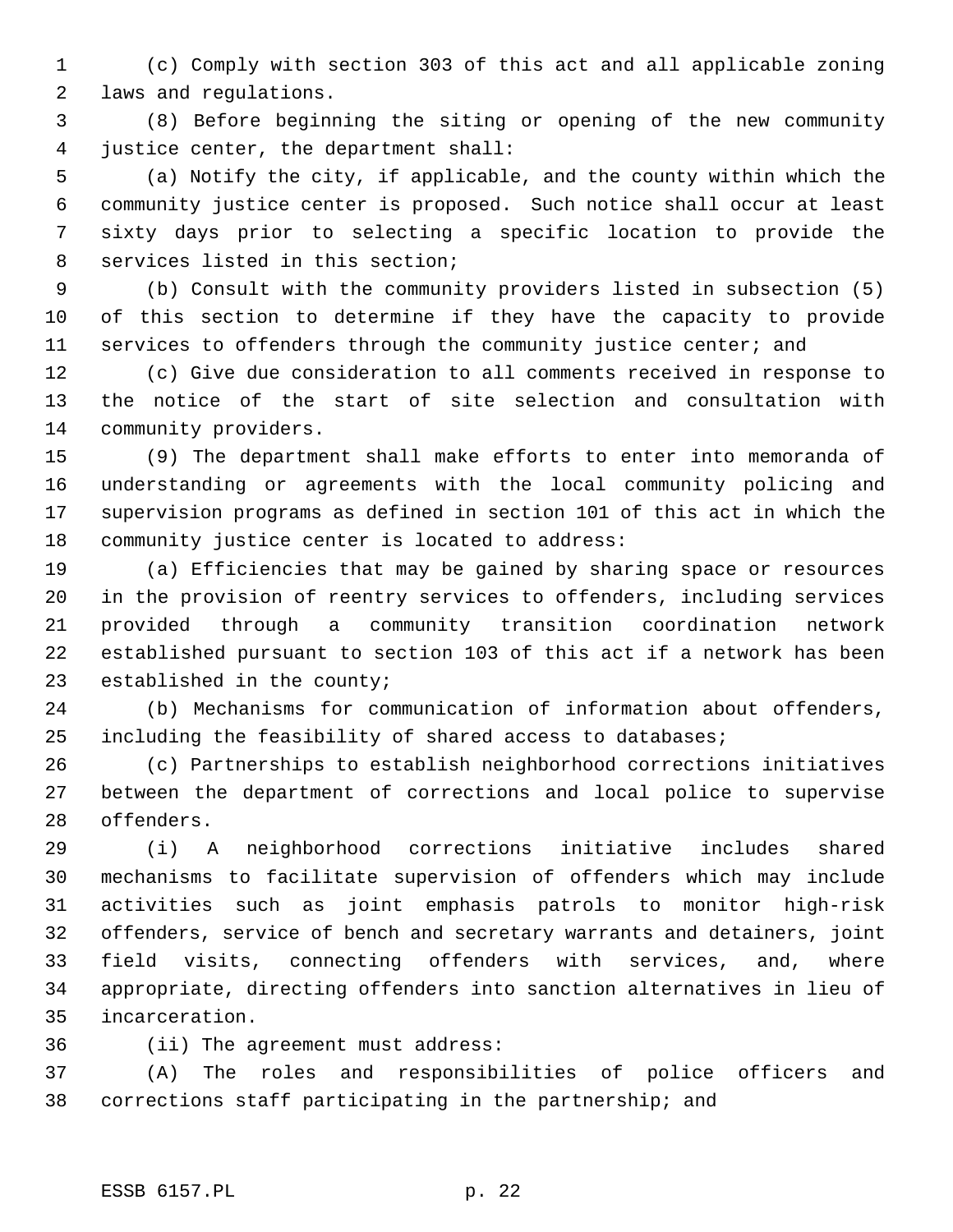(c) Comply with section 303 of this act and all applicable zoning laws and regulations.

 (8) Before beginning the siting or opening of the new community justice center, the department shall:

 (a) Notify the city, if applicable, and the county within which the community justice center is proposed. Such notice shall occur at least sixty days prior to selecting a specific location to provide the services listed in this section;

 (b) Consult with the community providers listed in subsection (5) of this section to determine if they have the capacity to provide 11 services to offenders through the community justice center; and

 (c) Give due consideration to all comments received in response to the notice of the start of site selection and consultation with community providers.

 (9) The department shall make efforts to enter into memoranda of understanding or agreements with the local community policing and supervision programs as defined in section 101 of this act in which the community justice center is located to address:

 (a) Efficiencies that may be gained by sharing space or resources in the provision of reentry services to offenders, including services provided through a community transition coordination network established pursuant to section 103 of this act if a network has been established in the county;

 (b) Mechanisms for communication of information about offenders, including the feasibility of shared access to databases;

 (c) Partnerships to establish neighborhood corrections initiatives between the department of corrections and local police to supervise offenders.

 (i) A neighborhood corrections initiative includes shared mechanisms to facilitate supervision of offenders which may include activities such as joint emphasis patrols to monitor high-risk offenders, service of bench and secretary warrants and detainers, joint field visits, connecting offenders with services, and, where appropriate, directing offenders into sanction alternatives in lieu of incarceration.

(ii) The agreement must address:

 (A) The roles and responsibilities of police officers and corrections staff participating in the partnership; and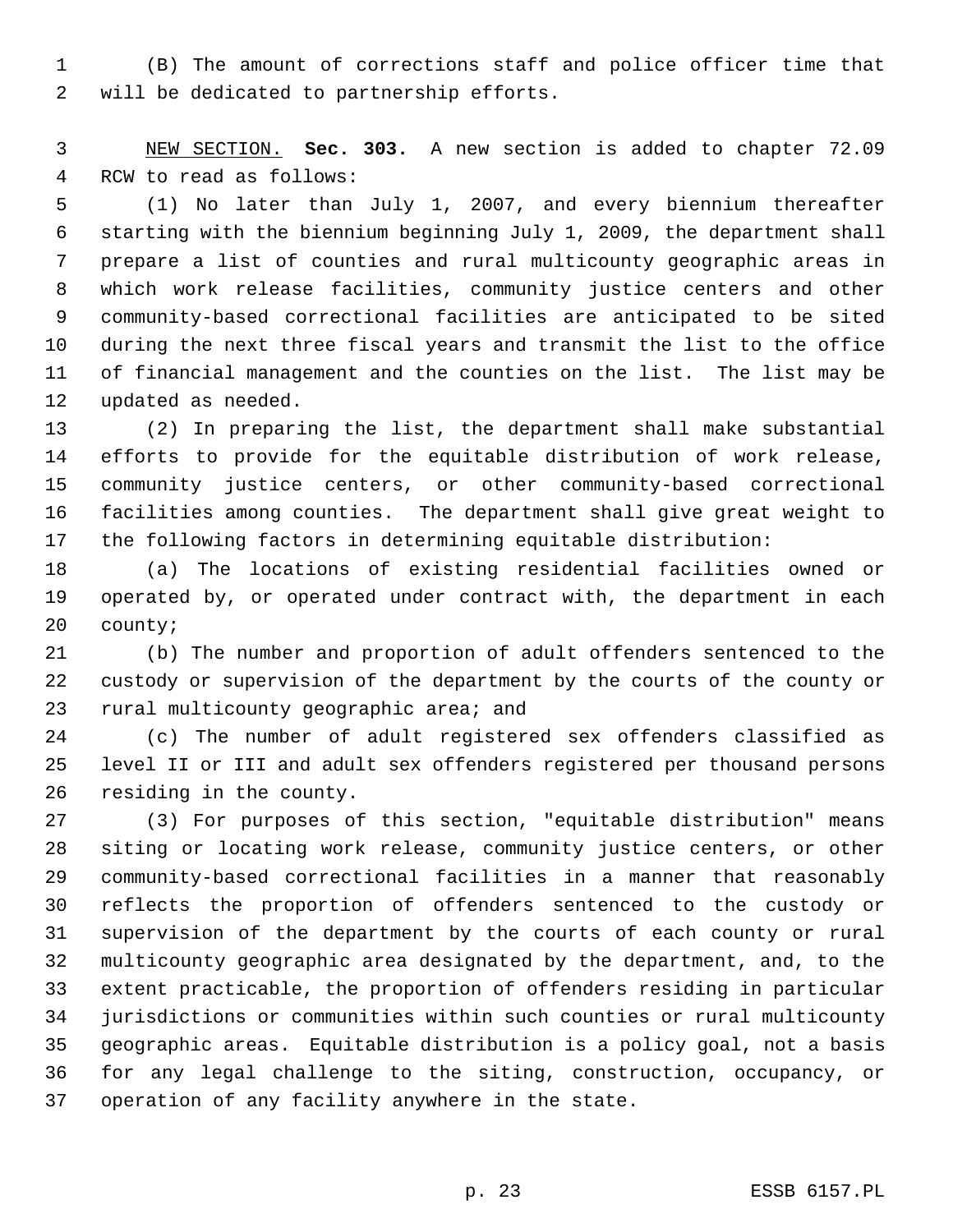(B) The amount of corrections staff and police officer time that will be dedicated to partnership efforts.

 NEW SECTION. **Sec. 303.** A new section is added to chapter 72.09 RCW to read as follows:

 (1) No later than July 1, 2007, and every biennium thereafter starting with the biennium beginning July 1, 2009, the department shall prepare a list of counties and rural multicounty geographic areas in which work release facilities, community justice centers and other community-based correctional facilities are anticipated to be sited during the next three fiscal years and transmit the list to the office of financial management and the counties on the list. The list may be updated as needed.

 (2) In preparing the list, the department shall make substantial efforts to provide for the equitable distribution of work release, community justice centers, or other community-based correctional facilities among counties. The department shall give great weight to the following factors in determining equitable distribution:

 (a) The locations of existing residential facilities owned or operated by, or operated under contract with, the department in each county;

 (b) The number and proportion of adult offenders sentenced to the custody or supervision of the department by the courts of the county or rural multicounty geographic area; and

 (c) The number of adult registered sex offenders classified as level II or III and adult sex offenders registered per thousand persons residing in the county.

 (3) For purposes of this section, "equitable distribution" means siting or locating work release, community justice centers, or other community-based correctional facilities in a manner that reasonably reflects the proportion of offenders sentenced to the custody or supervision of the department by the courts of each county or rural multicounty geographic area designated by the department, and, to the extent practicable, the proportion of offenders residing in particular jurisdictions or communities within such counties or rural multicounty geographic areas. Equitable distribution is a policy goal, not a basis for any legal challenge to the siting, construction, occupancy, or operation of any facility anywhere in the state.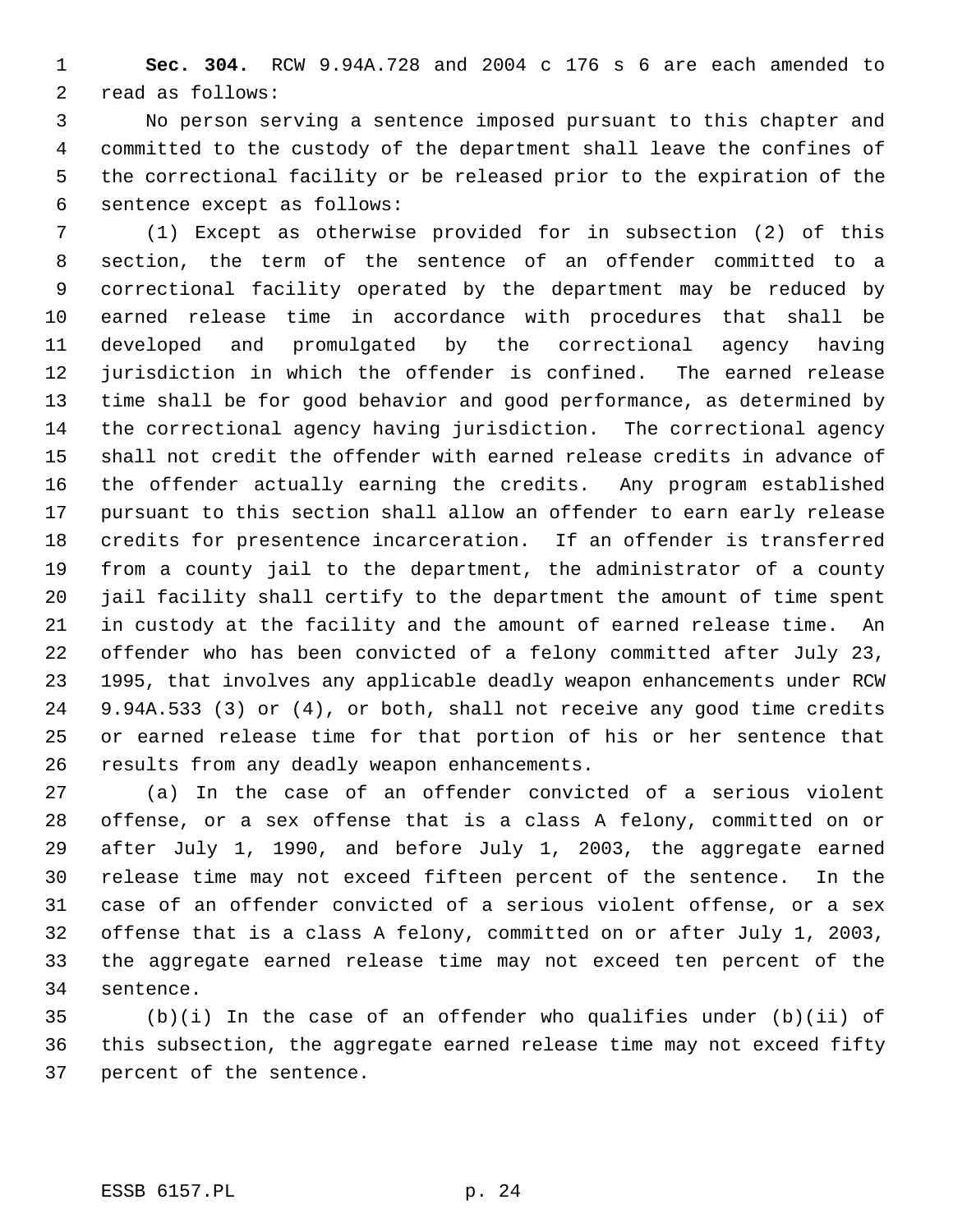**Sec. 304.** RCW 9.94A.728 and 2004 c 176 s 6 are each amended to read as follows:

 No person serving a sentence imposed pursuant to this chapter and committed to the custody of the department shall leave the confines of the correctional facility or be released prior to the expiration of the sentence except as follows:

 (1) Except as otherwise provided for in subsection (2) of this section, the term of the sentence of an offender committed to a correctional facility operated by the department may be reduced by earned release time in accordance with procedures that shall be developed and promulgated by the correctional agency having jurisdiction in which the offender is confined. The earned release time shall be for good behavior and good performance, as determined by the correctional agency having jurisdiction. The correctional agency shall not credit the offender with earned release credits in advance of the offender actually earning the credits. Any program established pursuant to this section shall allow an offender to earn early release credits for presentence incarceration. If an offender is transferred from a county jail to the department, the administrator of a county jail facility shall certify to the department the amount of time spent in custody at the facility and the amount of earned release time. An offender who has been convicted of a felony committed after July 23, 1995, that involves any applicable deadly weapon enhancements under RCW 9.94A.533 (3) or (4), or both, shall not receive any good time credits or earned release time for that portion of his or her sentence that results from any deadly weapon enhancements.

 (a) In the case of an offender convicted of a serious violent offense, or a sex offense that is a class A felony, committed on or after July 1, 1990, and before July 1, 2003, the aggregate earned release time may not exceed fifteen percent of the sentence. In the case of an offender convicted of a serious violent offense, or a sex offense that is a class A felony, committed on or after July 1, 2003, the aggregate earned release time may not exceed ten percent of the sentence.

 (b)(i) In the case of an offender who qualifies under (b)(ii) of this subsection, the aggregate earned release time may not exceed fifty percent of the sentence.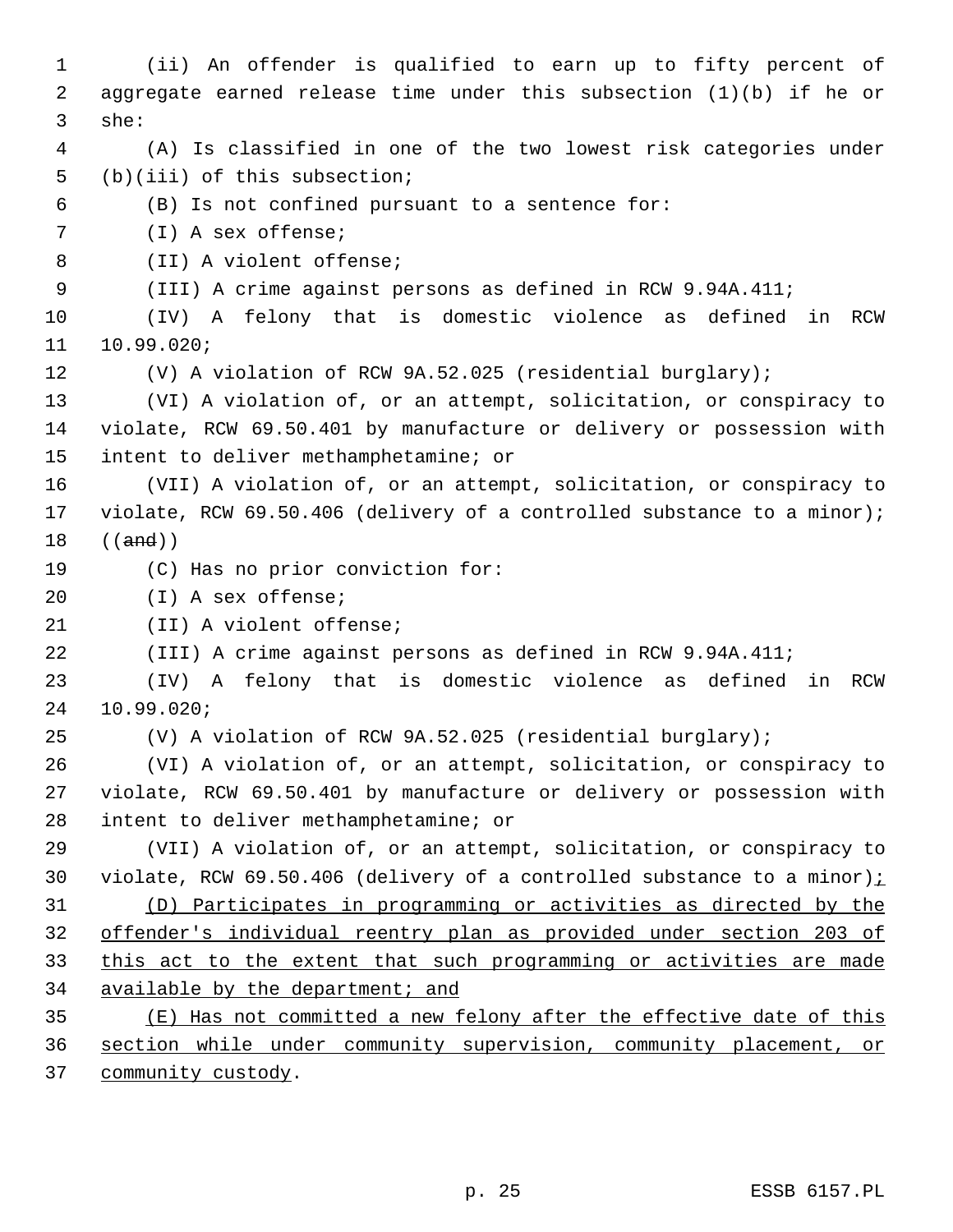(ii) An offender is qualified to earn up to fifty percent of aggregate earned release time under this subsection (1)(b) if he or she: (A) Is classified in one of the two lowest risk categories under (b)(iii) of this subsection; (B) Is not confined pursuant to a sentence for: (I) A sex offense; (II) A violent offense; (III) A crime against persons as defined in RCW 9.94A.411; (IV) A felony that is domestic violence as defined in RCW 10.99.020; (V) A violation of RCW 9A.52.025 (residential burglary); (VI) A violation of, or an attempt, solicitation, or conspiracy to violate, RCW 69.50.401 by manufacture or delivery or possession with intent to deliver methamphetamine; or (VII) A violation of, or an attempt, solicitation, or conspiracy to violate, RCW 69.50.406 (delivery of a controlled substance to a minor); ((and)) (C) Has no prior conviction for: (I) A sex offense; (II) A violent offense; (III) A crime against persons as defined in RCW 9.94A.411; (IV) A felony that is domestic violence as defined in RCW 10.99.020; (V) A violation of RCW 9A.52.025 (residential burglary); (VI) A violation of, or an attempt, solicitation, or conspiracy to violate, RCW 69.50.401 by manufacture or delivery or possession with intent to deliver methamphetamine; or (VII) A violation of, or an attempt, solicitation, or conspiracy to 30 violate, RCW 69.50.406 (delivery of a controlled substance to a minor) $\frac{i}{i}$  (D) Participates in programming or activities as directed by the offender's individual reentry plan as provided under section 203 of this act to the extent that such programming or activities are made available by the department; and (E) Has not committed a new felony after the effective date of this section while under community supervision, community placement, or community custody.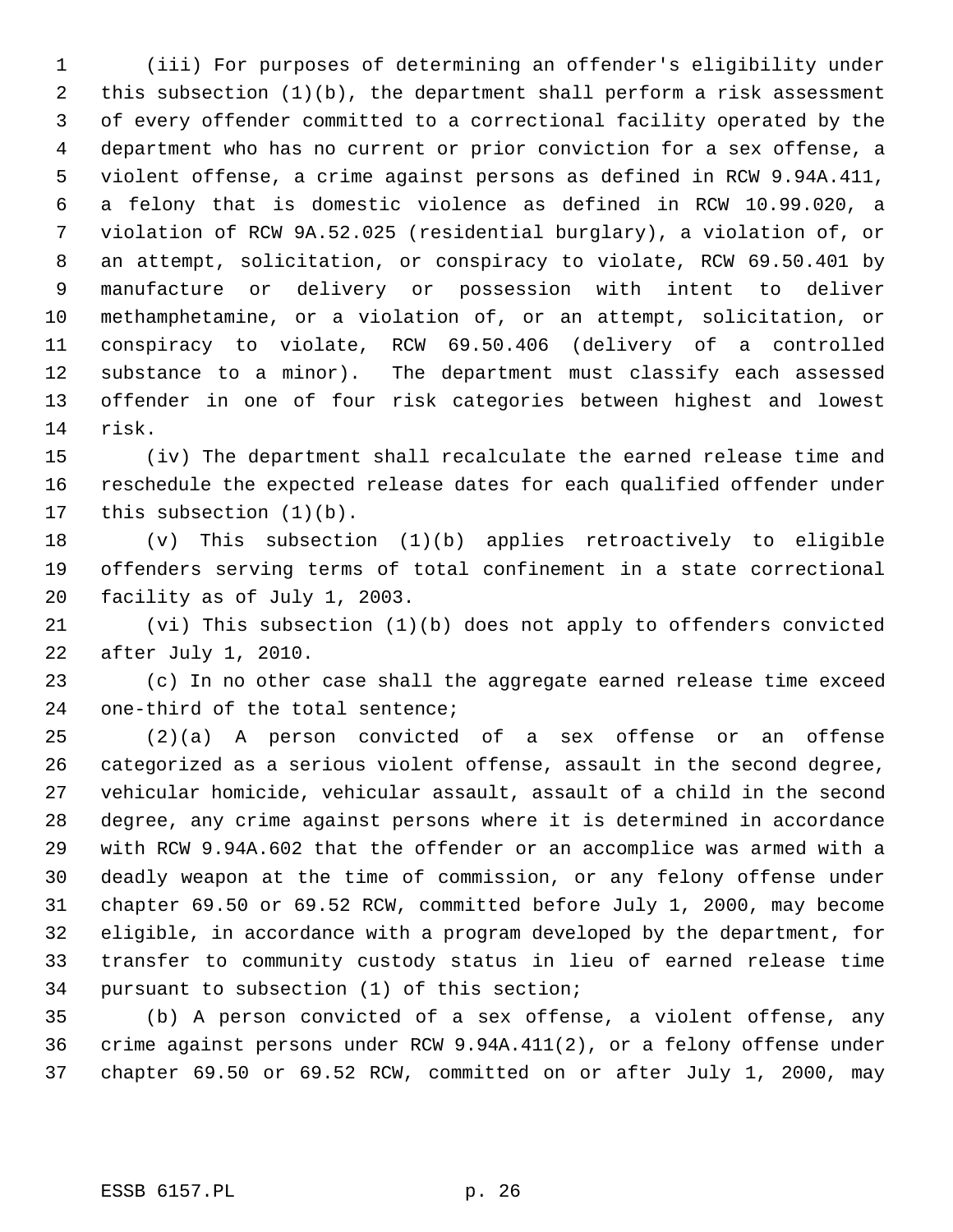(iii) For purposes of determining an offender's eligibility under this subsection (1)(b), the department shall perform a risk assessment of every offender committed to a correctional facility operated by the department who has no current or prior conviction for a sex offense, a violent offense, a crime against persons as defined in RCW 9.94A.411, a felony that is domestic violence as defined in RCW 10.99.020, a violation of RCW 9A.52.025 (residential burglary), a violation of, or an attempt, solicitation, or conspiracy to violate, RCW 69.50.401 by manufacture or delivery or possession with intent to deliver methamphetamine, or a violation of, or an attempt, solicitation, or conspiracy to violate, RCW 69.50.406 (delivery of a controlled substance to a minor). The department must classify each assessed offender in one of four risk categories between highest and lowest risk.

 (iv) The department shall recalculate the earned release time and reschedule the expected release dates for each qualified offender under this subsection (1)(b).

 (v) This subsection (1)(b) applies retroactively to eligible offenders serving terms of total confinement in a state correctional facility as of July 1, 2003.

 (vi) This subsection (1)(b) does not apply to offenders convicted after July 1, 2010.

 (c) In no other case shall the aggregate earned release time exceed one-third of the total sentence;

 (2)(a) A person convicted of a sex offense or an offense categorized as a serious violent offense, assault in the second degree, vehicular homicide, vehicular assault, assault of a child in the second degree, any crime against persons where it is determined in accordance with RCW 9.94A.602 that the offender or an accomplice was armed with a deadly weapon at the time of commission, or any felony offense under chapter 69.50 or 69.52 RCW, committed before July 1, 2000, may become eligible, in accordance with a program developed by the department, for transfer to community custody status in lieu of earned release time pursuant to subsection (1) of this section;

 (b) A person convicted of a sex offense, a violent offense, any crime against persons under RCW 9.94A.411(2), or a felony offense under chapter 69.50 or 69.52 RCW, committed on or after July 1, 2000, may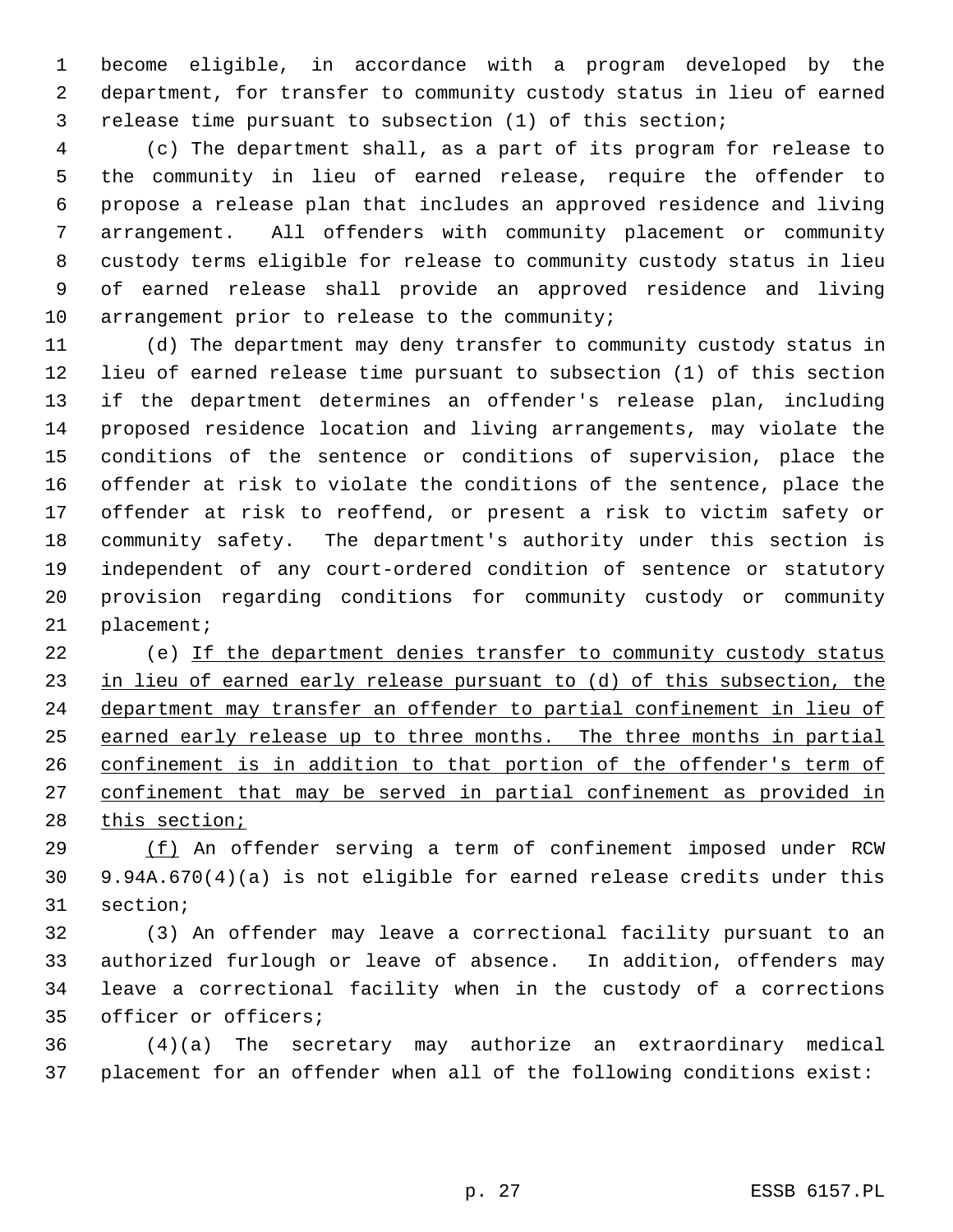become eligible, in accordance with a program developed by the department, for transfer to community custody status in lieu of earned release time pursuant to subsection (1) of this section;

 (c) The department shall, as a part of its program for release to the community in lieu of earned release, require the offender to propose a release plan that includes an approved residence and living arrangement. All offenders with community placement or community custody terms eligible for release to community custody status in lieu of earned release shall provide an approved residence and living 10 arrangement prior to release to the community;

 (d) The department may deny transfer to community custody status in lieu of earned release time pursuant to subsection (1) of this section if the department determines an offender's release plan, including proposed residence location and living arrangements, may violate the conditions of the sentence or conditions of supervision, place the offender at risk to violate the conditions of the sentence, place the offender at risk to reoffend, or present a risk to victim safety or community safety. The department's authority under this section is independent of any court-ordered condition of sentence or statutory provision regarding conditions for community custody or community placement;

 (e) If the department denies transfer to community custody status 23 in lieu of earned early release pursuant to (d) of this subsection, the department may transfer an offender to partial confinement in lieu of earned early release up to three months. The three months in partial 26 confinement is in addition to that portion of the offender's term of confinement that may be served in partial confinement as provided in 28 this section;

 (f) An offender serving a term of confinement imposed under RCW 9.94A.670(4)(a) is not eligible for earned release credits under this section;

 (3) An offender may leave a correctional facility pursuant to an authorized furlough or leave of absence. In addition, offenders may leave a correctional facility when in the custody of a corrections officer or officers;

 (4)(a) The secretary may authorize an extraordinary medical placement for an offender when all of the following conditions exist: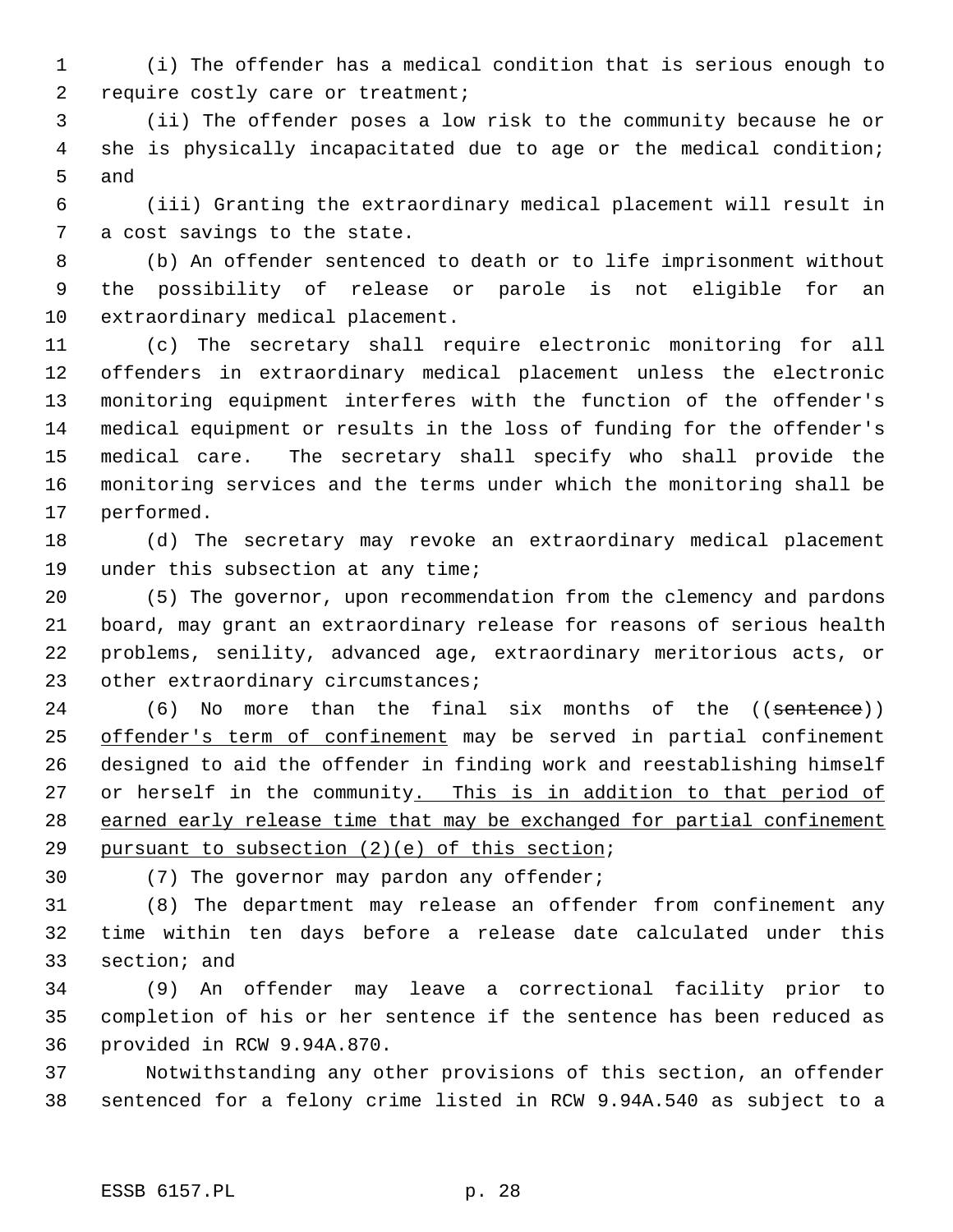(i) The offender has a medical condition that is serious enough to require costly care or treatment;

 (ii) The offender poses a low risk to the community because he or she is physically incapacitated due to age or the medical condition; and

 (iii) Granting the extraordinary medical placement will result in a cost savings to the state.

 (b) An offender sentenced to death or to life imprisonment without the possibility of release or parole is not eligible for an extraordinary medical placement.

 (c) The secretary shall require electronic monitoring for all offenders in extraordinary medical placement unless the electronic monitoring equipment interferes with the function of the offender's medical equipment or results in the loss of funding for the offender's medical care. The secretary shall specify who shall provide the monitoring services and the terms under which the monitoring shall be performed.

 (d) The secretary may revoke an extraordinary medical placement under this subsection at any time;

 (5) The governor, upon recommendation from the clemency and pardons board, may grant an extraordinary release for reasons of serious health problems, senility, advanced age, extraordinary meritorious acts, or 23 other extraordinary circumstances;

24 (6) No more than the final six months of the ((sentence)) 25 offender's term of confinement may be served in partial confinement designed to aid the offender in finding work and reestablishing himself 27 or herself in the community. This is in addition to that period of 28 earned early release time that may be exchanged for partial confinement pursuant to subsection (2)(e) of this section;

(7) The governor may pardon any offender;

 (8) The department may release an offender from confinement any time within ten days before a release date calculated under this section; and

 (9) An offender may leave a correctional facility prior to completion of his or her sentence if the sentence has been reduced as provided in RCW 9.94A.870.

 Notwithstanding any other provisions of this section, an offender sentenced for a felony crime listed in RCW 9.94A.540 as subject to a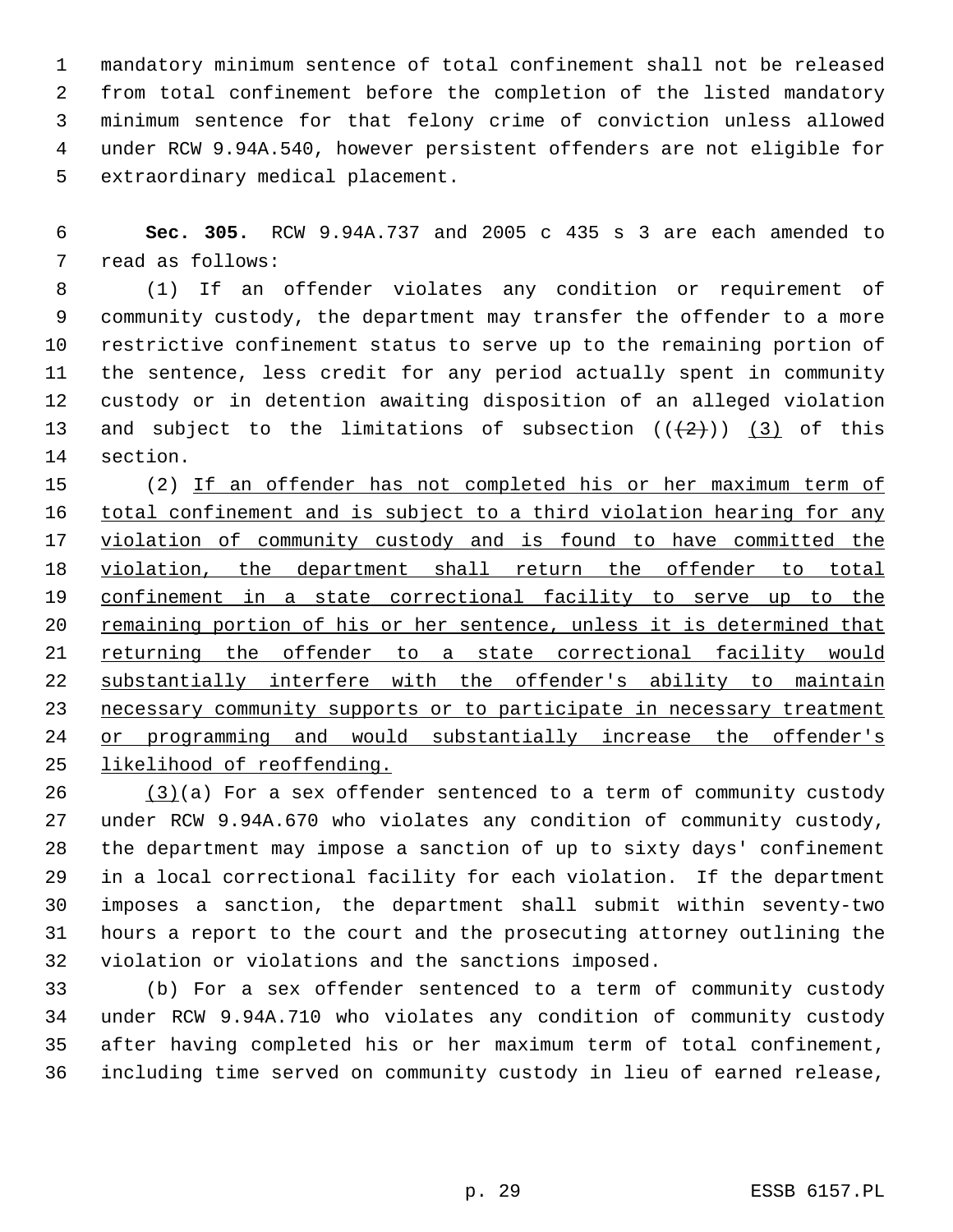mandatory minimum sentence of total confinement shall not be released from total confinement before the completion of the listed mandatory minimum sentence for that felony crime of conviction unless allowed under RCW 9.94A.540, however persistent offenders are not eligible for extraordinary medical placement.

 **Sec. 305.** RCW 9.94A.737 and 2005 c 435 s 3 are each amended to read as follows:

 (1) If an offender violates any condition or requirement of community custody, the department may transfer the offender to a more restrictive confinement status to serve up to the remaining portion of the sentence, less credit for any period actually spent in community custody or in detention awaiting disposition of an alleged violation 13 and subject to the limitations of subsection  $((+2)^{n})$  (3) of this section.

 (2) If an offender has not completed his or her maximum term of 16 total confinement and is subject to a third violation hearing for any 17 violation of community custody and is found to have committed the violation, the department shall return the offender to total confinement in a state correctional facility to serve up to the 20 remaining portion of his or her sentence, unless it is determined that 21 returning the offender to a state correctional facility would substantially interfere with the offender's ability to maintain 23 necessary community supports or to participate in necessary treatment or programming and would substantially increase the offender's likelihood of reoffending.

 (3)(a) For a sex offender sentenced to a term of community custody under RCW 9.94A.670 who violates any condition of community custody, the department may impose a sanction of up to sixty days' confinement in a local correctional facility for each violation. If the department imposes a sanction, the department shall submit within seventy-two hours a report to the court and the prosecuting attorney outlining the violation or violations and the sanctions imposed.

 (b) For a sex offender sentenced to a term of community custody under RCW 9.94A.710 who violates any condition of community custody after having completed his or her maximum term of total confinement, including time served on community custody in lieu of earned release,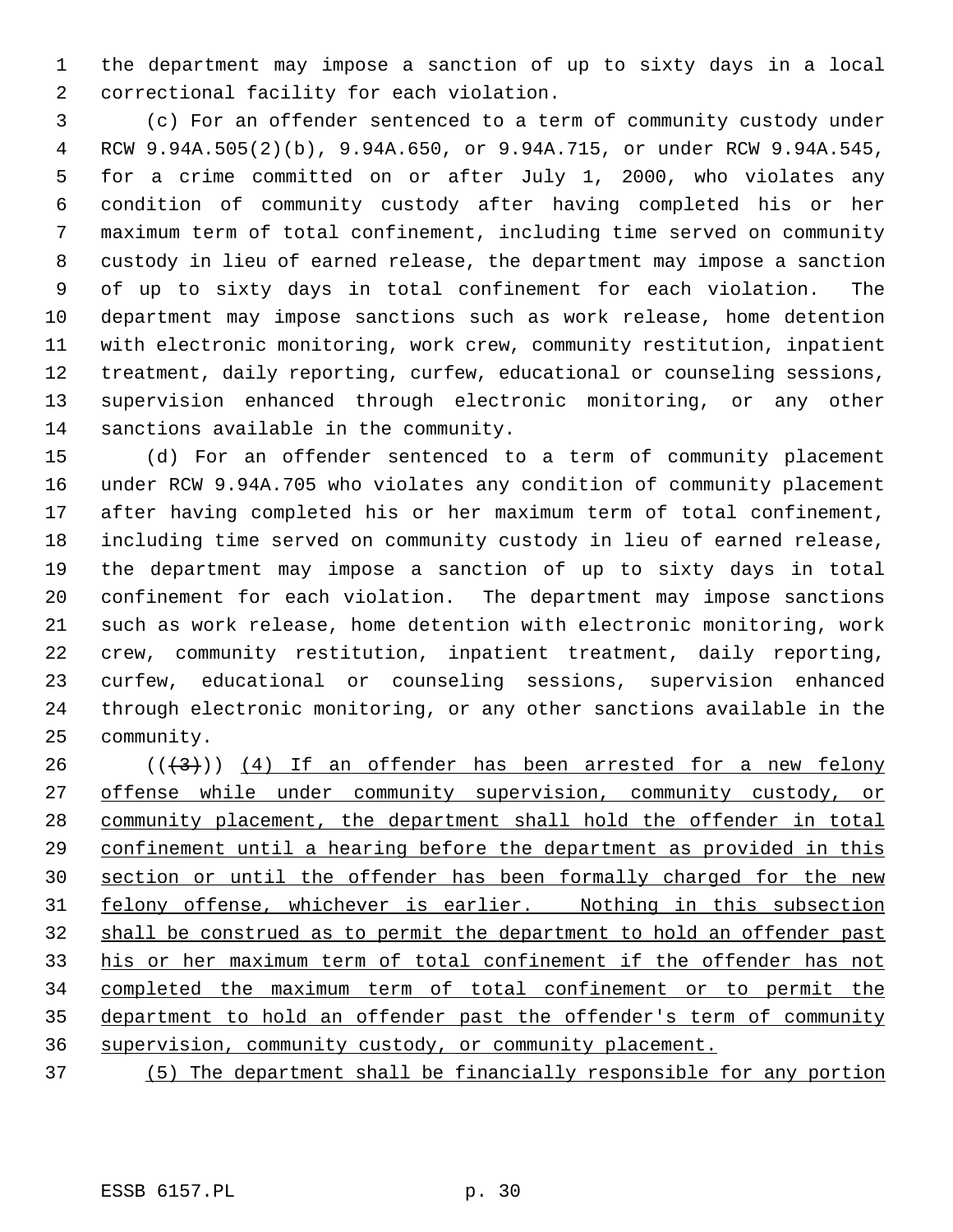the department may impose a sanction of up to sixty days in a local correctional facility for each violation.

 (c) For an offender sentenced to a term of community custody under RCW 9.94A.505(2)(b), 9.94A.650, or 9.94A.715, or under RCW 9.94A.545, for a crime committed on or after July 1, 2000, who violates any condition of community custody after having completed his or her maximum term of total confinement, including time served on community custody in lieu of earned release, the department may impose a sanction of up to sixty days in total confinement for each violation. The department may impose sanctions such as work release, home detention with electronic monitoring, work crew, community restitution, inpatient treatment, daily reporting, curfew, educational or counseling sessions, supervision enhanced through electronic monitoring, or any other sanctions available in the community.

 (d) For an offender sentenced to a term of community placement under RCW 9.94A.705 who violates any condition of community placement after having completed his or her maximum term of total confinement, including time served on community custody in lieu of earned release, the department may impose a sanction of up to sixty days in total confinement for each violation. The department may impose sanctions such as work release, home detention with electronic monitoring, work crew, community restitution, inpatient treatment, daily reporting, curfew, educational or counseling sessions, supervision enhanced through electronic monitoring, or any other sanctions available in the community.

 $((+3))$   $(4)$  If an offender has been arrested for a new felony 27 offense while under community supervision, community custody, or community placement, the department shall hold the offender in total confinement until a hearing before the department as provided in this 30 section or until the offender has been formally charged for the new felony offense, whichever is earlier. Nothing in this subsection shall be construed as to permit the department to hold an offender past his or her maximum term of total confinement if the offender has not completed the maximum term of total confinement or to permit the department to hold an offender past the offender's term of community supervision, community custody, or community placement.

(5) The department shall be financially responsible for any portion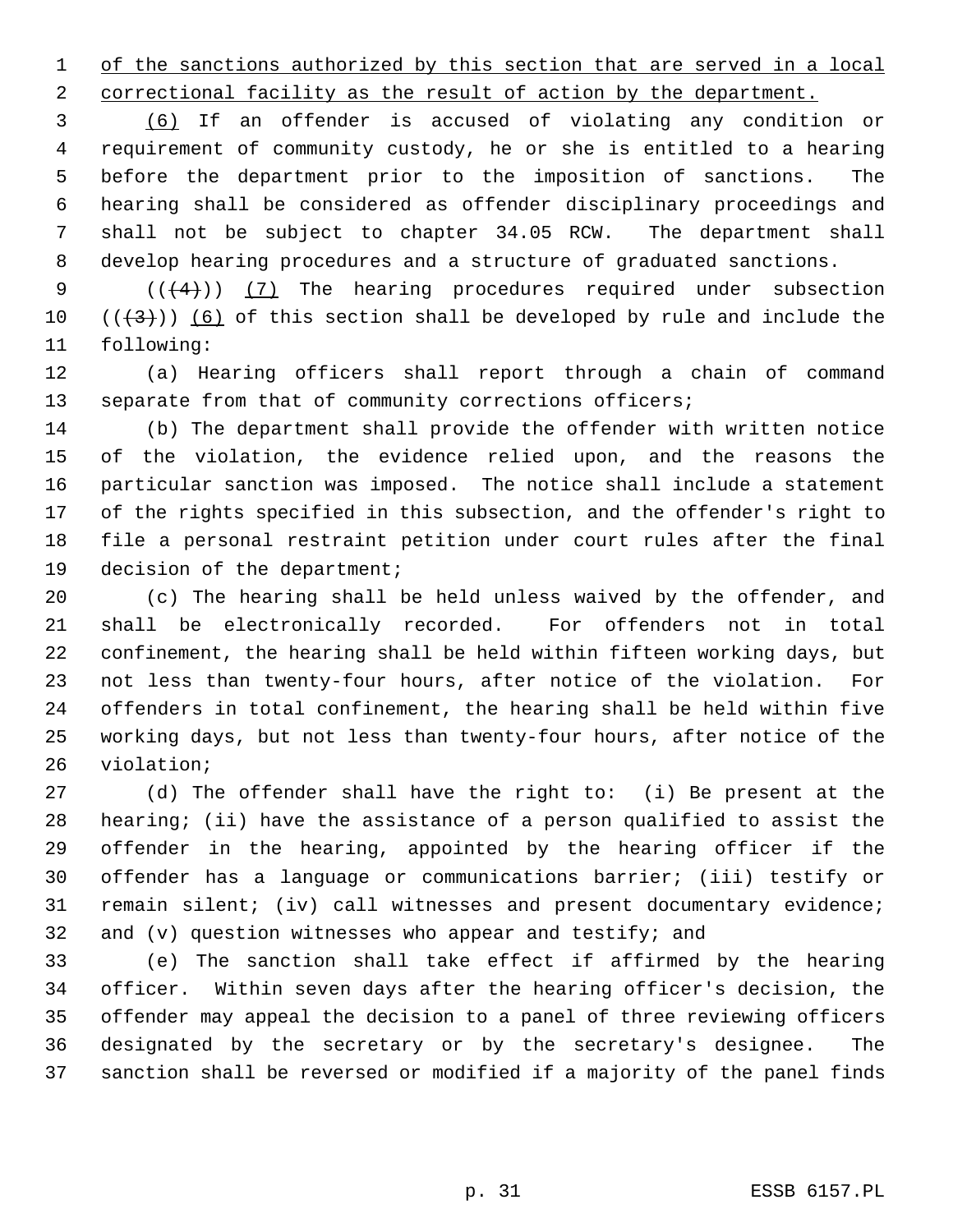1 of the sanctions authorized by this section that are served in a local

2 correctional facility as the result of action by the department.

 (6) If an offender is accused of violating any condition or requirement of community custody, he or she is entitled to a hearing before the department prior to the imposition of sanctions. The hearing shall be considered as offender disciplinary proceedings and shall not be subject to chapter 34.05 RCW. The department shall develop hearing procedures and a structure of graduated sanctions.

9  $((+4))$  (7) The hearing procedures required under subsection 10  $((+3))$  (6) of this section shall be developed by rule and include the following:

 (a) Hearing officers shall report through a chain of command 13 separate from that of community corrections officers;

 (b) The department shall provide the offender with written notice of the violation, the evidence relied upon, and the reasons the particular sanction was imposed. The notice shall include a statement of the rights specified in this subsection, and the offender's right to file a personal restraint petition under court rules after the final decision of the department;

 (c) The hearing shall be held unless waived by the offender, and shall be electronically recorded. For offenders not in total confinement, the hearing shall be held within fifteen working days, but not less than twenty-four hours, after notice of the violation. For offenders in total confinement, the hearing shall be held within five working days, but not less than twenty-four hours, after notice of the violation;

 (d) The offender shall have the right to: (i) Be present at the hearing; (ii) have the assistance of a person qualified to assist the offender in the hearing, appointed by the hearing officer if the offender has a language or communications barrier; (iii) testify or remain silent; (iv) call witnesses and present documentary evidence; and (v) question witnesses who appear and testify; and

 (e) The sanction shall take effect if affirmed by the hearing officer. Within seven days after the hearing officer's decision, the offender may appeal the decision to a panel of three reviewing officers designated by the secretary or by the secretary's designee. The sanction shall be reversed or modified if a majority of the panel finds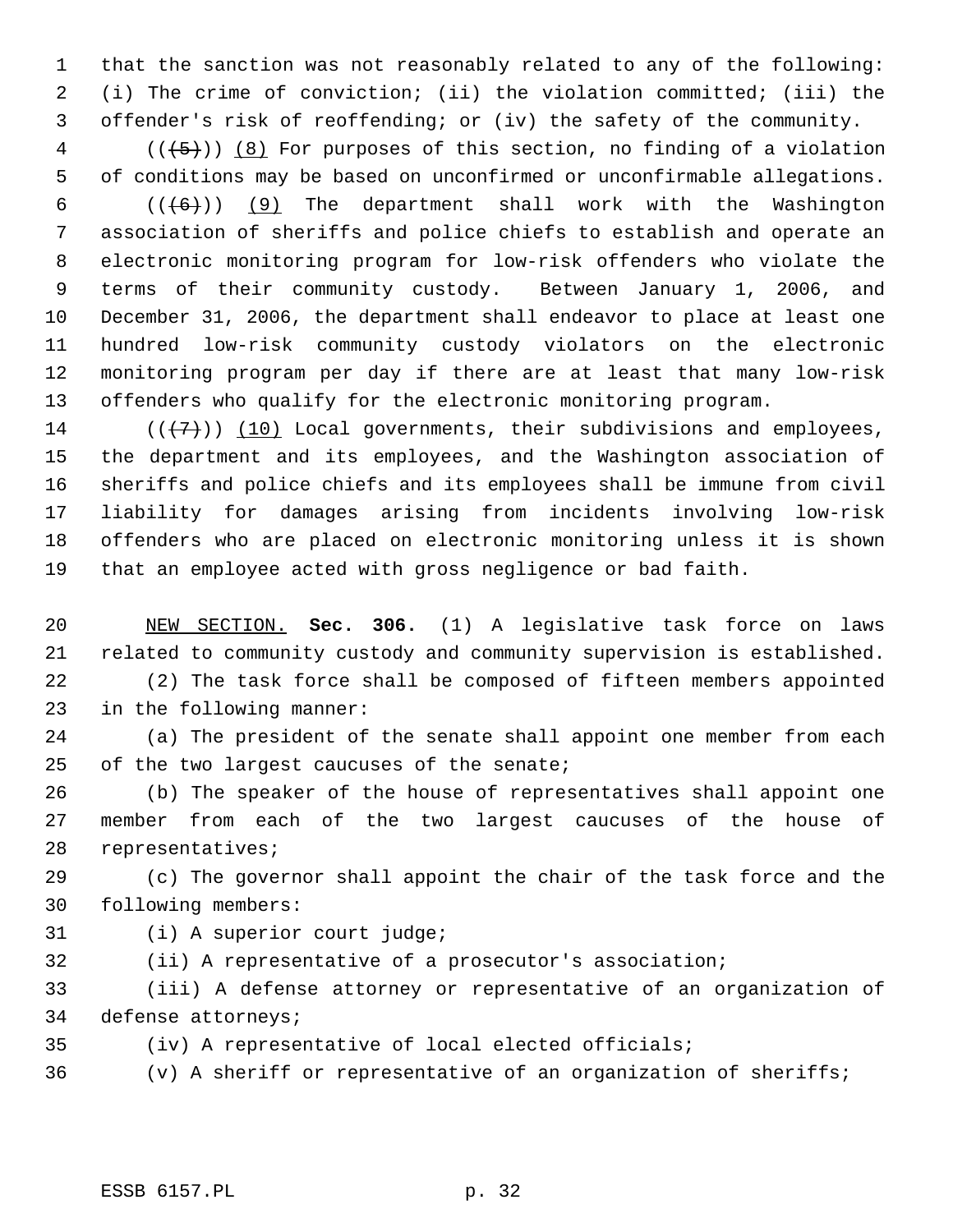that the sanction was not reasonably related to any of the following: (i) The crime of conviction; (ii) the violation committed; (iii) the offender's risk of reoffending; or (iv) the safety of the community.

 (( $\left(\frac{5}{5}\right)$ ) (8) For purposes of this section, no finding of a violation of conditions may be based on unconfirmed or unconfirmable allegations.

 $((+6))$  (9) The department shall work with the Washington association of sheriffs and police chiefs to establish and operate an electronic monitoring program for low-risk offenders who violate the terms of their community custody. Between January 1, 2006, and December 31, 2006, the department shall endeavor to place at least one hundred low-risk community custody violators on the electronic monitoring program per day if there are at least that many low-risk offenders who qualify for the electronic monitoring program.

14 ( $(\langle 7 \rangle)$ ) (10) Local governments, their subdivisions and employees, the department and its employees, and the Washington association of sheriffs and police chiefs and its employees shall be immune from civil liability for damages arising from incidents involving low-risk offenders who are placed on electronic monitoring unless it is shown that an employee acted with gross negligence or bad faith.

 NEW SECTION. **Sec. 306.** (1) A legislative task force on laws related to community custody and community supervision is established.

 (2) The task force shall be composed of fifteen members appointed in the following manner:

 (a) The president of the senate shall appoint one member from each 25 of the two largest caucuses of the senate;

 (b) The speaker of the house of representatives shall appoint one member from each of the two largest caucuses of the house of representatives;

 (c) The governor shall appoint the chair of the task force and the following members:

- (i) A superior court judge;
- (ii) A representative of a prosecutor's association;

 (iii) A defense attorney or representative of an organization of defense attorneys;

(iv) A representative of local elected officials;

(v) A sheriff or representative of an organization of sheriffs;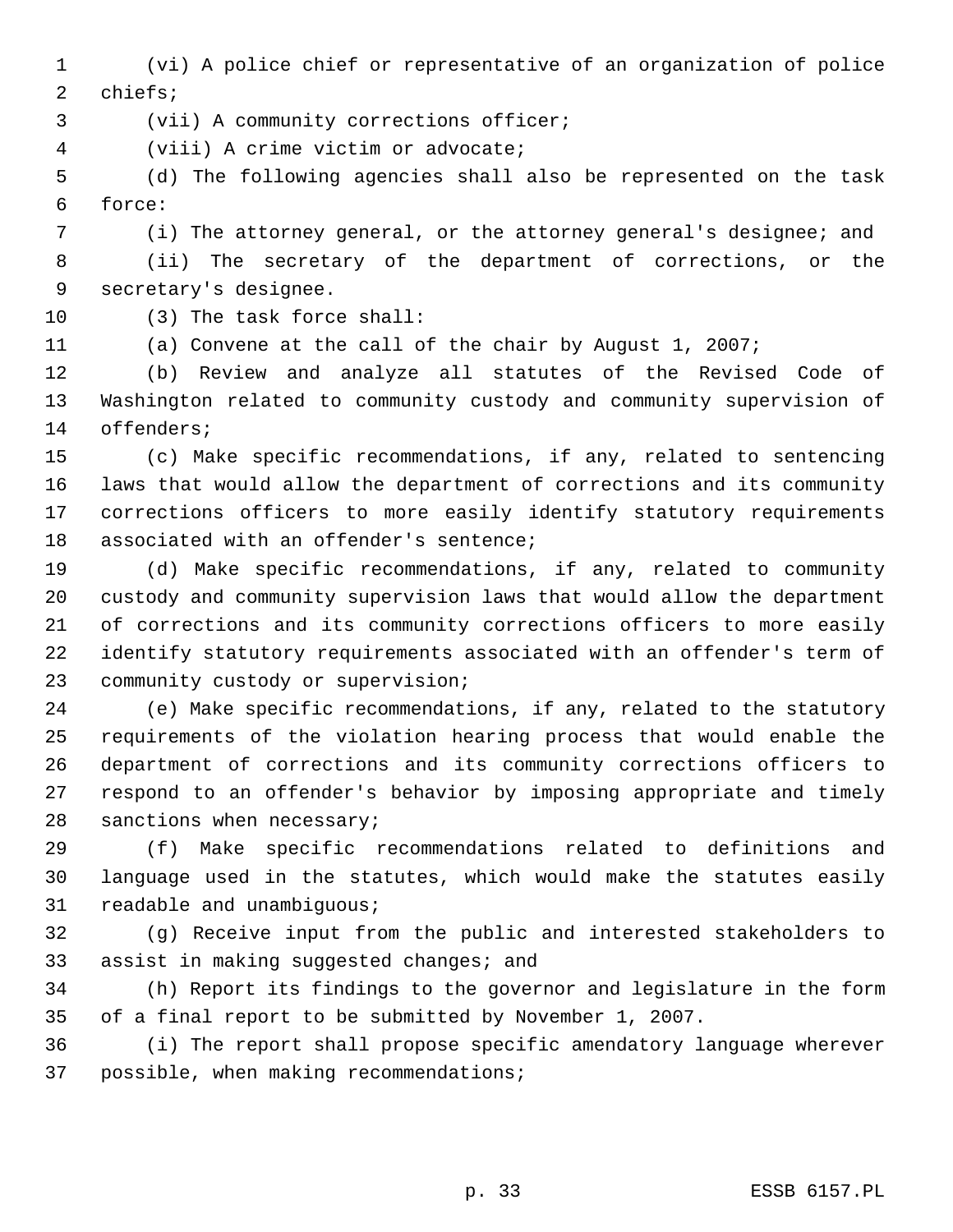(vi) A police chief or representative of an organization of police chiefs;

(vii) A community corrections officer;

(viii) A crime victim or advocate;

 (d) The following agencies shall also be represented on the task force:

(i) The attorney general, or the attorney general's designee; and

 (ii) The secretary of the department of corrections, or the secretary's designee.

(3) The task force shall:

(a) Convene at the call of the chair by August 1, 2007;

 (b) Review and analyze all statutes of the Revised Code of Washington related to community custody and community supervision of offenders;

 (c) Make specific recommendations, if any, related to sentencing laws that would allow the department of corrections and its community corrections officers to more easily identify statutory requirements associated with an offender's sentence;

 (d) Make specific recommendations, if any, related to community custody and community supervision laws that would allow the department of corrections and its community corrections officers to more easily identify statutory requirements associated with an offender's term of community custody or supervision;

 (e) Make specific recommendations, if any, related to the statutory requirements of the violation hearing process that would enable the department of corrections and its community corrections officers to respond to an offender's behavior by imposing appropriate and timely sanctions when necessary;

 (f) Make specific recommendations related to definitions and language used in the statutes, which would make the statutes easily readable and unambiguous;

 (g) Receive input from the public and interested stakeholders to assist in making suggested changes; and

 (h) Report its findings to the governor and legislature in the form of a final report to be submitted by November 1, 2007.

 (i) The report shall propose specific amendatory language wherever possible, when making recommendations;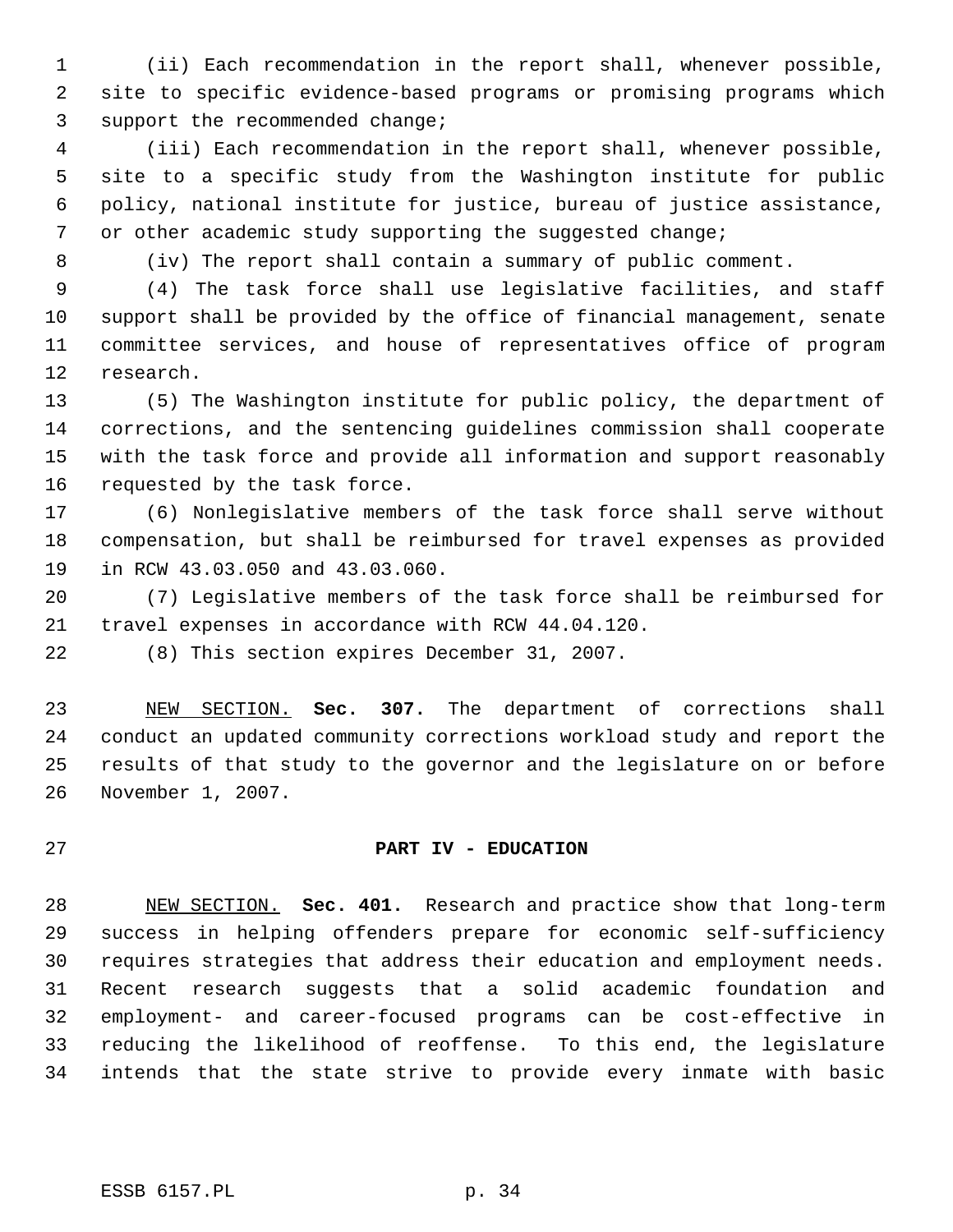(ii) Each recommendation in the report shall, whenever possible, site to specific evidence-based programs or promising programs which support the recommended change;

 (iii) Each recommendation in the report shall, whenever possible, site to a specific study from the Washington institute for public policy, national institute for justice, bureau of justice assistance, or other academic study supporting the suggested change;

(iv) The report shall contain a summary of public comment.

 (4) The task force shall use legislative facilities, and staff support shall be provided by the office of financial management, senate committee services, and house of representatives office of program research.

 (5) The Washington institute for public policy, the department of corrections, and the sentencing guidelines commission shall cooperate with the task force and provide all information and support reasonably requested by the task force.

 (6) Nonlegislative members of the task force shall serve without compensation, but shall be reimbursed for travel expenses as provided in RCW 43.03.050 and 43.03.060.

 (7) Legislative members of the task force shall be reimbursed for travel expenses in accordance with RCW 44.04.120.

(8) This section expires December 31, 2007.

 NEW SECTION. **Sec. 307.** The department of corrections shall conduct an updated community corrections workload study and report the results of that study to the governor and the legislature on or before November 1, 2007.

## **PART IV - EDUCATION**

 NEW SECTION. **Sec. 401.** Research and practice show that long-term success in helping offenders prepare for economic self-sufficiency requires strategies that address their education and employment needs. Recent research suggests that a solid academic foundation and employment- and career-focused programs can be cost-effective in reducing the likelihood of reoffense. To this end, the legislature intends that the state strive to provide every inmate with basic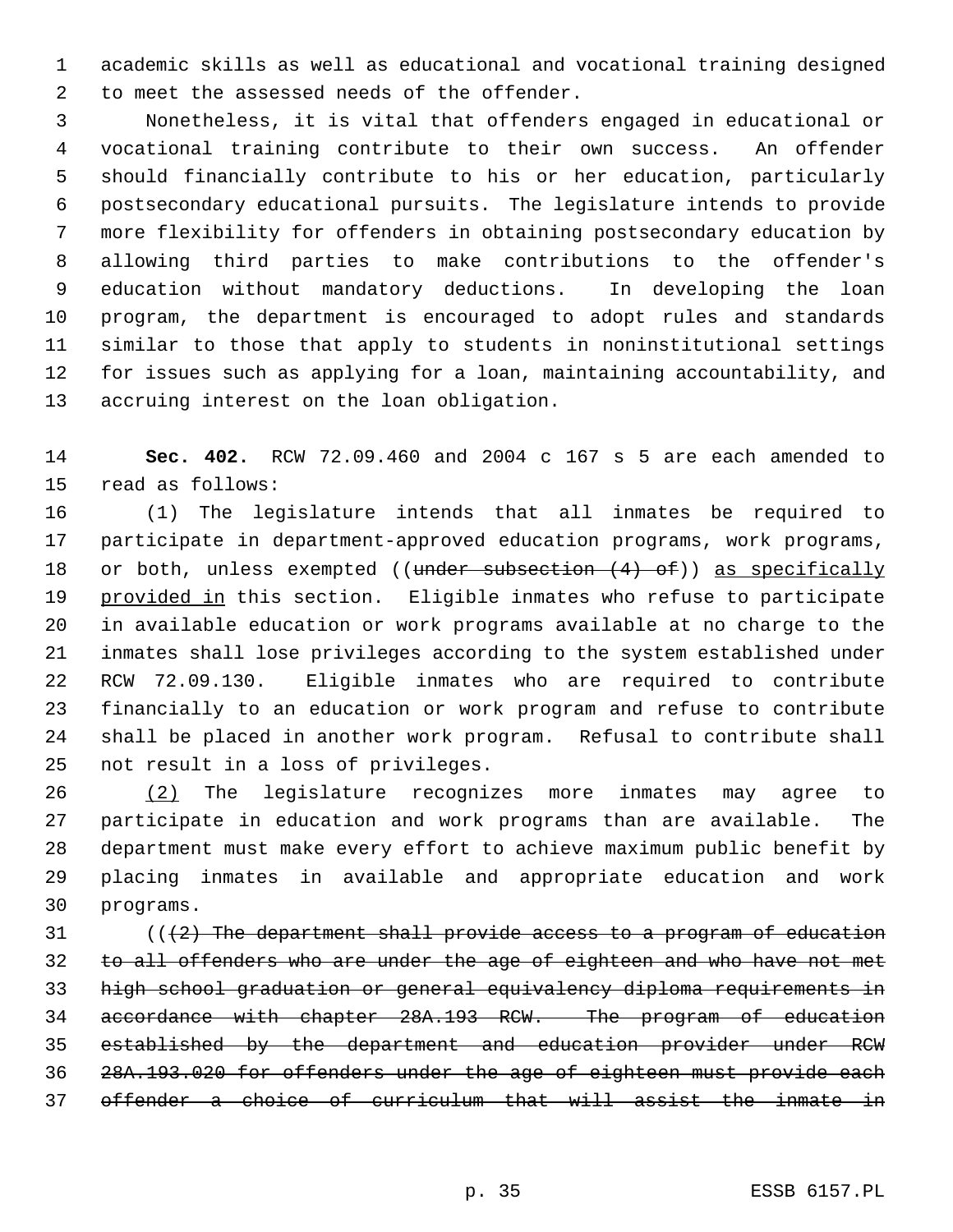academic skills as well as educational and vocational training designed to meet the assessed needs of the offender.

 Nonetheless, it is vital that offenders engaged in educational or vocational training contribute to their own success. An offender should financially contribute to his or her education, particularly postsecondary educational pursuits. The legislature intends to provide more flexibility for offenders in obtaining postsecondary education by allowing third parties to make contributions to the offender's education without mandatory deductions. In developing the loan program, the department is encouraged to adopt rules and standards similar to those that apply to students in noninstitutional settings for issues such as applying for a loan, maintaining accountability, and accruing interest on the loan obligation.

 **Sec. 402.** RCW 72.09.460 and 2004 c 167 s 5 are each amended to read as follows:

 (1) The legislature intends that all inmates be required to participate in department-approved education programs, work programs, 18 or both, unless exempted ((under subsection (4) of)) as specifically 19 provided in this section. Eligible inmates who refuse to participate in available education or work programs available at no charge to the inmates shall lose privileges according to the system established under RCW 72.09.130. Eligible inmates who are required to contribute financially to an education or work program and refuse to contribute shall be placed in another work program. Refusal to contribute shall not result in a loss of privileges.

 (2) The legislature recognizes more inmates may agree to participate in education and work programs than are available. The department must make every effort to achieve maximum public benefit by placing inmates in available and appropriate education and work programs.

 ( $(42)$  The department shall provide access to a program of education 32 to all offenders who are under the age of eighteen and who have not met high school graduation or general equivalency diploma requirements in accordance with chapter 28A.193 RCW. The program of education established by the department and education provider under RCW 28A.193.020 for offenders under the age of eighteen must provide each offender a choice of curriculum that will assist the inmate in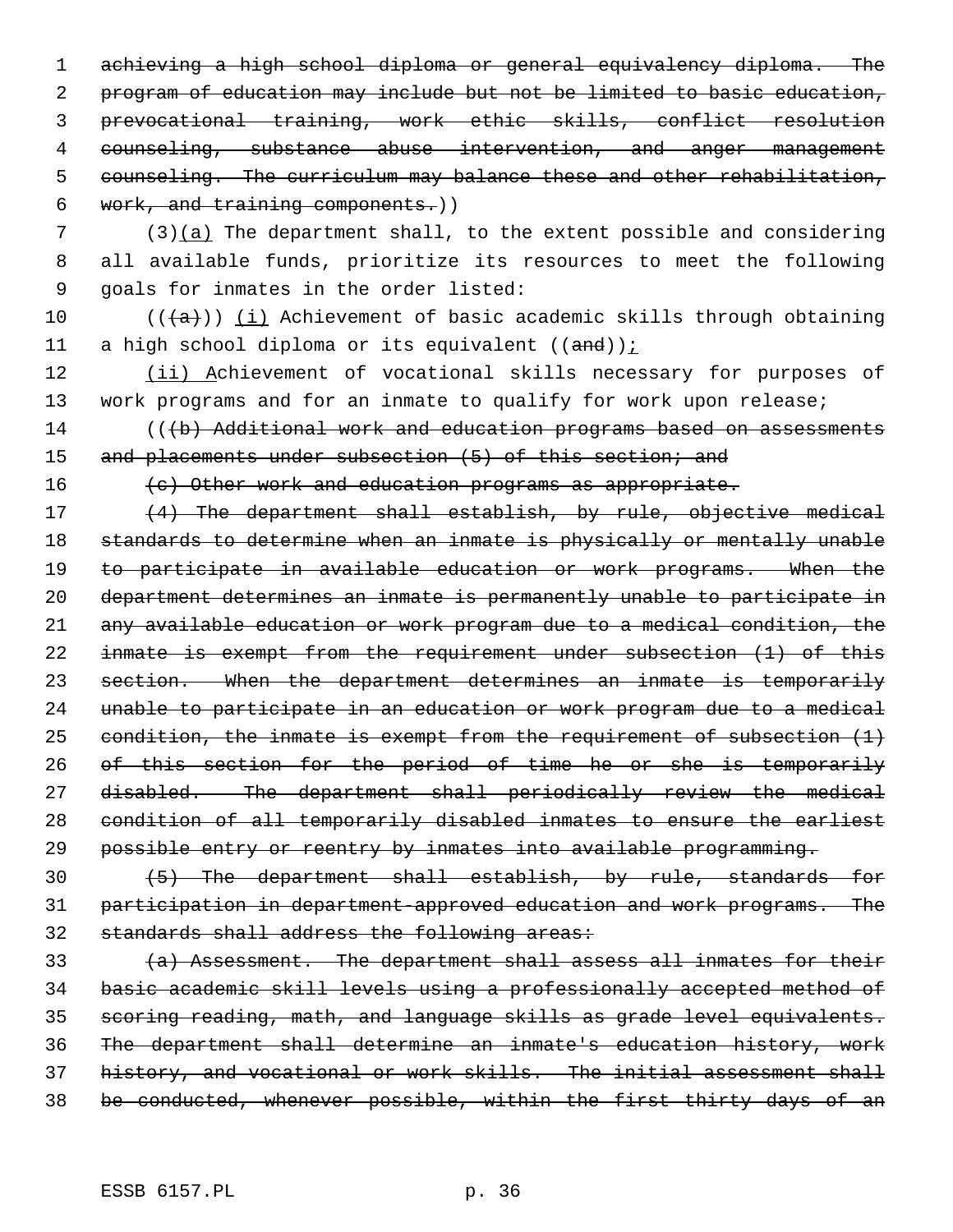achieving a high school diploma or general equivalency diploma. The program of education may include but not be limited to basic education, prevocational training, work ethic skills, conflict resolution counseling, substance abuse intervention, and anger management counseling. The curriculum may balance these and other rehabilitation, work, and training components.))

 (3)(a) The department shall, to the extent possible and considering all available funds, prioritize its resources to meet the following goals for inmates in the order listed:

10 ( $(\overline{a})$ ) (i) Achievement of basic academic skills through obtaining 11 a high school diploma or its equivalent  $((and))$  i

12 (ii) Achievement of vocational skills necessary for purposes of work programs and for an inmate to qualify for work upon release;

14 (((b) Additional work and education programs based on assessments 15 and placements under subsection (5) of this section; and

16 (e) Other work and education programs as appropriate.

17 (4) The department shall establish, by rule, objective medical standards to determine when an inmate is physically or mentally unable to participate in available education or work programs. When the department determines an inmate is permanently unable to participate in any available education or work program due to a medical condition, the inmate is exempt from the requirement under subsection (1) of this section. When the department determines an inmate is temporarily unable to participate in an education or work program due to a medical 25 condition, the inmate is exempt from the requirement of subsection  $(1)$  of this section for the period of time he or she is temporarily disabled. The department shall periodically review the medical condition of all temporarily disabled inmates to ensure the earliest possible entry or reentry by inmates into available programming.

 (5) The department shall establish, by rule, standards for participation in department-approved education and work programs. The 32 standards shall address the following areas:

 $(a)$  Assessment. The department shall assess all inmates for their basic academic skill levels using a professionally accepted method of scoring reading, math, and language skills as grade level equivalents. The department shall determine an inmate's education history, work history, and vocational or work skills. The initial assessment shall be conducted, whenever possible, within the first thirty days of an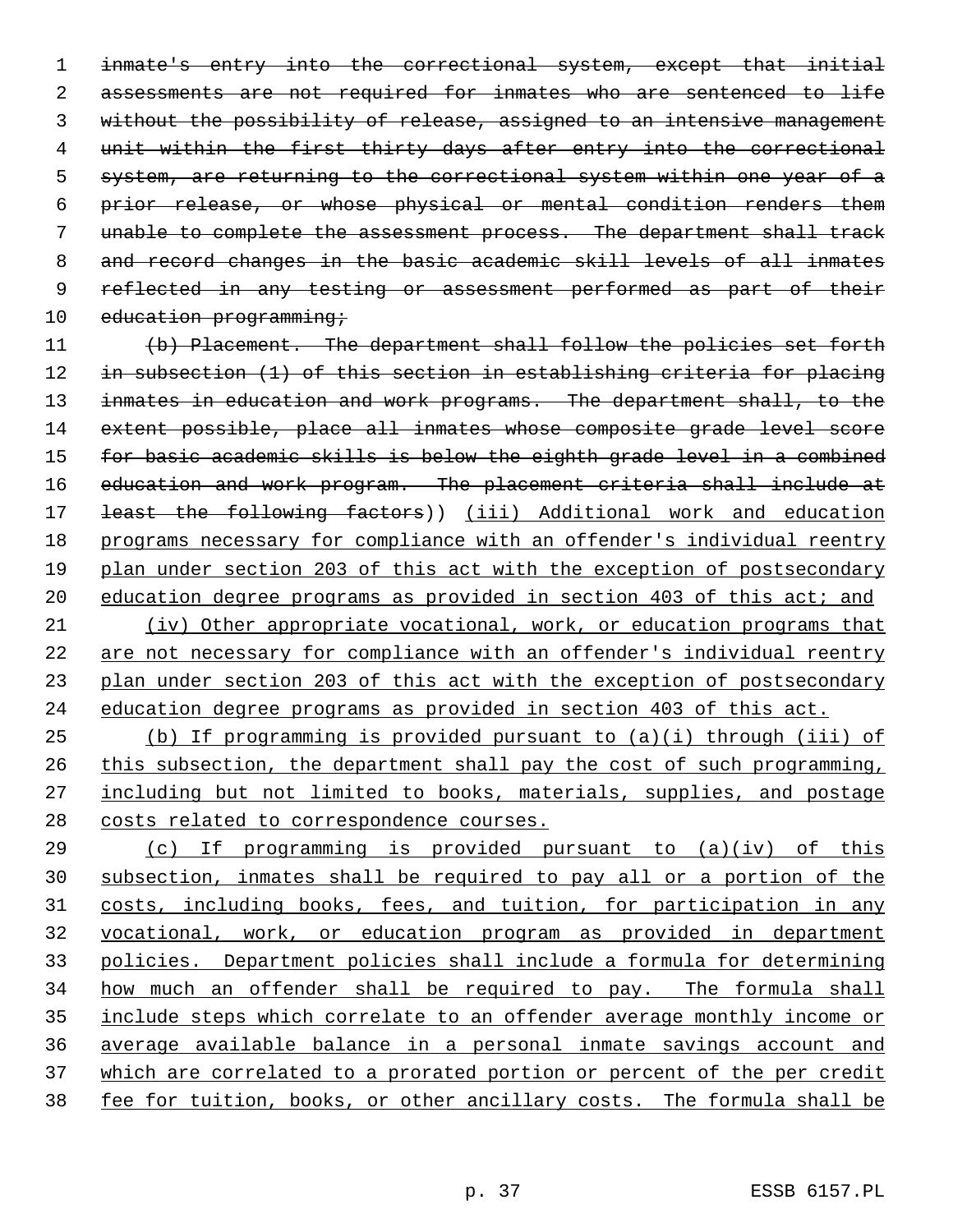inmate's entry into the correctional system, except that initial 2 assessments are not required for inmates who are sentenced to life without the possibility of release, assigned to an intensive management unit within the first thirty days after entry into the correctional system, are returning to the correctional system within one year of a prior release, or whose physical or mental condition renders them unable to complete the assessment process. The department shall track and record changes in the basic academic skill levels of all inmates 9 reflected in any testing or assessment performed as part of their 10 education programming;

 (b) Placement. The department shall follow the policies set forth in subsection (1) of this section in establishing criteria for placing 13 inmates in education and work programs. The department shall, to the extent possible, place all inmates whose composite grade level score 15 for basic academic skills is below the eighth grade level in a combined education and work program. The placement criteria shall include at 17 <del>least the following factors</del>)) (iii) Additional work and education programs necessary for compliance with an offender's individual reentry plan under section 203 of this act with the exception of postsecondary 20 education degree programs as provided in section 403 of this act; and

 (iv) Other appropriate vocational, work, or education programs that are not necessary for compliance with an offender's individual reentry plan under section 203 of this act with the exception of postsecondary education degree programs as provided in section 403 of this act.

 (b) If programming is provided pursuant to (a)(i) through (iii) of 26 this subsection, the department shall pay the cost of such programming, including but not limited to books, materials, supplies, and postage costs related to correspondence courses.

 (c) If programming is provided pursuant to (a)(iv) of this subsection, inmates shall be required to pay all or a portion of the costs, including books, fees, and tuition, for participation in any vocational, work, or education program as provided in department policies. Department policies shall include a formula for determining how much an offender shall be required to pay. The formula shall include steps which correlate to an offender average monthly income or average available balance in a personal inmate savings account and 37 which are correlated to a prorated portion or percent of the per credit fee for tuition, books, or other ancillary costs. The formula shall be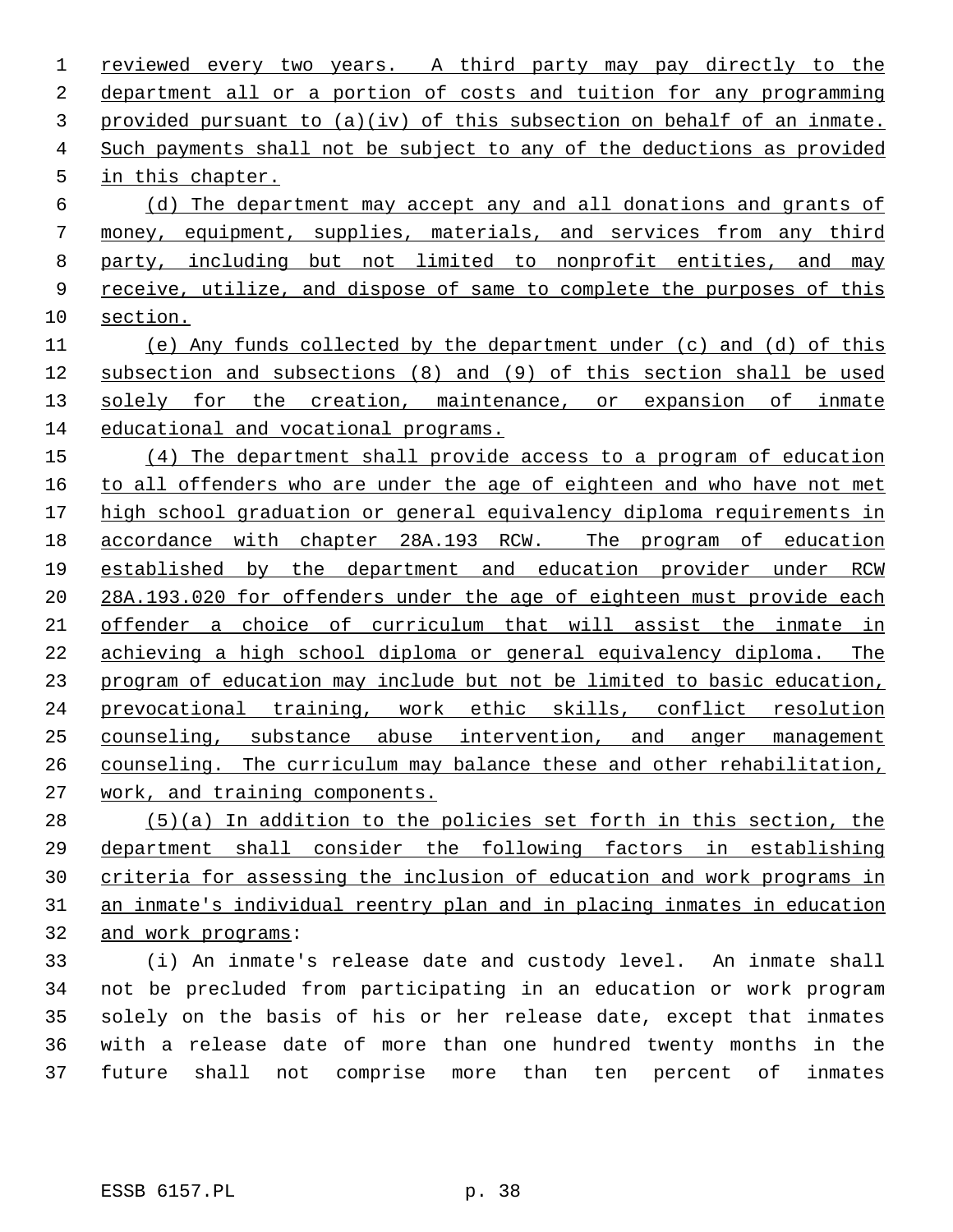reviewed every two years. A third party may pay directly to the department all or a portion of costs and tuition for any programming provided pursuant to (a)(iv) of this subsection on behalf of an inmate. Such payments shall not be subject to any of the deductions as provided in this chapter. (d) The department may accept any and all donations and grants of money, equipment, supplies, materials, and services from any third party, including but not limited to nonprofit entities, and may 9 receive, utilize, and dispose of same to complete the purposes of this

section.

 (e) Any funds collected by the department under (c) and (d) of this subsection and subsections (8) and (9) of this section shall be used 13 solely for the creation, maintenance, or expansion of inmate educational and vocational programs.

 (4) The department shall provide access to a program of education to all offenders who are under the age of eighteen and who have not met 17 high school graduation or general equivalency diploma requirements in 18 accordance with chapter 28A.193 RCW. The program of education established by the department and education provider under RCW 28A.193.020 for offenders under the age of eighteen must provide each offender a choice of curriculum that will assist the inmate in achieving a high school diploma or general equivalency diploma. The program of education may include but not be limited to basic education, prevocational training, work ethic skills, conflict resolution counseling, substance abuse intervention, and anger management counseling. The curriculum may balance these and other rehabilitation, work, and training components.

 (5)(a) In addition to the policies set forth in this section, the department shall consider the following factors in establishing criteria for assessing the inclusion of education and work programs in an inmate's individual reentry plan and in placing inmates in education and work programs:

 (i) An inmate's release date and custody level. An inmate shall not be precluded from participating in an education or work program solely on the basis of his or her release date, except that inmates with a release date of more than one hundred twenty months in the future shall not comprise more than ten percent of inmates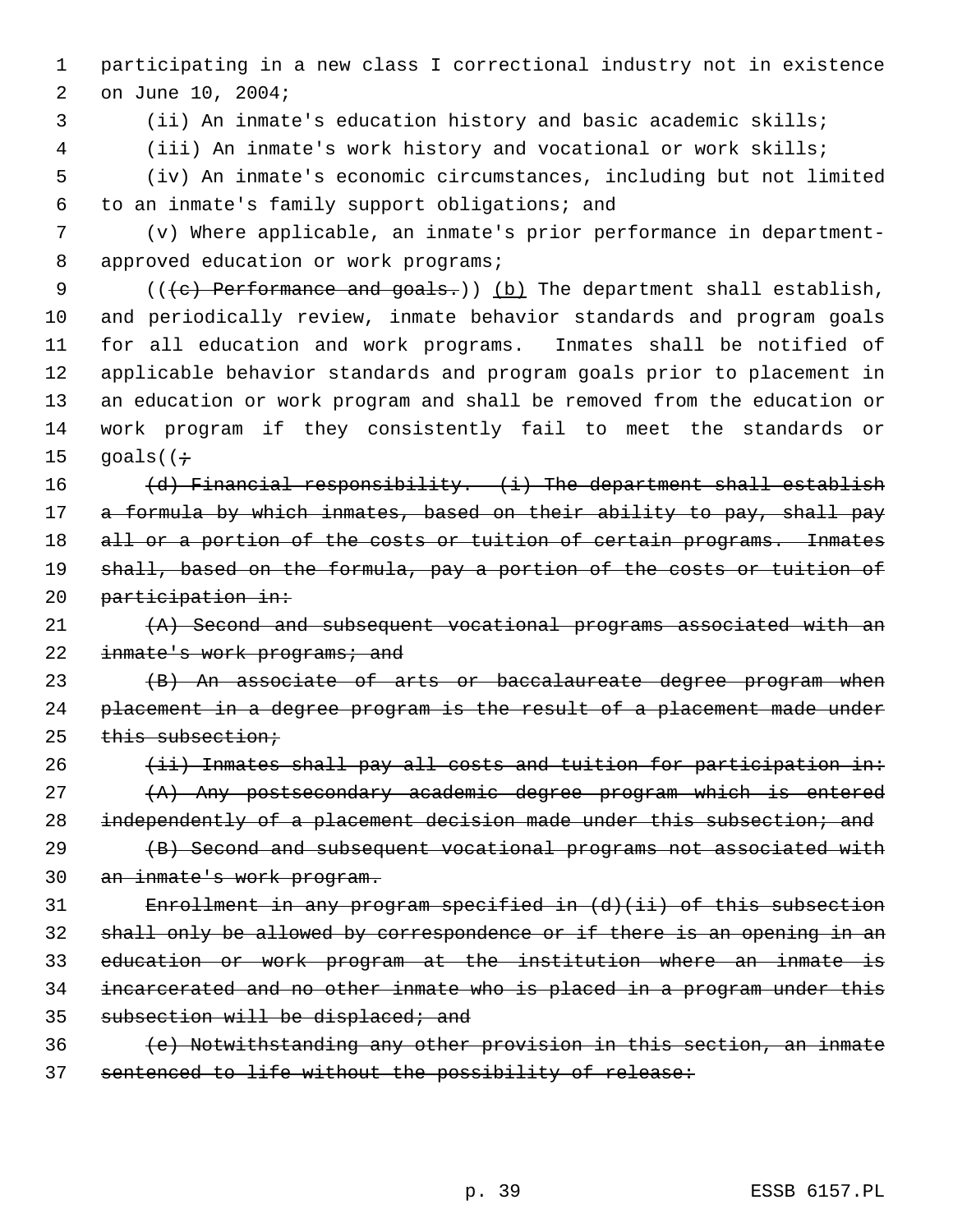1 participating in a new class I correctional industry not in existence 2 on June 10, 2004;

3 (ii) An inmate's education history and basic academic skills;

 4 (iii) An inmate's work history and vocational or work skills; 5 (iv) An inmate's economic circumstances, including but not limited

6 to an inmate's family support obligations; and

 7 (v) Where applicable, an inmate's prior performance in department- 8 approved education or work programs;

9 (( $\left( e \right)$  Performance and goals.)) (b) The department shall establish, and periodically review, inmate behavior standards and program goals for all education and work programs. Inmates shall be notified of applicable behavior standards and program goals prior to placement in an education or work program and shall be removed from the education or work program if they consistently fail to meet the standards or  $q$ oals( $(\div)$ 

16  $(d)$  Financial responsibility.  $(i)$  The department shall establish 17 a formula by which inmates, based on their ability to pay, shall pay 18 all or a portion of the costs or tuition of certain programs. Inmates 19 shall, based on the formula, pay a portion of the costs or tuition of 20 participation in:

 $(1)$   $(1)$  Second and subsequent vocational programs associated with an 22 inmate's work programs; and

23 (B) An associate of arts or baccalaureate degree program when 24 placement in a degree program is the result of a placement made under 25 this subsection;

 $26$  (ii) Inmates shall pay all costs and tuition for participation in:  $(27)$   $(A)$  Any postsecondary academic degree program which is entered 28 independently of a placement decision made under this subsection; and

29 (B) Second and subsequent vocational programs not associated with 30 an inmate's work program.

31 Enrollment in any program specified in (d)(ii) of this subsection 32 shall only be allowed by correspondence or if there is an opening in an 33 education or work program at the institution where an inmate is 34 incarcerated and no other inmate who is placed in a program under this 35 subsection will be displaced; and

36 (e) Notwithstanding any other provision in this section, an inmate 37 sentenced to life without the possibility of release: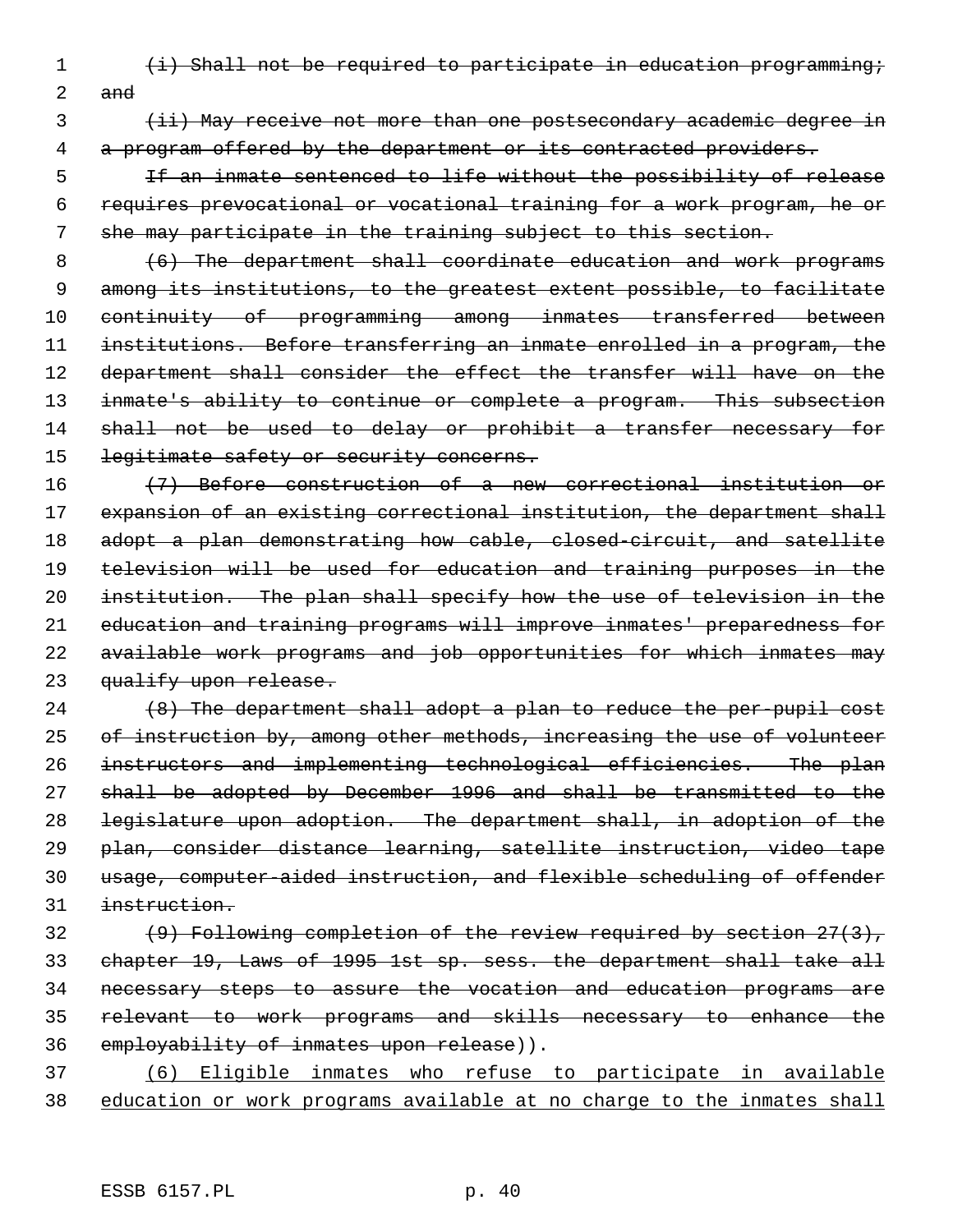1 (i) Shall not be required to participate in education programming;

2 and

3 (ii) May receive not more than one postsecondary academic degree in 4 a program offered by the department or its contracted providers.

 5 If an inmate sentenced to life without the possibility of release 6 requires prevocational or vocational training for a work program, he or 7 she may participate in the training subject to this section.

8 (6) The department shall coordinate education and work programs 9 among its institutions, to the greatest extent possible, to facilitate 10 continuity of programming among inmates transferred between 11 institutions. Before transferring an inmate enrolled in a program, the 12 department shall consider the effect the transfer will have on the 13 inmate's ability to continue or complete a program. This subsection 14 shall not be used to delay or prohibit a transfer necessary for 15 legitimate safety or security concerns.

 (7) Before construction of a new correctional institution or 17 expansion of an existing correctional institution, the department shall 18 adopt a plan demonstrating how cable, closed-circuit, and satellite television will be used for education and training purposes in the institution. The plan shall specify how the use of television in the education and training programs will improve inmates' preparedness for available work programs and job opportunities for which inmates may 23 qualify upon release.

 (8) The department shall adopt a plan to reduce the per-pupil cost 25 of instruction by, among other methods, increasing the use of volunteer 26 instructors and implementing technological efficiencies. The plan shall be adopted by December 1996 and shall be transmitted to the legislature upon adoption. The department shall, in adoption of the plan, consider distance learning, satellite instruction, video tape usage, computer-aided instruction, and flexible scheduling of offender instruction.

 $(9)$  Following completion of the review required by section  $27(3)$ , chapter 19, Laws of 1995 1st sp. sess. the department shall take all necessary steps to assure the vocation and education programs are relevant to work programs and skills necessary to enhance the 36 employability of inmates upon release)).

37 (6) Eligible inmates who refuse to participate in available 38 education or work programs available at no charge to the inmates shall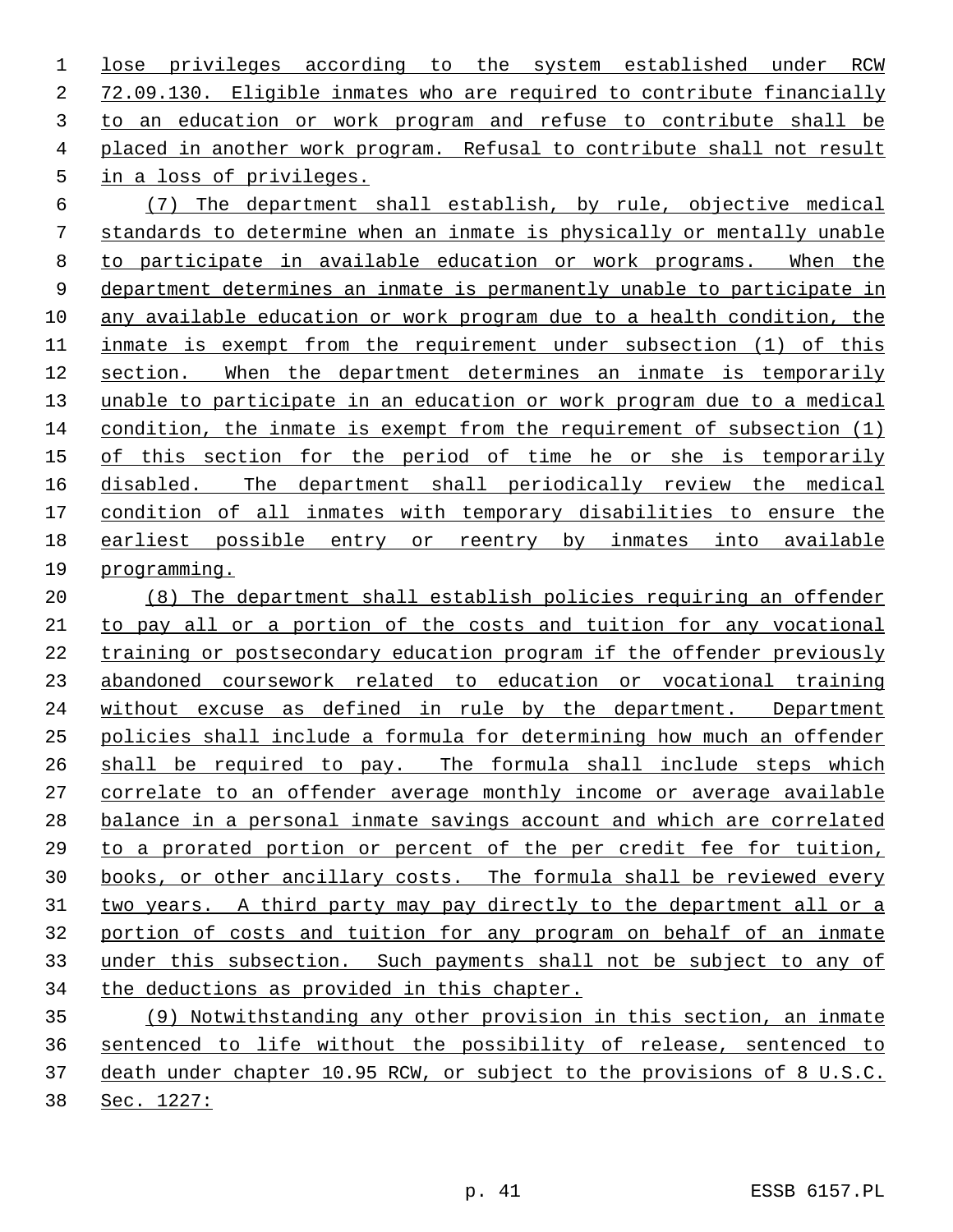lose privileges according to the system established under RCW 72.09.130. Eligible inmates who are required to contribute financially to an education or work program and refuse to contribute shall be placed in another work program. Refusal to contribute shall not result in a loss of privileges.

 (7) The department shall establish, by rule, objective medical standards to determine when an inmate is physically or mentally unable to participate in available education or work programs. When the department determines an inmate is permanently unable to participate in any available education or work program due to a health condition, the 11 inmate is exempt from the requirement under subsection (1) of this section. When the department determines an inmate is temporarily unable to participate in an education or work program due to a medical condition, the inmate is exempt from the requirement of subsection (1) of this section for the period of time he or she is temporarily disabled. The department shall periodically review the medical condition of all inmates with temporary disabilities to ensure the 18 earliest possible entry or reentry by inmates into available programming.

 (8) The department shall establish policies requiring an offender to pay all or a portion of the costs and tuition for any vocational training or postsecondary education program if the offender previously abandoned coursework related to education or vocational training without excuse as defined in rule by the department. Department policies shall include a formula for determining how much an offender shall be required to pay. The formula shall include steps which correlate to an offender average monthly income or average available balance in a personal inmate savings account and which are correlated to a prorated portion or percent of the per credit fee for tuition, books, or other ancillary costs. The formula shall be reviewed every 31 two years. A third party may pay directly to the department all or a portion of costs and tuition for any program on behalf of an inmate under this subsection. Such payments shall not be subject to any of the deductions as provided in this chapter.

 (9) Notwithstanding any other provision in this section, an inmate sentenced to life without the possibility of release, sentenced to death under chapter 10.95 RCW, or subject to the provisions of 8 U.S.C. Sec. 1227: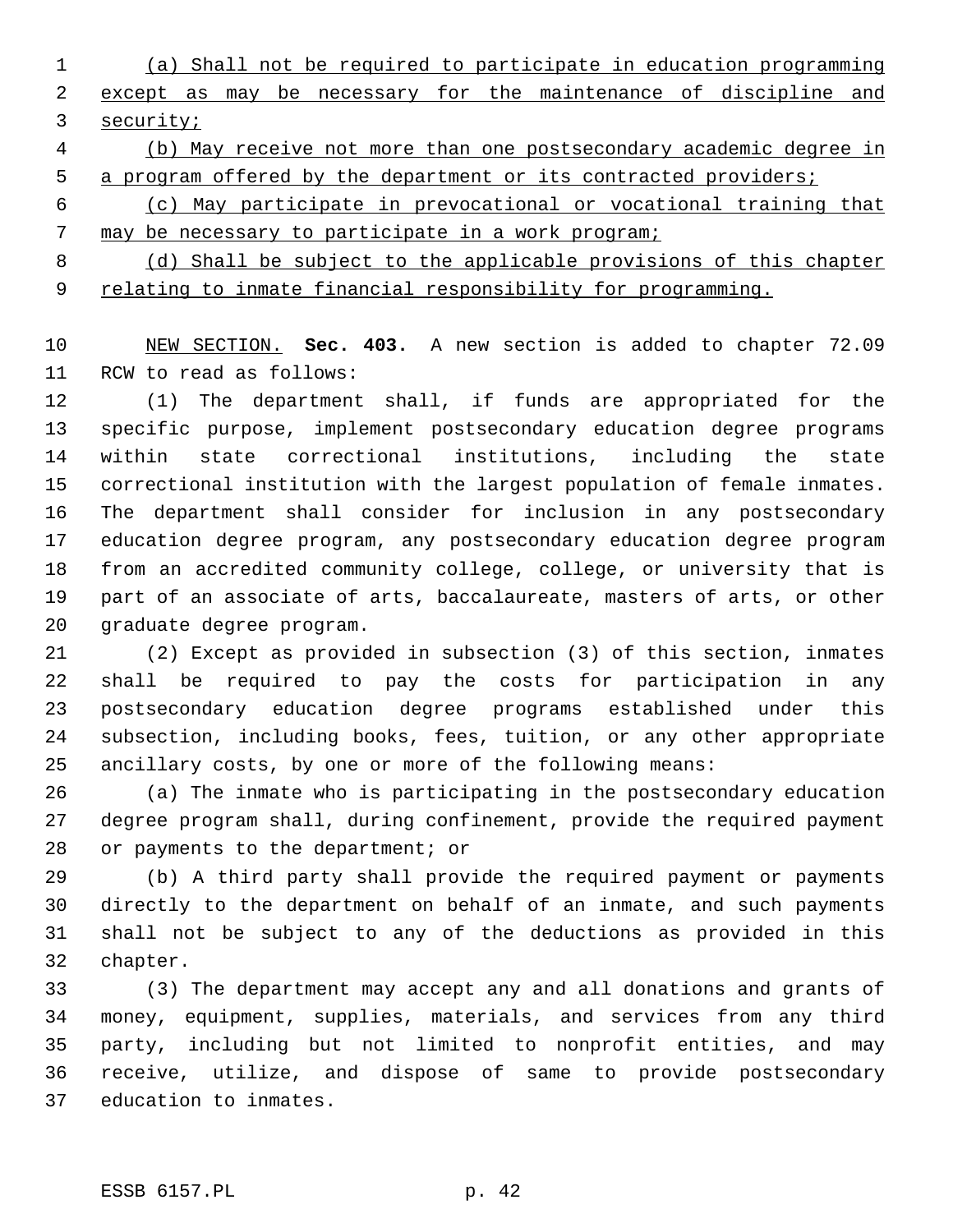- (a) Shall not be required to participate in education programming except as may be necessary for the maintenance of discipline and security;
- (b) May receive not more than one postsecondary academic degree in 5 a program offered by the department or its contracted providers;
- (c) May participate in prevocational or vocational training that 7 may be necessary to participate in a work program;
- (d) Shall be subject to the applicable provisions of this chapter 9 relating to inmate financial responsibility for programming.

 NEW SECTION. **Sec. 403.** A new section is added to chapter 72.09 RCW to read as follows:

 (1) The department shall, if funds are appropriated for the specific purpose, implement postsecondary education degree programs within state correctional institutions, including the state correctional institution with the largest population of female inmates. The department shall consider for inclusion in any postsecondary education degree program, any postsecondary education degree program from an accredited community college, college, or university that is part of an associate of arts, baccalaureate, masters of arts, or other graduate degree program.

 (2) Except as provided in subsection (3) of this section, inmates shall be required to pay the costs for participation in any postsecondary education degree programs established under this subsection, including books, fees, tuition, or any other appropriate ancillary costs, by one or more of the following means:

 (a) The inmate who is participating in the postsecondary education degree program shall, during confinement, provide the required payment or payments to the department; or

 (b) A third party shall provide the required payment or payments directly to the department on behalf of an inmate, and such payments shall not be subject to any of the deductions as provided in this chapter.

 (3) The department may accept any and all donations and grants of money, equipment, supplies, materials, and services from any third party, including but not limited to nonprofit entities, and may receive, utilize, and dispose of same to provide postsecondary education to inmates.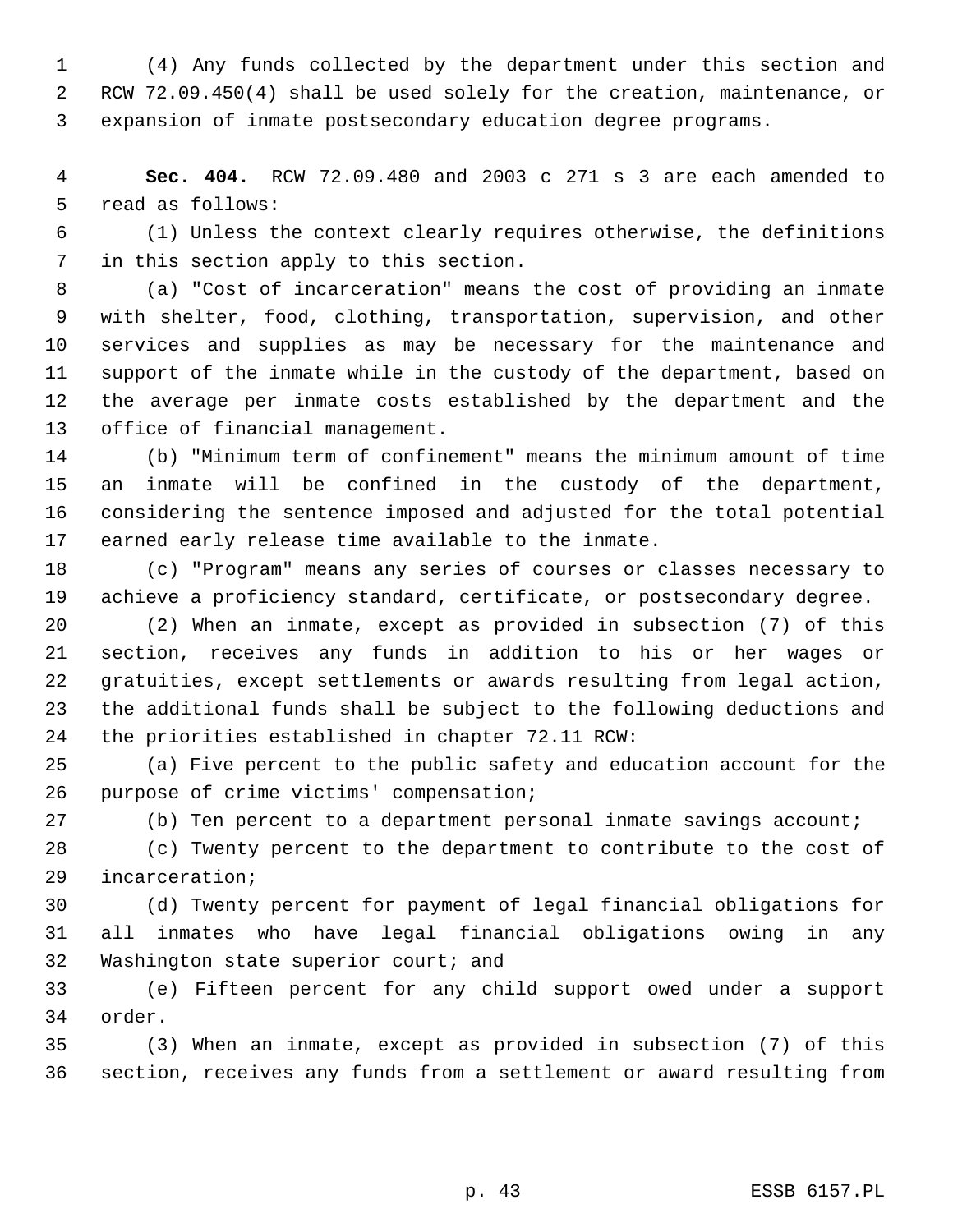(4) Any funds collected by the department under this section and RCW 72.09.450(4) shall be used solely for the creation, maintenance, or expansion of inmate postsecondary education degree programs.

 **Sec. 404.** RCW 72.09.480 and 2003 c 271 s 3 are each amended to read as follows:

 (1) Unless the context clearly requires otherwise, the definitions in this section apply to this section.

 (a) "Cost of incarceration" means the cost of providing an inmate with shelter, food, clothing, transportation, supervision, and other services and supplies as may be necessary for the maintenance and support of the inmate while in the custody of the department, based on the average per inmate costs established by the department and the office of financial management.

 (b) "Minimum term of confinement" means the minimum amount of time an inmate will be confined in the custody of the department, considering the sentence imposed and adjusted for the total potential earned early release time available to the inmate.

 (c) "Program" means any series of courses or classes necessary to achieve a proficiency standard, certificate, or postsecondary degree.

 (2) When an inmate, except as provided in subsection (7) of this section, receives any funds in addition to his or her wages or gratuities, except settlements or awards resulting from legal action, the additional funds shall be subject to the following deductions and the priorities established in chapter 72.11 RCW:

 (a) Five percent to the public safety and education account for the purpose of crime victims' compensation;

(b) Ten percent to a department personal inmate savings account;

 (c) Twenty percent to the department to contribute to the cost of incarceration;

 (d) Twenty percent for payment of legal financial obligations for all inmates who have legal financial obligations owing in any Washington state superior court; and

 (e) Fifteen percent for any child support owed under a support order.

 (3) When an inmate, except as provided in subsection (7) of this section, receives any funds from a settlement or award resulting from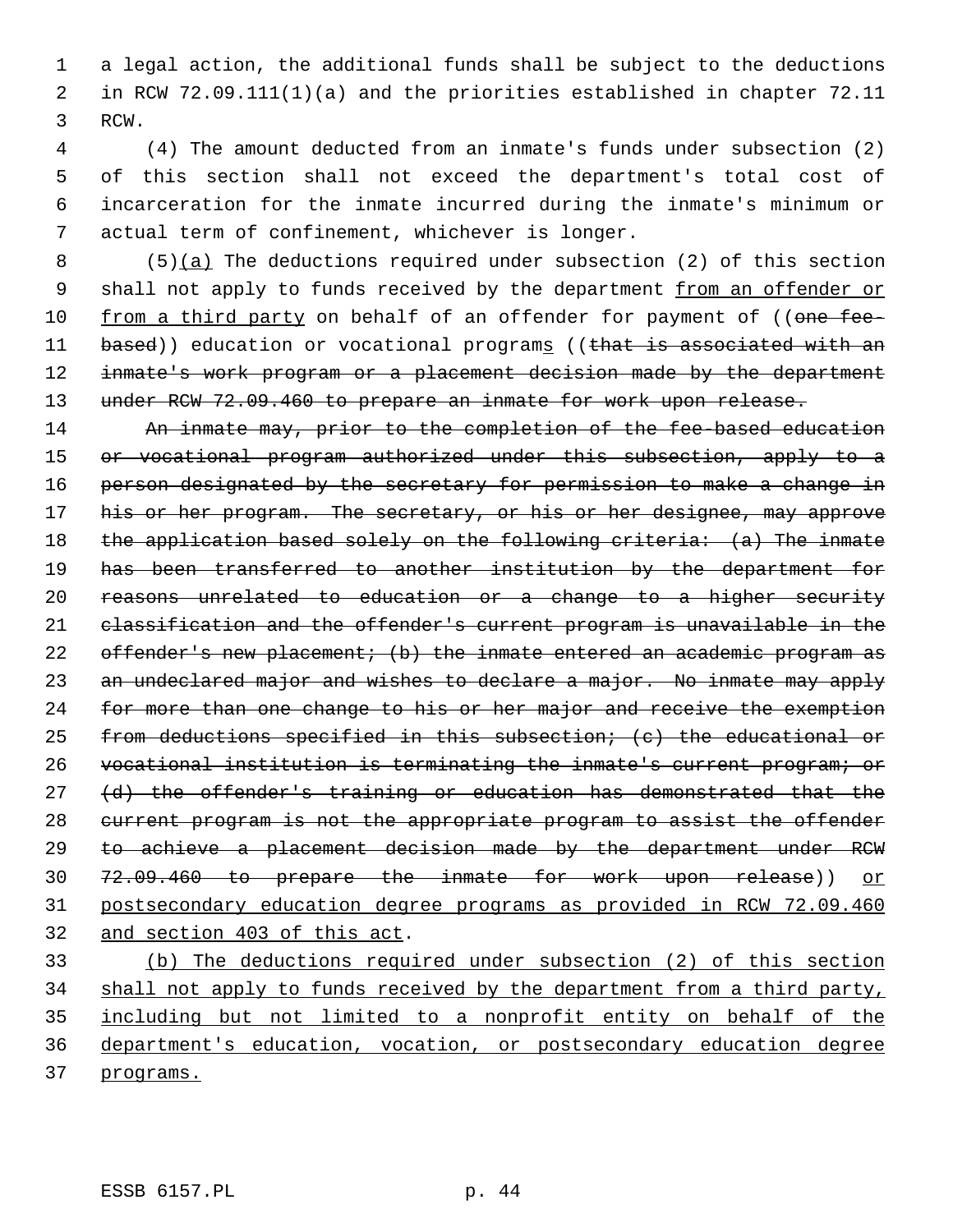1 a legal action, the additional funds shall be subject to the deductions 2 in RCW 72.09.111(1)(a) and the priorities established in chapter 72.11 3 RCW.

 (4) The amount deducted from an inmate's funds under subsection (2) of this section shall not exceed the department's total cost of incarceration for the inmate incurred during the inmate's minimum or actual term of confinement, whichever is longer.

8  $(5)(a)$  The deductions required under subsection (2) of this section 9 shall not apply to funds received by the department from an offender or 10 from a third party on behalf of an offender for payment of ((one fee-11 based)) education or vocational programs ((that is associated with an 12 inmate's work program or a placement decision made by the department 13 under RCW 72.09.460 to prepare an inmate for work upon release.

14 An inmate may, prior to the completion of the fee-based education 15 or vocational program authorized under this subsection, apply to a 16 person designated by the secretary for permission to make a change in 17 his or her program. The secretary, or his or her designee, may approve 18 the application based solely on the following criteria: (a) The inmate 19 has been transferred to another institution by the department for 20 reasons unrelated to education or a change to a higher security 21 classification and the offender's current program is unavailable in the 22 offender's new placement; (b) the inmate entered an academic program as 23 an undeclared major and wishes to declare a major. No inmate may apply 24 for more than one change to his or her major and receive the exemption 25 from deductions specified in this subsection; (c) the educational or 26 vocational institution is terminating the inmate's current program; or 27 (d) the offender's training or education has demonstrated that the 28 current program is not the appropriate program to assist the offender 29 to achieve a placement decision made by the department under RCW 30 72.09.460 to prepare the inmate for work upon release)) or 31 postsecondary education degree programs as provided in RCW 72.09.460 32 and section 403 of this act.

 (b) The deductions required under subsection (2) of this section 34 shall not apply to funds received by the department from a third party, including but not limited to a nonprofit entity on behalf of the department's education, vocation, or postsecondary education degree programs.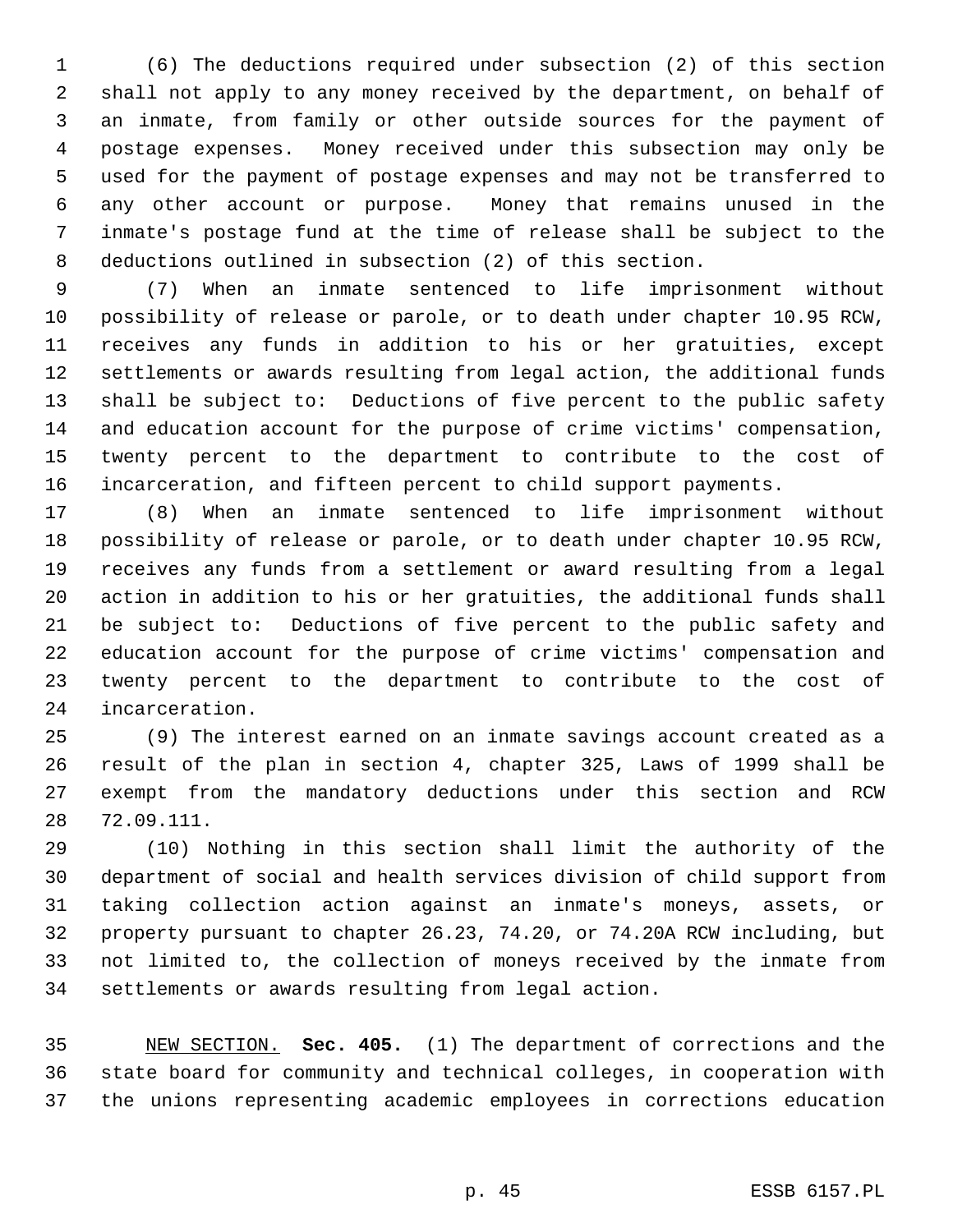(6) The deductions required under subsection (2) of this section shall not apply to any money received by the department, on behalf of an inmate, from family or other outside sources for the payment of postage expenses. Money received under this subsection may only be used for the payment of postage expenses and may not be transferred to any other account or purpose. Money that remains unused in the inmate's postage fund at the time of release shall be subject to the deductions outlined in subsection (2) of this section.

 (7) When an inmate sentenced to life imprisonment without possibility of release or parole, or to death under chapter 10.95 RCW, receives any funds in addition to his or her gratuities, except settlements or awards resulting from legal action, the additional funds shall be subject to: Deductions of five percent to the public safety and education account for the purpose of crime victims' compensation, twenty percent to the department to contribute to the cost of incarceration, and fifteen percent to child support payments.

 (8) When an inmate sentenced to life imprisonment without possibility of release or parole, or to death under chapter 10.95 RCW, receives any funds from a settlement or award resulting from a legal action in addition to his or her gratuities, the additional funds shall be subject to: Deductions of five percent to the public safety and education account for the purpose of crime victims' compensation and twenty percent to the department to contribute to the cost of incarceration.

 (9) The interest earned on an inmate savings account created as a result of the plan in section 4, chapter 325, Laws of 1999 shall be exempt from the mandatory deductions under this section and RCW 72.09.111.

 (10) Nothing in this section shall limit the authority of the department of social and health services division of child support from taking collection action against an inmate's moneys, assets, or property pursuant to chapter 26.23, 74.20, or 74.20A RCW including, but not limited to, the collection of moneys received by the inmate from settlements or awards resulting from legal action.

 NEW SECTION. **Sec. 405.** (1) The department of corrections and the state board for community and technical colleges, in cooperation with the unions representing academic employees in corrections education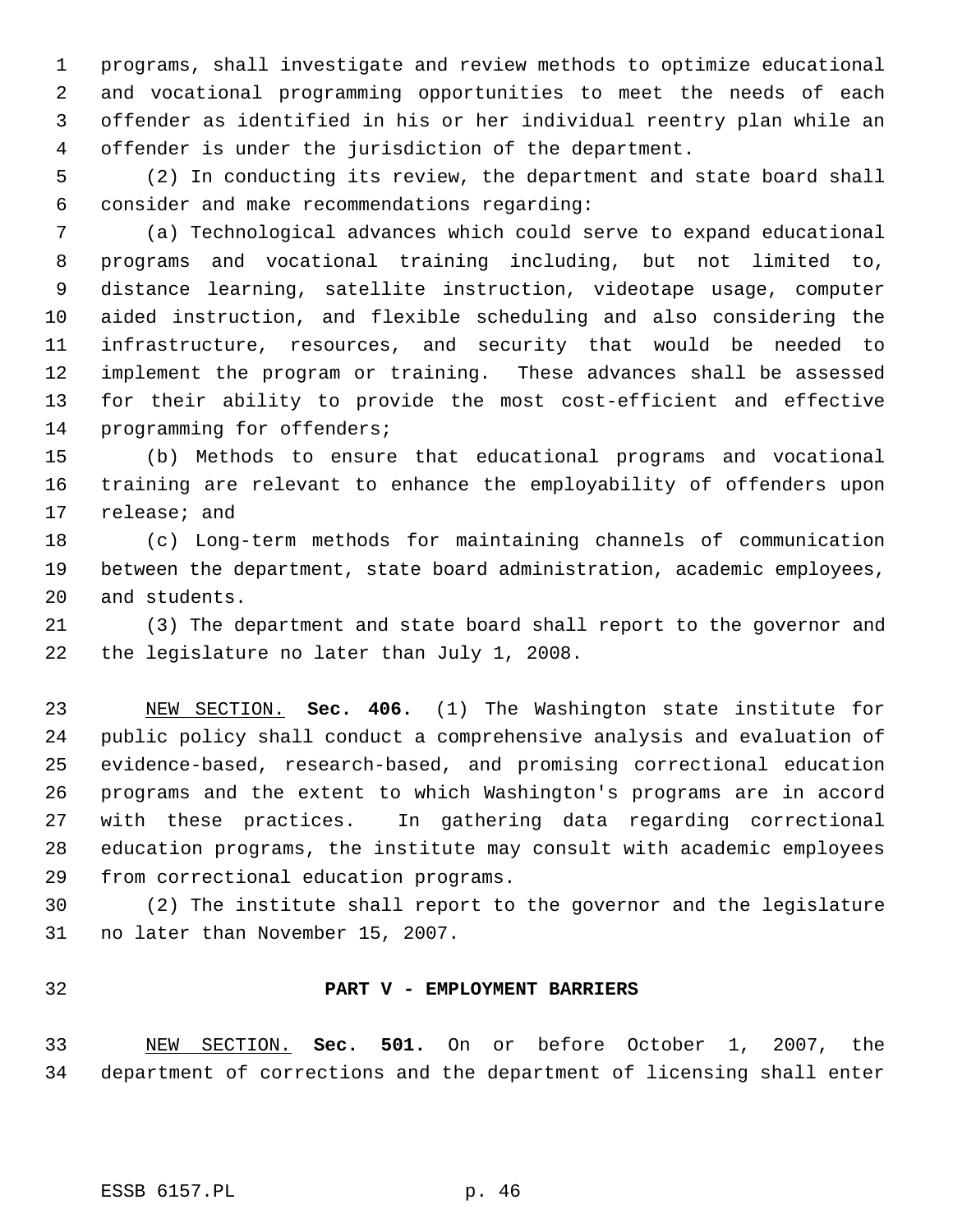programs, shall investigate and review methods to optimize educational and vocational programming opportunities to meet the needs of each offender as identified in his or her individual reentry plan while an offender is under the jurisdiction of the department.

 (2) In conducting its review, the department and state board shall consider and make recommendations regarding:

 (a) Technological advances which could serve to expand educational programs and vocational training including, but not limited to, distance learning, satellite instruction, videotape usage, computer aided instruction, and flexible scheduling and also considering the infrastructure, resources, and security that would be needed to implement the program or training. These advances shall be assessed for their ability to provide the most cost-efficient and effective programming for offenders;

 (b) Methods to ensure that educational programs and vocational training are relevant to enhance the employability of offenders upon release; and

 (c) Long-term methods for maintaining channels of communication between the department, state board administration, academic employees, and students.

 (3) The department and state board shall report to the governor and the legislature no later than July 1, 2008.

 NEW SECTION. **Sec. 406.** (1) The Washington state institute for public policy shall conduct a comprehensive analysis and evaluation of evidence-based, research-based, and promising correctional education programs and the extent to which Washington's programs are in accord with these practices. In gathering data regarding correctional education programs, the institute may consult with academic employees from correctional education programs.

 (2) The institute shall report to the governor and the legislature no later than November 15, 2007.

### **PART V - EMPLOYMENT BARRIERS**

 NEW SECTION. **Sec. 501.** On or before October 1, 2007, the department of corrections and the department of licensing shall enter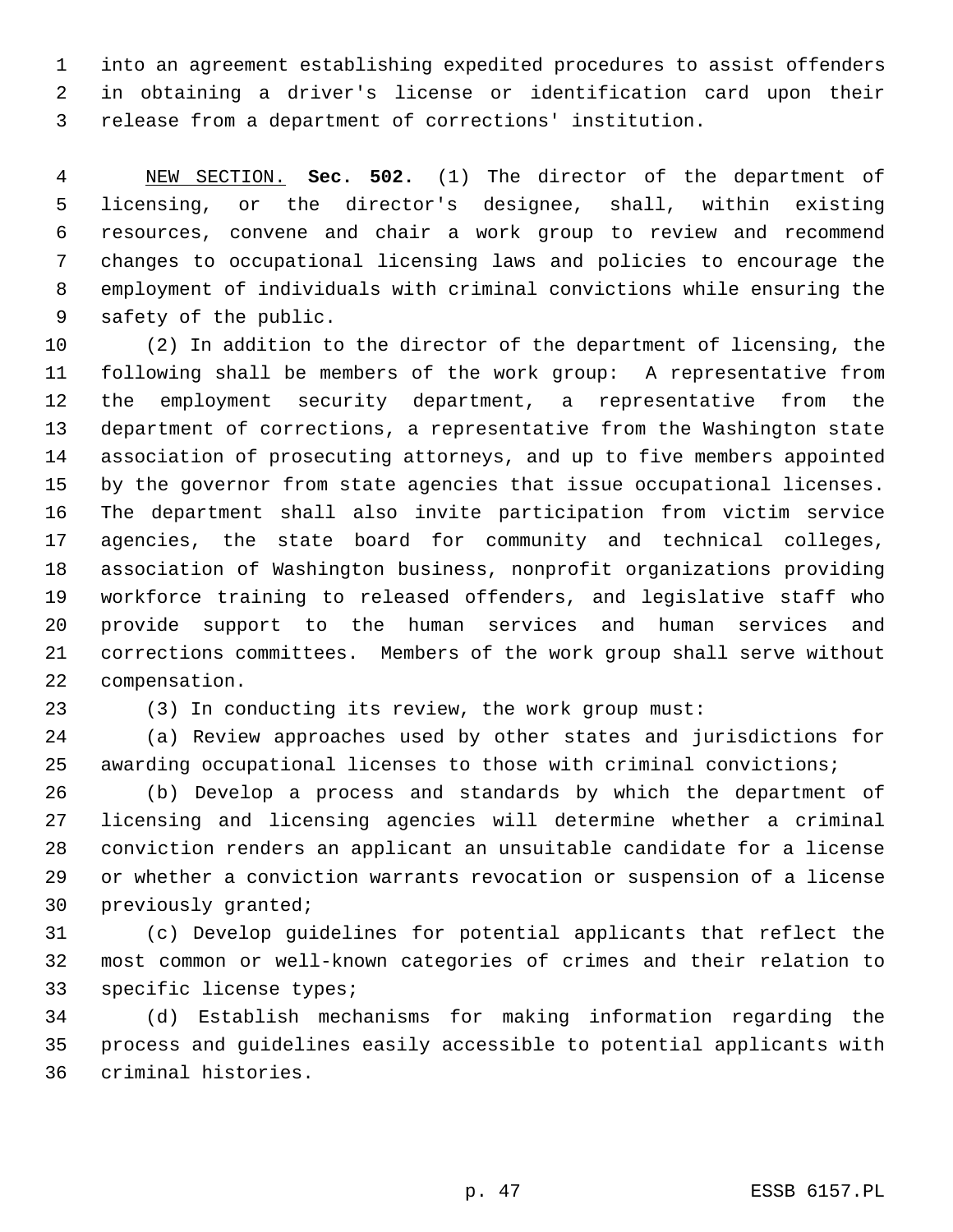into an agreement establishing expedited procedures to assist offenders in obtaining a driver's license or identification card upon their release from a department of corrections' institution.

 NEW SECTION. **Sec. 502.** (1) The director of the department of licensing, or the director's designee, shall, within existing resources, convene and chair a work group to review and recommend changes to occupational licensing laws and policies to encourage the employment of individuals with criminal convictions while ensuring the safety of the public.

 (2) In addition to the director of the department of licensing, the following shall be members of the work group: A representative from the employment security department, a representative from the department of corrections, a representative from the Washington state association of prosecuting attorneys, and up to five members appointed by the governor from state agencies that issue occupational licenses. The department shall also invite participation from victim service agencies, the state board for community and technical colleges, association of Washington business, nonprofit organizations providing workforce training to released offenders, and legislative staff who provide support to the human services and human services and corrections committees. Members of the work group shall serve without compensation.

(3) In conducting its review, the work group must:

 (a) Review approaches used by other states and jurisdictions for awarding occupational licenses to those with criminal convictions;

 (b) Develop a process and standards by which the department of licensing and licensing agencies will determine whether a criminal conviction renders an applicant an unsuitable candidate for a license or whether a conviction warrants revocation or suspension of a license previously granted;

 (c) Develop guidelines for potential applicants that reflect the most common or well-known categories of crimes and their relation to specific license types;

 (d) Establish mechanisms for making information regarding the process and guidelines easily accessible to potential applicants with criminal histories.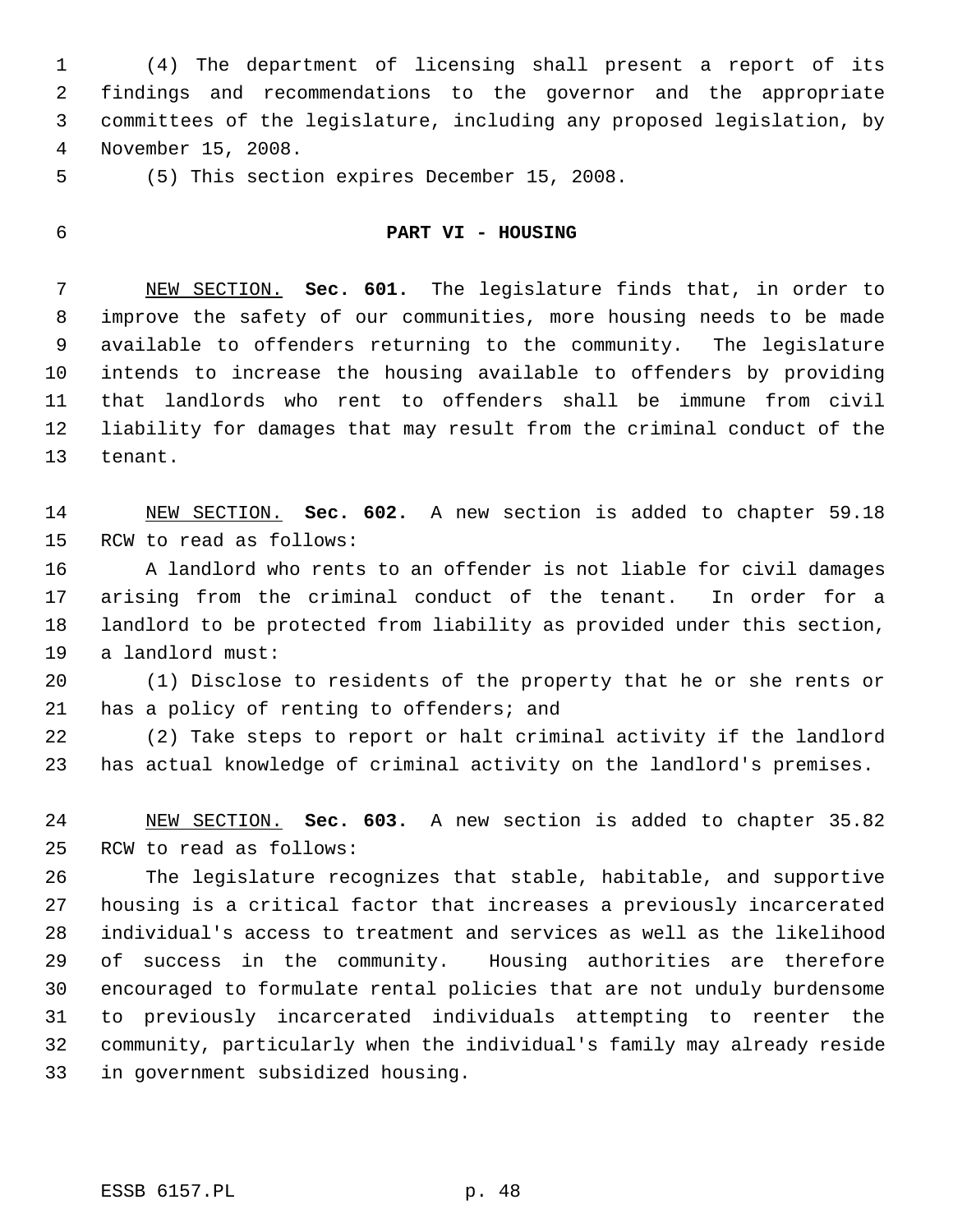(4) The department of licensing shall present a report of its findings and recommendations to the governor and the appropriate committees of the legislature, including any proposed legislation, by November 15, 2008.

(5) This section expires December 15, 2008.

### **PART VI - HOUSING**

 NEW SECTION. **Sec. 601.** The legislature finds that, in order to improve the safety of our communities, more housing needs to be made available to offenders returning to the community. The legislature intends to increase the housing available to offenders by providing that landlords who rent to offenders shall be immune from civil liability for damages that may result from the criminal conduct of the tenant.

 NEW SECTION. **Sec. 602.** A new section is added to chapter 59.18 RCW to read as follows:

 A landlord who rents to an offender is not liable for civil damages arising from the criminal conduct of the tenant. In order for a landlord to be protected from liability as provided under this section, a landlord must:

 (1) Disclose to residents of the property that he or she rents or has a policy of renting to offenders; and

 (2) Take steps to report or halt criminal activity if the landlord has actual knowledge of criminal activity on the landlord's premises.

 NEW SECTION. **Sec. 603.** A new section is added to chapter 35.82 RCW to read as follows:

 The legislature recognizes that stable, habitable, and supportive housing is a critical factor that increases a previously incarcerated individual's access to treatment and services as well as the likelihood of success in the community. Housing authorities are therefore encouraged to formulate rental policies that are not unduly burdensome to previously incarcerated individuals attempting to reenter the community, particularly when the individual's family may already reside in government subsidized housing.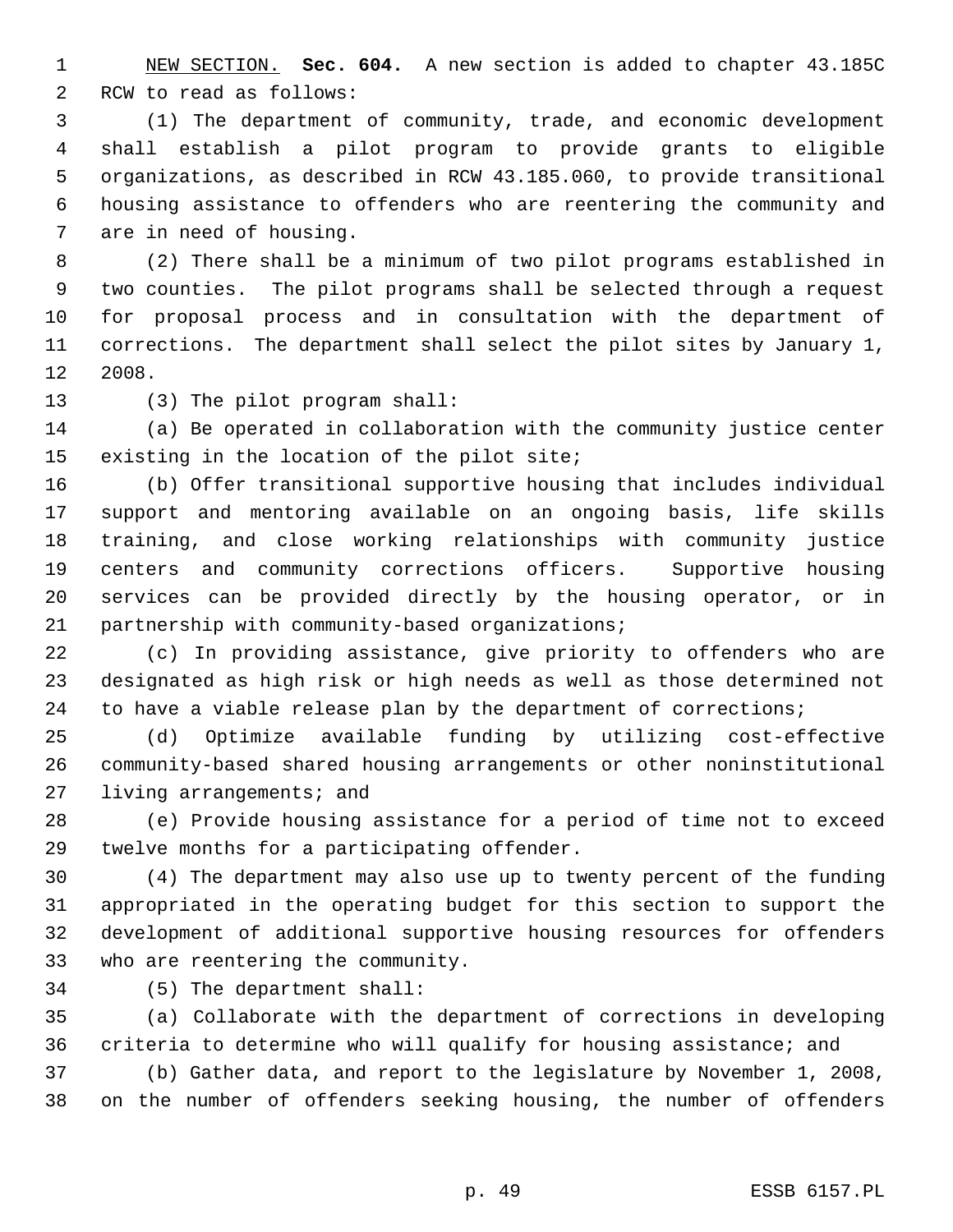NEW SECTION. **Sec. 604.** A new section is added to chapter 43.185C RCW to read as follows:

 (1) The department of community, trade, and economic development shall establish a pilot program to provide grants to eligible organizations, as described in RCW 43.185.060, to provide transitional housing assistance to offenders who are reentering the community and are in need of housing.

 (2) There shall be a minimum of two pilot programs established in two counties. The pilot programs shall be selected through a request for proposal process and in consultation with the department of corrections. The department shall select the pilot sites by January 1, 2008.

(3) The pilot program shall:

 (a) Be operated in collaboration with the community justice center existing in the location of the pilot site;

 (b) Offer transitional supportive housing that includes individual support and mentoring available on an ongoing basis, life skills training, and close working relationships with community justice centers and community corrections officers. Supportive housing services can be provided directly by the housing operator, or in partnership with community-based organizations;

 (c) In providing assistance, give priority to offenders who are designated as high risk or high needs as well as those determined not to have a viable release plan by the department of corrections;

 (d) Optimize available funding by utilizing cost-effective community-based shared housing arrangements or other noninstitutional living arrangements; and

 (e) Provide housing assistance for a period of time not to exceed twelve months for a participating offender.

 (4) The department may also use up to twenty percent of the funding appropriated in the operating budget for this section to support the development of additional supportive housing resources for offenders who are reentering the community.

(5) The department shall:

 (a) Collaborate with the department of corrections in developing criteria to determine who will qualify for housing assistance; and

 (b) Gather data, and report to the legislature by November 1, 2008, on the number of offenders seeking housing, the number of offenders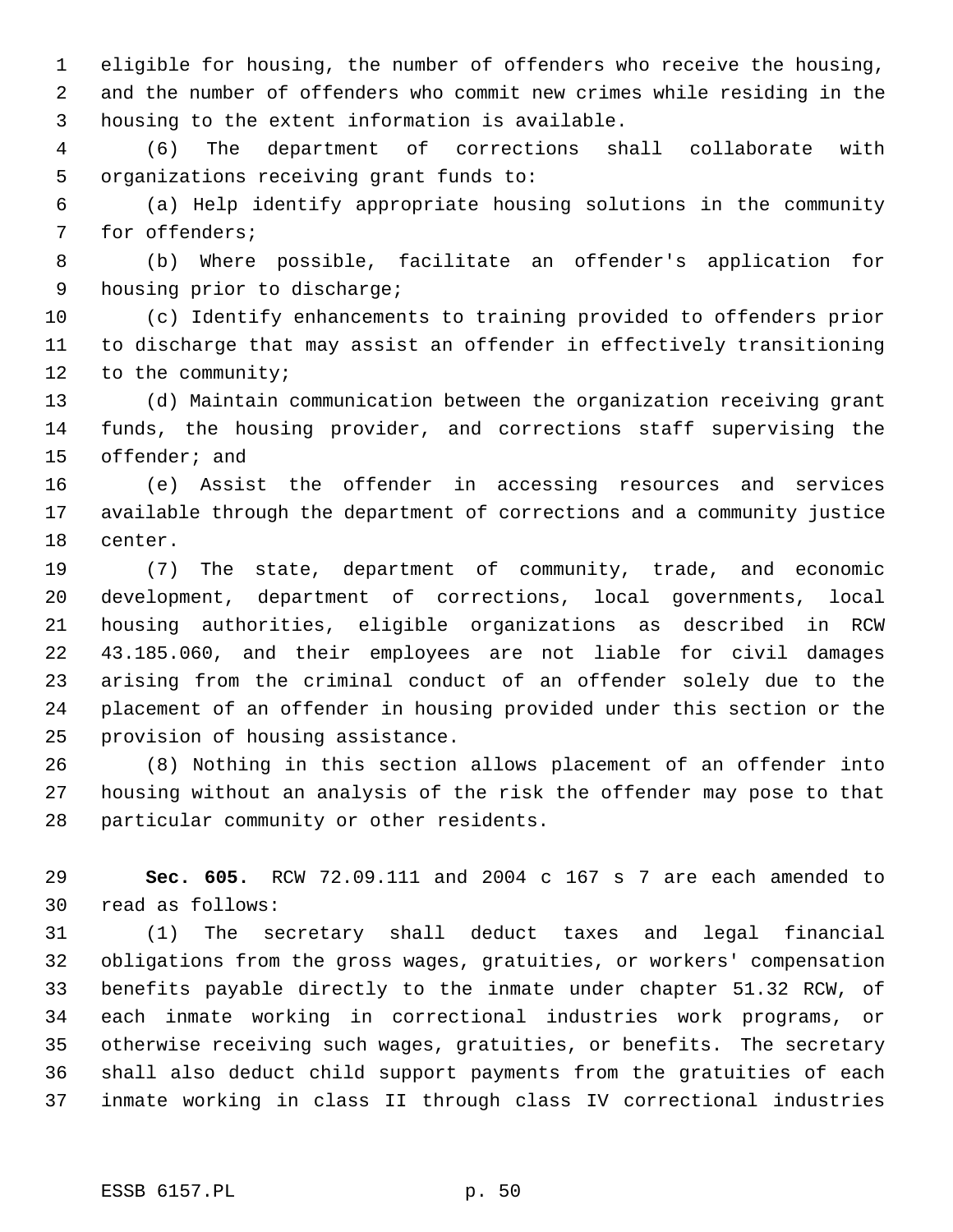eligible for housing, the number of offenders who receive the housing, and the number of offenders who commit new crimes while residing in the housing to the extent information is available.

 (6) The department of corrections shall collaborate with organizations receiving grant funds to:

 (a) Help identify appropriate housing solutions in the community for offenders;

 (b) Where possible, facilitate an offender's application for housing prior to discharge;

 (c) Identify enhancements to training provided to offenders prior to discharge that may assist an offender in effectively transitioning to the community;

 (d) Maintain communication between the organization receiving grant funds, the housing provider, and corrections staff supervising the offender; and

 (e) Assist the offender in accessing resources and services available through the department of corrections and a community justice center.

 (7) The state, department of community, trade, and economic development, department of corrections, local governments, local housing authorities, eligible organizations as described in RCW 43.185.060, and their employees are not liable for civil damages arising from the criminal conduct of an offender solely due to the placement of an offender in housing provided under this section or the provision of housing assistance.

 (8) Nothing in this section allows placement of an offender into housing without an analysis of the risk the offender may pose to that particular community or other residents.

 **Sec. 605.** RCW 72.09.111 and 2004 c 167 s 7 are each amended to read as follows:

 (1) The secretary shall deduct taxes and legal financial obligations from the gross wages, gratuities, or workers' compensation benefits payable directly to the inmate under chapter 51.32 RCW, of each inmate working in correctional industries work programs, or otherwise receiving such wages, gratuities, or benefits. The secretary shall also deduct child support payments from the gratuities of each inmate working in class II through class IV correctional industries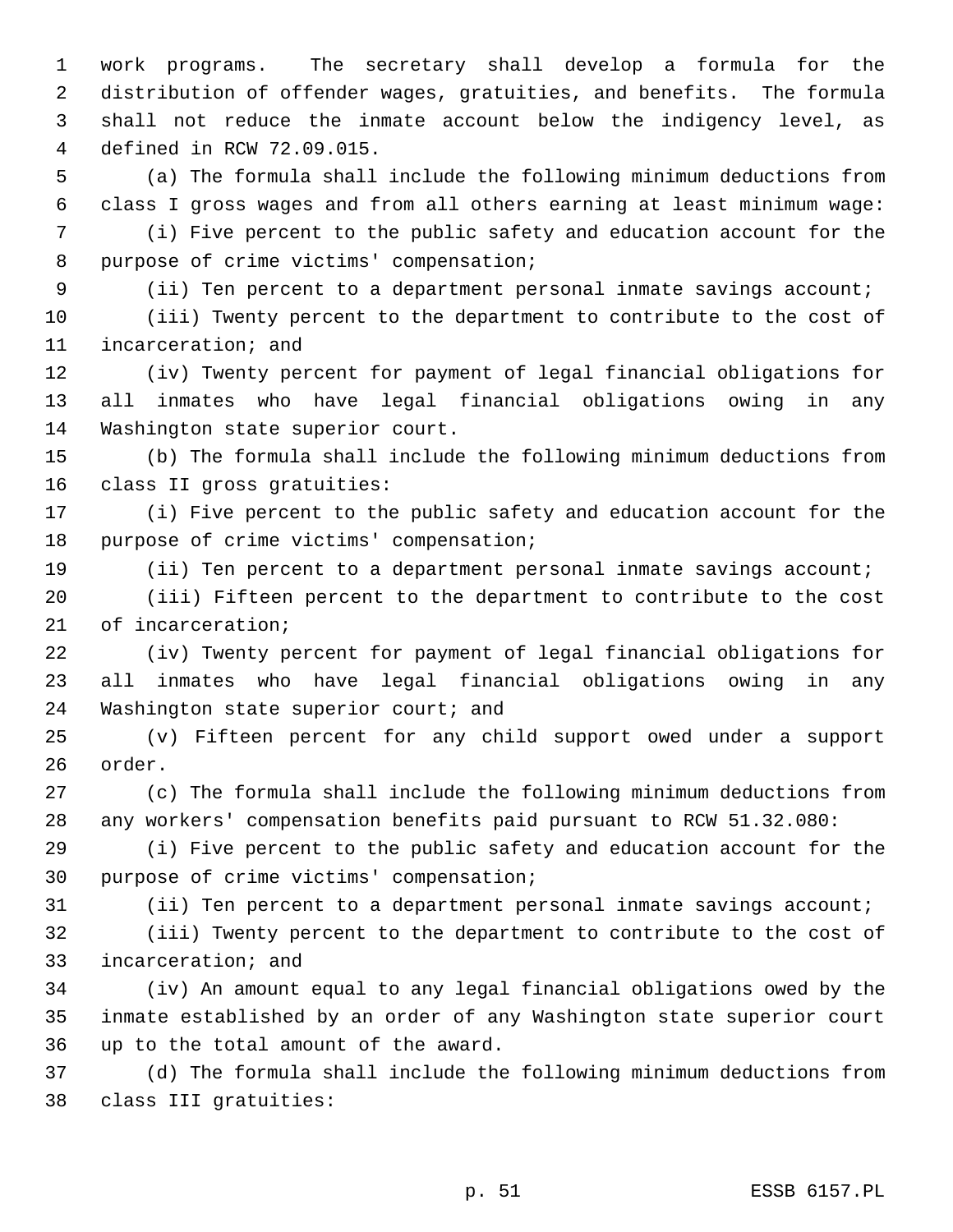work programs. The secretary shall develop a formula for the distribution of offender wages, gratuities, and benefits. The formula shall not reduce the inmate account below the indigency level, as defined in RCW 72.09.015.

 (a) The formula shall include the following minimum deductions from class I gross wages and from all others earning at least minimum wage:

 (i) Five percent to the public safety and education account for the purpose of crime victims' compensation;

(ii) Ten percent to a department personal inmate savings account;

 (iii) Twenty percent to the department to contribute to the cost of incarceration; and

 (iv) Twenty percent for payment of legal financial obligations for all inmates who have legal financial obligations owing in any Washington state superior court.

 (b) The formula shall include the following minimum deductions from class II gross gratuities:

 (i) Five percent to the public safety and education account for the purpose of crime victims' compensation;

(ii) Ten percent to a department personal inmate savings account;

 (iii) Fifteen percent to the department to contribute to the cost of incarceration;

 (iv) Twenty percent for payment of legal financial obligations for all inmates who have legal financial obligations owing in any 24 Washington state superior court; and

 (v) Fifteen percent for any child support owed under a support order.

 (c) The formula shall include the following minimum deductions from any workers' compensation benefits paid pursuant to RCW 51.32.080:

 (i) Five percent to the public safety and education account for the purpose of crime victims' compensation;

(ii) Ten percent to a department personal inmate savings account;

 (iii) Twenty percent to the department to contribute to the cost of incarceration; and

 (iv) An amount equal to any legal financial obligations owed by the inmate established by an order of any Washington state superior court up to the total amount of the award.

 (d) The formula shall include the following minimum deductions from class III gratuities: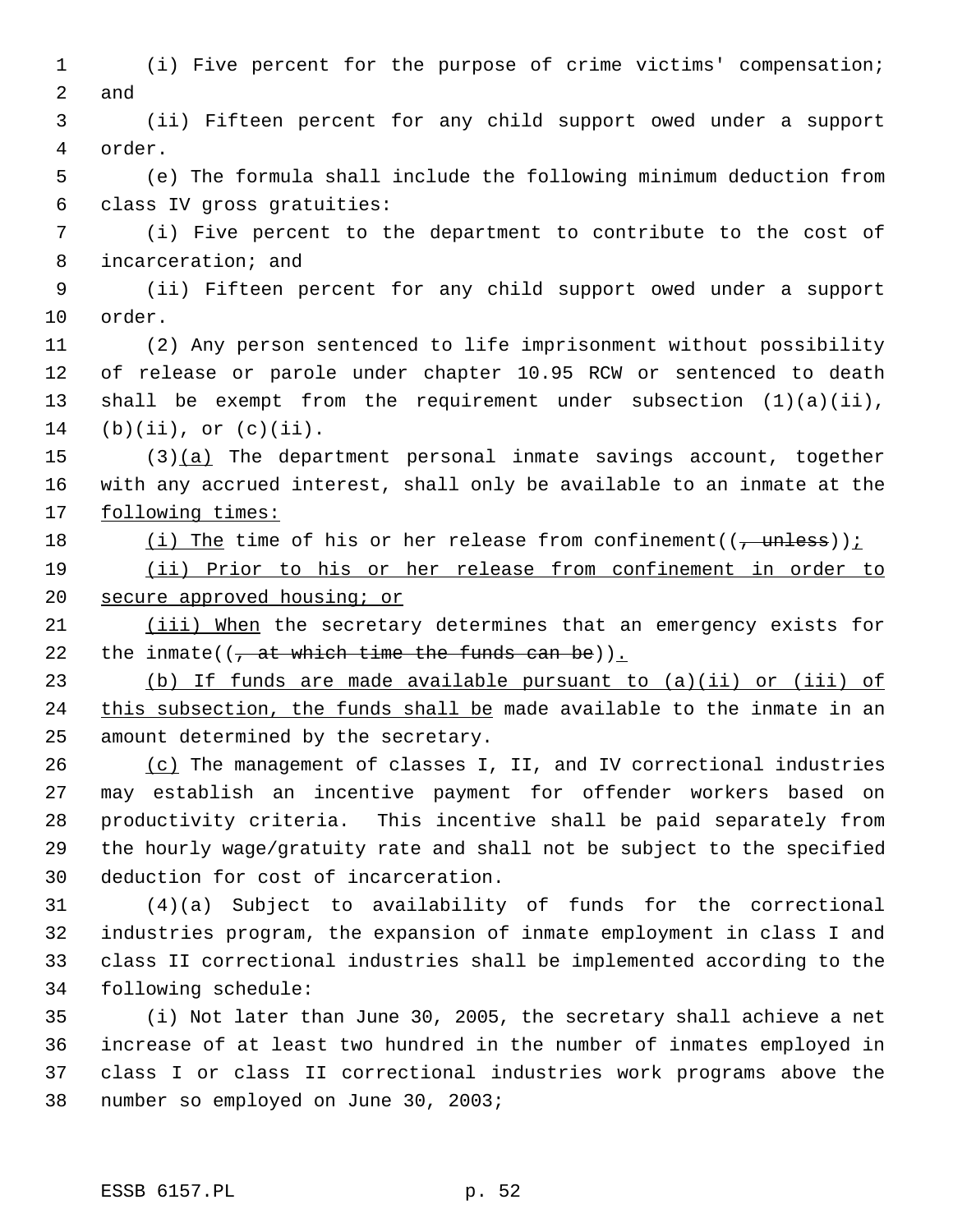(i) Five percent for the purpose of crime victims' compensation; and (ii) Fifteen percent for any child support owed under a support order. (e) The formula shall include the following minimum deduction from class IV gross gratuities: (i) Five percent to the department to contribute to the cost of incarceration; and (ii) Fifteen percent for any child support owed under a support order. (2) Any person sentenced to life imprisonment without possibility of release or parole under chapter 10.95 RCW or sentenced to death shall be exempt from the requirement under subsection (1)(a)(ii), 14 (b)(ii), or  $(c)(ii)$ . (3)(a) The department personal inmate savings account, together with any accrued interest, shall only be available to an inmate at the 17 following times:  $(i)$  The time of his or her release from confinement(( $\frac{1}{i}$  unless)); (ii) Prior to his or her release from confinement in order to 20 secure approved housing; or 21 (iii) When the secretary determines that an emergency exists for 22 the inmate( $(\frac{1}{2} + \frac{1}{2})$  the inmate( $(\frac{1}{2} + \frac{1}{2})$  the substantiant time the funds can be)). (b) If funds are made available pursuant to (a)(ii) or (iii) of 24 this subsection, the funds shall be made available to the inmate in an amount determined by the secretary. 26 (c) The management of classes I, II, and IV correctional industries may establish an incentive payment for offender workers based on productivity criteria. This incentive shall be paid separately from the hourly wage/gratuity rate and shall not be subject to the specified deduction for cost of incarceration. (4)(a) Subject to availability of funds for the correctional industries program, the expansion of inmate employment in class I and class II correctional industries shall be implemented according to the following schedule: (i) Not later than June 30, 2005, the secretary shall achieve a net increase of at least two hundred in the number of inmates employed in class I or class II correctional industries work programs above the number so employed on June 30, 2003;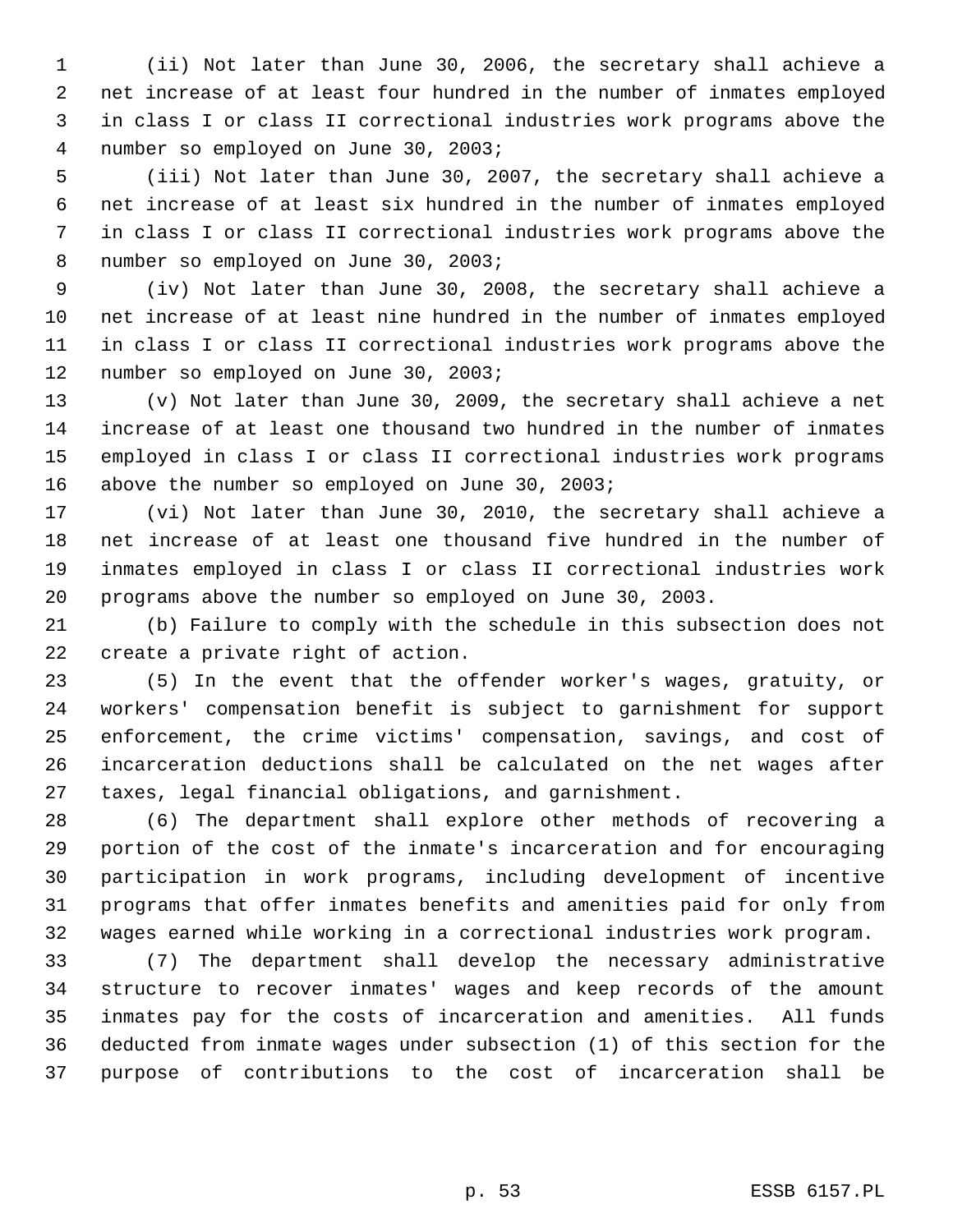(ii) Not later than June 30, 2006, the secretary shall achieve a net increase of at least four hundred in the number of inmates employed in class I or class II correctional industries work programs above the number so employed on June 30, 2003;

 (iii) Not later than June 30, 2007, the secretary shall achieve a net increase of at least six hundred in the number of inmates employed in class I or class II correctional industries work programs above the number so employed on June 30, 2003;

 (iv) Not later than June 30, 2008, the secretary shall achieve a net increase of at least nine hundred in the number of inmates employed in class I or class II correctional industries work programs above the number so employed on June 30, 2003;

 (v) Not later than June 30, 2009, the secretary shall achieve a net increase of at least one thousand two hundred in the number of inmates employed in class I or class II correctional industries work programs above the number so employed on June 30, 2003;

 (vi) Not later than June 30, 2010, the secretary shall achieve a net increase of at least one thousand five hundred in the number of inmates employed in class I or class II correctional industries work programs above the number so employed on June 30, 2003.

 (b) Failure to comply with the schedule in this subsection does not create a private right of action.

 (5) In the event that the offender worker's wages, gratuity, or workers' compensation benefit is subject to garnishment for support enforcement, the crime victims' compensation, savings, and cost of incarceration deductions shall be calculated on the net wages after taxes, legal financial obligations, and garnishment.

 (6) The department shall explore other methods of recovering a portion of the cost of the inmate's incarceration and for encouraging participation in work programs, including development of incentive programs that offer inmates benefits and amenities paid for only from wages earned while working in a correctional industries work program.

 (7) The department shall develop the necessary administrative structure to recover inmates' wages and keep records of the amount inmates pay for the costs of incarceration and amenities. All funds deducted from inmate wages under subsection (1) of this section for the purpose of contributions to the cost of incarceration shall be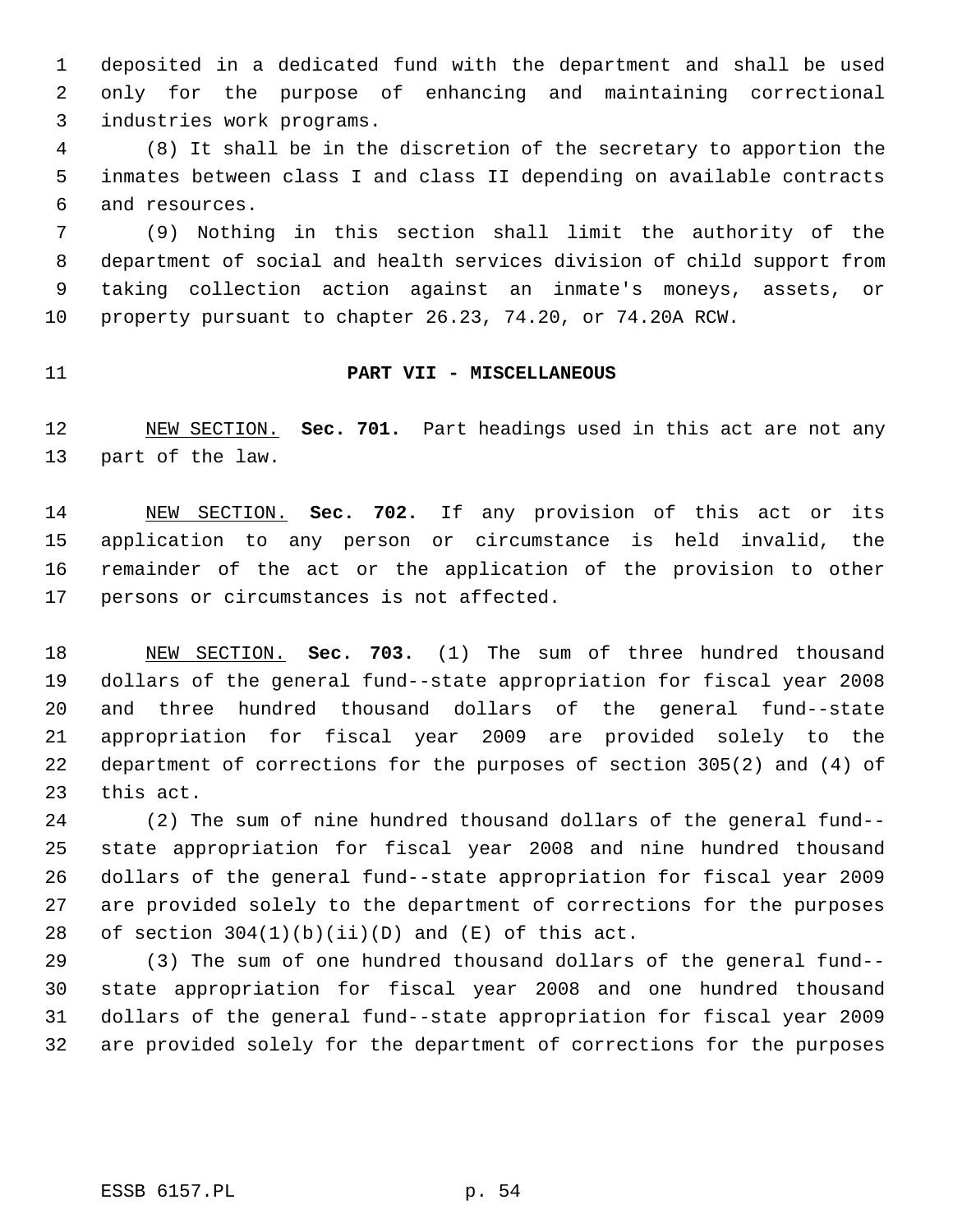deposited in a dedicated fund with the department and shall be used only for the purpose of enhancing and maintaining correctional industries work programs.

 (8) It shall be in the discretion of the secretary to apportion the inmates between class I and class II depending on available contracts and resources.

 (9) Nothing in this section shall limit the authority of the department of social and health services division of child support from taking collection action against an inmate's moneys, assets, or property pursuant to chapter 26.23, 74.20, or 74.20A RCW.

#### **PART VII - MISCELLANEOUS**

 NEW SECTION. **Sec. 701.** Part headings used in this act are not any part of the law.

 NEW SECTION. **Sec. 702.** If any provision of this act or its application to any person or circumstance is held invalid, the remainder of the act or the application of the provision to other persons or circumstances is not affected.

 NEW SECTION. **Sec. 703.** (1) The sum of three hundred thousand dollars of the general fund--state appropriation for fiscal year 2008 and three hundred thousand dollars of the general fund--state appropriation for fiscal year 2009 are provided solely to the department of corrections for the purposes of section 305(2) and (4) of this act.

 (2) The sum of nine hundred thousand dollars of the general fund-- state appropriation for fiscal year 2008 and nine hundred thousand dollars of the general fund--state appropriation for fiscal year 2009 are provided solely to the department of corrections for the purposes 28 of section  $304(1)(b)(ii)(D)$  and  $(E)$  of this act.

 (3) The sum of one hundred thousand dollars of the general fund-- state appropriation for fiscal year 2008 and one hundred thousand dollars of the general fund--state appropriation for fiscal year 2009 are provided solely for the department of corrections for the purposes